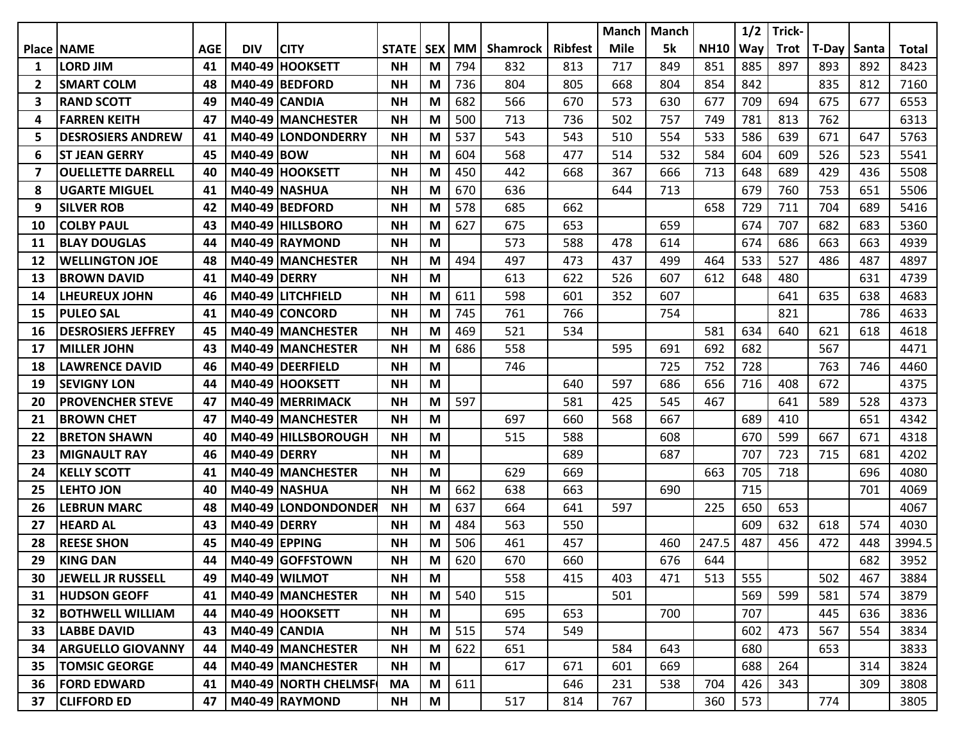|    |                           |            |                      |                           |              |            |           |                 |                | <b>Manch</b> | <b>Manch</b> |             | 1/2 | Trick- |       |       |              |
|----|---------------------------|------------|----------------------|---------------------------|--------------|------------|-----------|-----------------|----------------|--------------|--------------|-------------|-----|--------|-------|-------|--------------|
|    | <b>Place INAME</b>        | <b>AGE</b> | <b>DIV</b>           | <b>CITY</b>               | <b>STATE</b> | <b>SEX</b> | <b>MM</b> | <b>Shamrock</b> | <b>Ribfest</b> | <b>Mile</b>  | 5k           | <b>NH10</b> | Way | Trot   | T-Day | Santa | <b>Total</b> |
| 1  | LORD JIM                  | 41         |                      | M40-49 HOOKSETT           | <b>NH</b>    | M          | 794       | 832             | 813            | 717          | 849          | 851         | 885 | 897    | 893   | 892   | 8423         |
| 2  | <b>SMART COLM</b>         | 48         |                      | M40-49 BEDFORD            | <b>NH</b>    | M          | 736       | 804             | 805            | 668          | 804          | 854         | 842 |        | 835   | 812   | 7160         |
| 3  | <b>RAND SCOTT</b>         | 49         |                      | M40-49 CANDIA             | <b>NH</b>    | M          | 682       | 566             | 670            | 573          | 630          | 677         | 709 | 694    | 675   | 677   | 6553         |
| 4  | <b>FARREN KEITH</b>       | 47         |                      | M40-49 MANCHESTER         | <b>NH</b>    | M          | 500       | 713             | 736            | 502          | 757          | 749         | 781 | 813    | 762   |       | 6313         |
| 5  | <b>DESROSIERS ANDREW</b>  | 41         |                      | M40-49 LONDONDERRY        | <b>NH</b>    | M          | 537       | 543             | 543            | 510          | 554          | 533         | 586 | 639    | 671   | 647   | 5763         |
| 6  | <b>ST JEAN GERRY</b>      | 45         | M40-49 BOW           |                           | <b>NH</b>    | M          | 604       | 568             | 477            | 514          | 532          | 584         | 604 | 609    | 526   | 523   | 5541         |
| 7  | <b>OUELLETTE DARRELL</b>  | 40         |                      | M40-49 HOOKSETT           | <b>NH</b>    | M          | 450       | 442             | 668            | 367          | 666          | 713         | 648 | 689    | 429   | 436   | 5508         |
| 8  | <b>UGARTE MIGUEL</b>      | 41         |                      | M40-49 NASHUA             | <b>NH</b>    | M          | 670       | 636             |                | 644          | 713          |             | 679 | 760    | 753   | 651   | 5506         |
| 9  | <b>SILVER ROB</b>         | 42         |                      | M40-49 BEDFORD            | <b>NH</b>    | М          | 578       | 685             | 662            |              |              | 658         | 729 | 711    | 704   | 689   | 5416         |
| 10 | <b>COLBY PAUL</b>         | 43         |                      | M40-49 HILLSBORO          | <b>NH</b>    | M          | 627       | 675             | 653            |              | 659          |             | 674 | 707    | 682   | 683   | 5360         |
| 11 | <b>BLAY DOUGLAS</b>       | 44         |                      | M40-49 RAYMOND            | <b>NH</b>    | М          |           | 573             | 588            | 478          | 614          |             | 674 | 686    | 663   | 663   | 4939         |
| 12 | <b>WELLINGTON JOE</b>     | 48         |                      | <b>M40-49 IMANCHESTER</b> | <b>NH</b>    | M          | 494       | 497             | 473            | 437          | 499          | 464         | 533 | 527    | 486   | 487   | 4897         |
| 13 | <b>BROWN DAVID</b>        | 41         | M40-49 DERRY         |                           | <b>NH</b>    | M          |           | 613             | 622            | 526          | 607          | 612         | 648 | 480    |       | 631   | 4739         |
| 14 | <b>LHEUREUX JOHN</b>      | 46         |                      | M40-49 LITCHFIELD         | <b>NH</b>    | M          | 611       | 598             | 601            | 352          | 607          |             |     | 641    | 635   | 638   | 4683         |
| 15 | <b>PULEO SAL</b>          | 41         |                      | M40-49 CONCORD            | <b>NH</b>    | М          | 745       | 761             | 766            |              | 754          |             |     | 821    |       | 786   | 4633         |
| 16 | <b>DESROSIERS JEFFREY</b> | 45         |                      | M40-49 MANCHESTER         | <b>NH</b>    | M          | 469       | 521             | 534            |              |              | 581         | 634 | 640    | 621   | 618   | 4618         |
| 17 | <b>MILLER JOHN</b>        | 43         |                      | M40-49 MANCHESTER         | <b>NH</b>    | M          | 686       | 558             |                | 595          | 691          | 692         | 682 |        | 567   |       | 4471         |
| 18 | <b>LAWRENCE DAVID</b>     | 46         |                      | M40-49 IDEERFIELD         | <b>NH</b>    | M          |           | 746             |                |              | 725          | 752         | 728 |        | 763   | 746   | 4460         |
| 19 | <b>SEVIGNY LON</b>        | 44         |                      | M40-49 HOOKSETT           | <b>NH</b>    | M          |           |                 | 640            | 597          | 686          | 656         | 716 | 408    | 672   |       | 4375         |
| 20 | <b>PROVENCHER STEVE</b>   | 47         |                      | M40-49   MERRIMACK        | <b>NH</b>    | M          | 597       |                 | 581            | 425          | 545          | 467         |     | 641    | 589   | 528   | 4373         |
| 21 | <b>BROWN CHET</b>         | 47         |                      | M40-49 MANCHESTER         | <b>NH</b>    | M          |           | 697             | 660            | 568          | 667          |             | 689 | 410    |       | 651   | 4342         |
| 22 | <b>BRETON SHAWN</b>       | 40         |                      | M40-49 HILLSBOROUGH       | <b>NH</b>    | М          |           | 515             | 588            |              | 608          |             | 670 | 599    | 667   | 671   | 4318         |
| 23 | <b>MIGNAULT RAY</b>       | 46         | <b>M40-49 DERRY</b>  |                           | <b>NH</b>    | M          |           |                 | 689            |              | 687          |             | 707 | 723    | 715   | 681   | 4202         |
| 24 | <b>KELLY SCOTT</b>        | 41         |                      | M40-49 MANCHESTER         | <b>NH</b>    | М          |           | 629             | 669            |              |              | 663         | 705 | 718    |       | 696   | 4080         |
| 25 | <b>LEHTO JON</b>          | 40         |                      | M40-49 INASHUA            | <b>NH</b>    | М          | 662       | 638             | 663            |              | 690          |             | 715 |        |       | 701   | 4069         |
| 26 | <b>LEBRUN MARC</b>        | 48         |                      | M40-49 LONDONDONDER       | <b>NH</b>    | M          | 637       | 664             | 641            | 597          |              | 225         | 650 | 653    |       |       | 4067         |
| 27 | <b>HEARD AL</b>           | 43         | M40-49 DERRY         |                           | <b>NH</b>    | M          | 484       | 563             | 550            |              |              |             | 609 | 632    | 618   | 574   | 4030         |
| 28 | <b>REESE SHON</b>         | 45         | <b>M40-49 EPPING</b> |                           | <b>NH</b>    | М          | 506       | 461             | 457            |              | 460          | 247.5       | 487 | 456    | 472   | 448   | 3994.5       |
| 29 | <b>KING DAN</b>           | 44         |                      | M40-49 GOFFSTOWN          | <b>NH</b>    | М          | 620       | 670             | 660            |              | 676          | 644         |     |        |       | 682   | 3952         |
| 30 | <b>JEWELL JR RUSSELL</b>  | 49         |                      | <b>M40-49 WILMOT</b>      | <b>NH</b>    | M          |           | 558             | 415            | 403          | 471          | 513         | 555 |        | 502   | 467   | 3884         |
| 31 | <b>HUDSON GEOFF</b>       | 41         |                      | M40-49 MANCHESTER         | <b>NH</b>    | M          | 540       | 515             |                | 501          |              |             | 569 | 599    | 581   | 574   | 3879         |
| 32 | <b>BOTHWELL WILLIAM</b>   | 44         |                      | M40-49 HOOKSETT           | <b>NH</b>    | M          |           | 695             | 653            |              | 700          |             | 707 |        | 445   | 636   | 3836         |
| 33 | <b>LABBE DAVID</b>        | 43         |                      | M40-49 CANDIA             | <b>NH</b>    | M          | 515       | 574             | 549            |              |              |             | 602 | 473    | 567   | 554   | 3834         |
| 34 | <b>ARGUELLO GIOVANNY</b>  | 44         |                      | M40-49 MANCHESTER         | <b>NH</b>    | M          | 622       | 651             |                | 584          | 643          |             | 680 |        | 653   |       | 3833         |
| 35 | <b>TOMSIC GEORGE</b>      | 44         |                      | M40-49 MANCHESTER         | <b>NH</b>    | M          |           | 617             | 671            | 601          | 669          |             | 688 | 264    |       | 314   | 3824         |
| 36 | <b>FORD EDWARD</b>        | 41         |                      | M40-49 NORTH CHELMSF      | <b>MA</b>    | M          | 611       |                 | 646            | 231          | 538          | 704         | 426 | 343    |       | 309   | 3808         |
| 37 | <b>CLIFFORD ED</b>        | 47         |                      | M40-49 RAYMOND            | <b>NH</b>    | M          |           | 517             | 814            | 767          |              | 360         | 573 |        | 774   |       | 3805         |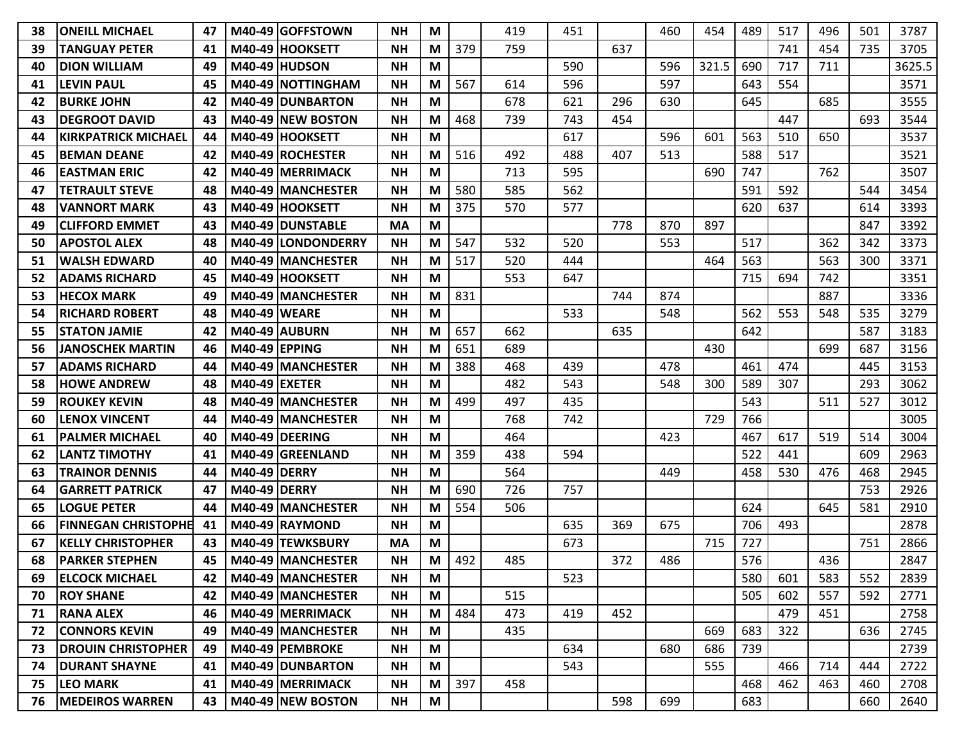| 38 | <b>ONEILL MICHAEL</b>      | 47  |                      | M40-49 GOFFSTOWN          | <b>NH</b> | M |     | 419 | 451 |     | 460 | 454   | 489 | 517 | 496 | 501 | 3787   |
|----|----------------------------|-----|----------------------|---------------------------|-----------|---|-----|-----|-----|-----|-----|-------|-----|-----|-----|-----|--------|
| 39 | <b>TANGUAY PETER</b>       | 41  |                      | M40-49 HOOKSETT           | <b>NH</b> | M | 379 | 759 |     | 637 |     |       |     | 741 | 454 | 735 | 3705   |
| 40 | <b>DION WILLIAM</b>        | 49  |                      | M40-49 HUDSON             | <b>NH</b> | М |     |     | 590 |     | 596 | 321.5 | 690 | 717 | 711 |     | 3625.5 |
| 41 | <b>LEVIN PAUL</b>          | 45  |                      | M40-49 NOTTINGHAM         | <b>NH</b> | M | 567 | 614 | 596 |     | 597 |       | 643 | 554 |     |     | 3571   |
| 42 | <b>BURKE JOHN</b>          | 42  |                      | M40-49 DUNBARTON          | <b>NH</b> | M |     | 678 | 621 | 296 | 630 |       | 645 |     | 685 |     | 3555   |
| 43 | <b>DEGROOT DAVID</b>       | 43  |                      | M40-49 NEW BOSTON         | <b>NH</b> | М | 468 | 739 | 743 | 454 |     |       |     | 447 |     | 693 | 3544   |
| 44 | <b>KIRKPATRICK MICHAEL</b> | 44  |                      | M40-49 HOOKSETT           | <b>NH</b> | M |     |     | 617 |     | 596 | 601   | 563 | 510 | 650 |     | 3537   |
| 45 | <b>BEMAN DEANE</b>         | 42  |                      | M40-49 ROCHESTER          | <b>NH</b> | М | 516 | 492 | 488 | 407 | 513 |       | 588 | 517 |     |     | 3521   |
| 46 | <b>IEASTMAN ERIC</b>       | 42  |                      | M40-49 IMERRIMACK         | <b>NH</b> | М |     | 713 | 595 |     |     | 690   | 747 |     | 762 |     | 3507   |
| 47 | <b>TETRAULT STEVE</b>      | 48  |                      | <b>M40-49 IMANCHESTER</b> | <b>NH</b> | М | 580 | 585 | 562 |     |     |       | 591 | 592 |     | 544 | 3454   |
| 48 | <b>VANNORT MARK</b>        | 43  |                      | M40-49 HOOKSETT           | <b>NH</b> | M | 375 | 570 | 577 |     |     |       | 620 | 637 |     | 614 | 3393   |
| 49 | <b>CLIFFORD EMMET</b>      | 43  |                      | <b>M40-49 IDUNSTABLE</b>  | MA        | M |     |     |     | 778 | 870 | 897   |     |     |     | 847 | 3392   |
| 50 | <b>APOSTOL ALEX</b>        | 48  |                      | M40-49 LONDONDERRY        | <b>NH</b> | M | 547 | 532 | 520 |     | 553 |       | 517 |     | 362 | 342 | 3373   |
| 51 | <b>WALSH EDWARD</b>        | 40  |                      | M40-49 MANCHESTER         | <b>NH</b> | M | 517 | 520 | 444 |     |     | 464   | 563 |     | 563 | 300 | 3371   |
| 52 | <b>ADAMS RICHARD</b>       | 45  |                      | M40-49 HOOKSETT           | <b>NH</b> | M |     | 553 | 647 |     |     |       | 715 | 694 | 742 |     | 3351   |
| 53 | <b>HECOX MARK</b>          | 49  |                      | M40-49 MANCHESTER         | <b>NH</b> | M | 831 |     |     | 744 | 874 |       |     |     | 887 |     | 3336   |
| 54 | <b>RICHARD ROBERT</b>      | 48  | <b>M40-49 WEARE</b>  |                           | <b>NH</b> | M |     |     | 533 |     | 548 |       | 562 | 553 | 548 | 535 | 3279   |
| 55 | <b>STATON JAMIE</b>        | 42  |                      | <b>M40-49 AUBURN</b>      | <b>NH</b> | M | 657 | 662 |     | 635 |     |       | 642 |     |     | 587 | 3183   |
| 56 | <b>JANOSCHEK MARTIN</b>    | 46  | <b>M40-49 EPPING</b> |                           | <b>NH</b> | M | 651 | 689 |     |     |     | 430   |     |     | 699 | 687 | 3156   |
| 57 | <b>ADAMS RICHARD</b>       | 44  |                      | M40-49 MANCHESTER         | <b>NH</b> | М | 388 | 468 | 439 |     | 478 |       | 461 | 474 |     | 445 | 3153   |
| 58 | <b>HOWE ANDREW</b>         | 48  | M40-49 IEXETER       |                           | <b>NH</b> | M |     | 482 | 543 |     | 548 | 300   | 589 | 307 |     | 293 | 3062   |
| 59 | <b>ROUKEY KEVIN</b>        | 48  |                      | <b>M40-49 IMANCHESTER</b> | <b>NH</b> | М | 499 | 497 | 435 |     |     |       | 543 |     | 511 | 527 | 3012   |
| 60 | <b>LENOX VINCENT</b>       | 44  |                      | M40-49 MANCHESTER         | <b>NH</b> | M |     | 768 | 742 |     |     | 729   | 766 |     |     |     | 3005   |
| 61 | <b>PALMER MICHAEL</b>      | 40  |                      | M40-49 DEERING            | <b>NH</b> | M |     | 464 |     |     | 423 |       | 467 | 617 | 519 | 514 | 3004   |
| 62 | <b>LANTZ TIMOTHY</b>       | 41  |                      | M40-49 GREENLAND          | <b>NH</b> | M | 359 | 438 | 594 |     |     |       | 522 | 441 |     | 609 | 2963   |
| 63 | <b>TRAINOR DENNIS</b>      | 44  | <b>M40-49 DERRY</b>  |                           | <b>NH</b> | M |     | 564 |     |     | 449 |       | 458 | 530 | 476 | 468 | 2945   |
| 64 | <b>GARRETT PATRICK</b>     | 47  | <b>M40-49 DERRY</b>  |                           | <b>NH</b> | M | 690 | 726 | 757 |     |     |       |     |     |     | 753 | 2926   |
| 65 | <b>LOGUE PETER</b>         | 44  |                      | M40-49 IMANCHESTER        | <b>NH</b> | М | 554 | 506 |     |     |     |       | 624 |     | 645 | 581 | 2910   |
| 66 | <b>FINNEGAN CHRISTOPHE</b> | -41 |                      | M40-49 RAYMOND            | <b>NH</b> | M |     |     | 635 | 369 | 675 |       | 706 | 493 |     |     | 2878   |
| 67 | <b>KELLY CHRISTOPHER</b>   | 43  |                      | M40-49 TEWKSBURY          | <b>MA</b> | M |     |     | 673 |     |     | 715   | 727 |     |     | 751 | 2866   |
| 68 | <b>PARKER STEPHEN</b>      | 45  |                      | M40-49 MANCHESTER         | <b>NH</b> | М | 492 | 485 |     | 372 | 486 |       | 576 |     | 436 |     | 2847   |
| 69 | <b>ELCOCK MICHAEL</b>      | 42  |                      | M40-49 MANCHESTER         | <b>NH</b> | M |     |     | 523 |     |     |       | 580 | 601 | 583 | 552 | 2839   |
| 70 | <b>ROY SHANE</b>           | 42  |                      | M40-49 MANCHESTER         | <b>NH</b> | M |     | 515 |     |     |     |       | 505 | 602 | 557 | 592 | 2771   |
| 71 | <b>RANA ALEX</b>           | 46  |                      | M40-49 MERRIMACK          | <b>NH</b> | M | 484 | 473 | 419 | 452 |     |       |     | 479 | 451 |     | 2758   |
| 72 | <b>CONNORS KEVIN</b>       | 49  |                      | M40-49 MANCHESTER         | <b>NH</b> | M |     | 435 |     |     |     | 669   | 683 | 322 |     | 636 | 2745   |
| 73 | <b>DROUIN CHRISTOPHER</b>  | 49  |                      | M40-49 PEMBROKE           | <b>NH</b> | M |     |     | 634 |     | 680 | 686   | 739 |     |     |     | 2739   |
| 74 | <b>DURANT SHAYNE</b>       | 41  |                      | M40-49 DUNBARTON          | <b>NH</b> | M |     |     | 543 |     |     | 555   |     | 466 | 714 | 444 | 2722   |
| 75 | <b>LEO MARK</b>            | 41  |                      | M40-49 MERRIMACK          | <b>NH</b> | M | 397 | 458 |     |     |     |       | 468 | 462 | 463 | 460 | 2708   |
| 76 | <b>MEDEIROS WARREN</b>     | 43  |                      | M40-49 NEW BOSTON         | <b>NH</b> | M |     |     |     | 598 | 699 |       | 683 |     |     | 660 | 2640   |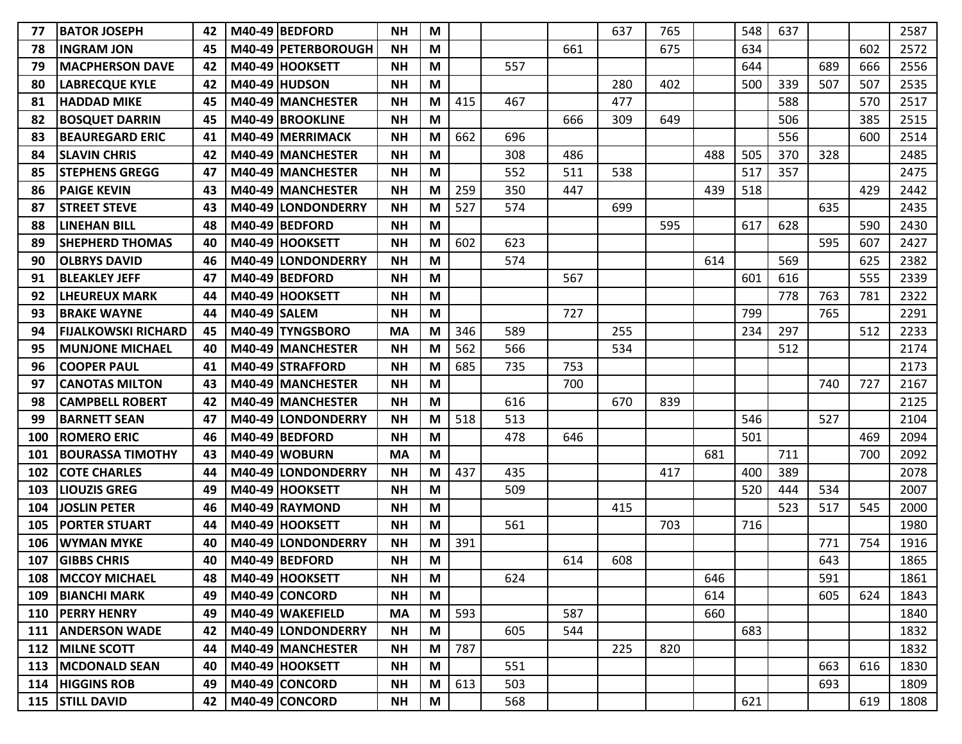| 77  | <b>BATOR JOSEPH</b>        | 42 |                     | M40-49 BEDFORD        | <b>NH</b> | M |     |     |     | 637 | 765 |     | 548 | 637 |     |     | 2587 |
|-----|----------------------------|----|---------------------|-----------------------|-----------|---|-----|-----|-----|-----|-----|-----|-----|-----|-----|-----|------|
| 78  | <b>INGRAM JON</b>          | 45 |                     | M40-49   PETERBOROUGH | <b>NH</b> | M |     |     | 661 |     | 675 |     | 634 |     |     | 602 | 2572 |
| 79  | <b>MACPHERSON DAVE</b>     | 42 |                     | M40-49 HOOKSETT       | <b>NH</b> | M |     | 557 |     |     |     |     | 644 |     | 689 | 666 | 2556 |
| 80  | <b>LABRECQUE KYLE</b>      | 42 |                     | M40-49 HUDSON         | <b>NH</b> | М |     |     |     | 280 | 402 |     | 500 | 339 | 507 | 507 | 2535 |
| 81  | <b>HADDAD MIKE</b>         | 45 |                     | M40-49 MANCHESTER     | <b>NH</b> | M | 415 | 467 |     | 477 |     |     |     | 588 |     | 570 | 2517 |
| 82  | <b>BOSQUET DARRIN</b>      | 45 |                     | M40-49 BROOKLINE      | <b>NH</b> | M |     |     | 666 | 309 | 649 |     |     | 506 |     | 385 | 2515 |
| 83  | <b>BEAUREGARD ERIC</b>     | 41 |                     | M40-49 MERRIMACK      | <b>NH</b> | M | 662 | 696 |     |     |     |     |     | 556 |     | 600 | 2514 |
| 84  | <b>SLAVIN CHRIS</b>        | 42 |                     | M40-49 MANCHESTER     | <b>NH</b> | M |     | 308 | 486 |     |     | 488 | 505 | 370 | 328 |     | 2485 |
| 85  | <b>STEPHENS GREGG</b>      | 47 |                     | M40-49 MANCHESTER     | <b>NH</b> | M |     | 552 | 511 | 538 |     |     | 517 | 357 |     |     | 2475 |
| 86  | <b>PAIGE KEVIN</b>         | 43 |                     | M40-49   MANCHESTER   | <b>NH</b> | М | 259 | 350 | 447 |     |     | 439 | 518 |     |     | 429 | 2442 |
| 87  | <b>STREET STEVE</b>        | 43 |                     | M40-49 LONDONDERRY    | <b>NH</b> | M | 527 | 574 |     | 699 |     |     |     |     | 635 |     | 2435 |
| 88  | <b>LINEHAN BILL</b>        | 48 |                     | M40-49 BEDFORD        | <b>NH</b> | M |     |     |     |     | 595 |     | 617 | 628 |     | 590 | 2430 |
| 89  | <b>SHEPHERD THOMAS</b>     | 40 |                     | M40-49 HOOKSETT       | <b>NH</b> | M | 602 | 623 |     |     |     |     |     |     | 595 | 607 | 2427 |
| 90  | <b>OLBRYS DAVID</b>        | 46 |                     | M40-49 LONDONDERRY    | <b>NH</b> | M |     | 574 |     |     |     | 614 |     | 569 |     | 625 | 2382 |
| 91  | <b>BLEAKLEY JEFF</b>       | 47 |                     | M40-49 BEDFORD        | <b>NH</b> | M |     |     | 567 |     |     |     | 601 | 616 |     | 555 | 2339 |
| 92  | <b>LHEUREUX MARK</b>       | 44 |                     | M40-49 HOOKSETT       | <b>NH</b> | M |     |     |     |     |     |     |     | 778 | 763 | 781 | 2322 |
| 93  | <b>BRAKE WAYNE</b>         | 44 | <b>M40-49 SALEM</b> |                       | <b>NH</b> | M |     |     | 727 |     |     |     | 799 |     | 765 |     | 2291 |
| 94  | <b>FIJALKOWSKI RICHARD</b> | 45 |                     | M40-49 TYNGSBORO      | <b>MA</b> | M | 346 | 589 |     | 255 |     |     | 234 | 297 |     | 512 | 2233 |
| 95  | <b>MUNJONE MICHAEL</b>     | 40 |                     | M40-49 MANCHESTER     | <b>NH</b> | M | 562 | 566 |     | 534 |     |     |     | 512 |     |     | 2174 |
| 96  | <b>COOPER PAUL</b>         | 41 |                     | M40-49 STRAFFORD      | <b>NH</b> | M | 685 | 735 | 753 |     |     |     |     |     |     |     | 2173 |
| 97  | <b>CANOTAS MILTON</b>      | 43 |                     | M40-49 MANCHESTER     | <b>NH</b> | M |     |     | 700 |     |     |     |     |     | 740 | 727 | 2167 |
| 98  | <b>CAMPBELL ROBERT</b>     | 42 |                     | M40-49 MANCHESTER     | <b>NH</b> | M |     | 616 |     | 670 | 839 |     |     |     |     |     | 2125 |
| 99  | <b>BARNETT SEAN</b>        | 47 |                     | M40-49 LONDONDERRY    | <b>NH</b> | M | 518 | 513 |     |     |     |     | 546 |     | 527 |     | 2104 |
| 100 | <b>ROMERO ERIC</b>         | 46 |                     | M40-49 BEDFORD        | <b>NH</b> | M |     | 478 | 646 |     |     |     | 501 |     |     | 469 | 2094 |
| 101 | <b>BOURASSA TIMOTHY</b>    | 43 |                     | M40-49 WOBURN         | <b>MA</b> | M |     |     |     |     |     | 681 |     | 711 |     | 700 | 2092 |
| 102 | <b>COTE CHARLES</b>        | 44 |                     | M40-49 LONDONDERRY    | <b>NH</b> | M | 437 | 435 |     |     | 417 |     | 400 | 389 |     |     | 2078 |
| 103 | <b>LIOUZIS GREG</b>        | 49 |                     | M40-49 HOOKSETT       | <b>NH</b> | M |     | 509 |     |     |     |     | 520 | 444 | 534 |     | 2007 |
| 104 | <b>JOSLIN PETER</b>        | 46 |                     | M40-49 RAYMOND        | <b>NH</b> | M |     |     |     | 415 |     |     |     | 523 | 517 | 545 | 2000 |
| 105 | <b>PORTER STUART</b>       | 44 |                     | M40-49 HOOKSETT       | NΗ        | M |     | 561 |     |     | 703 |     | 716 |     |     |     | 1980 |
| 106 | <b>WYMAN MYKE</b>          | 40 |                     | M40-49 LONDONDERRY    | <b>NH</b> | M | 391 |     |     |     |     |     |     |     | 771 | 754 | 1916 |
| 107 | <b>GIBBS CHRIS</b>         | 40 |                     | M40-49 BEDFORD        | <b>NH</b> | M |     |     | 614 | 608 |     |     |     |     | 643 |     | 1865 |
| 108 | <b>MCCOY MICHAEL</b>       | 48 |                     | M40-49 HOOKSETT       | <b>NH</b> | M |     | 624 |     |     |     | 646 |     |     | 591 |     | 1861 |
|     | 109   BIANCHI MARK         | 49 |                     | M40-49 CONCORD        | <b>NH</b> | M |     |     |     |     |     | 614 |     |     | 605 | 624 | 1843 |
|     | 110 PERRY HENRY            | 49 |                     | M40-49 WAKEFIELD      | <b>MA</b> | M | 593 |     | 587 |     |     | 660 |     |     |     |     | 1840 |
| 111 | <b>ANDERSON WADE</b>       | 42 |                     | M40-49 LONDONDERRY    | <b>NH</b> | M |     | 605 | 544 |     |     |     | 683 |     |     |     | 1832 |
| 112 | <b>MILNE SCOTT</b>         | 44 |                     | M40-49 MANCHESTER     | <b>NH</b> | M | 787 |     |     | 225 | 820 |     |     |     |     |     | 1832 |
|     | 113   MCDONALD SEAN        | 40 |                     | M40-49 HOOKSETT       | <b>NH</b> | M |     | 551 |     |     |     |     |     |     | 663 | 616 | 1830 |
|     | 114 HIGGINS ROB            | 49 |                     | M40-49 CONCORD        | <b>NH</b> | M | 613 | 503 |     |     |     |     |     |     | 693 |     | 1809 |
|     | 115 STILL DAVID            | 42 |                     | $M40-49$ CONCORD      | <b>NH</b> | M |     | 568 |     |     |     |     | 621 |     |     | 619 | 1808 |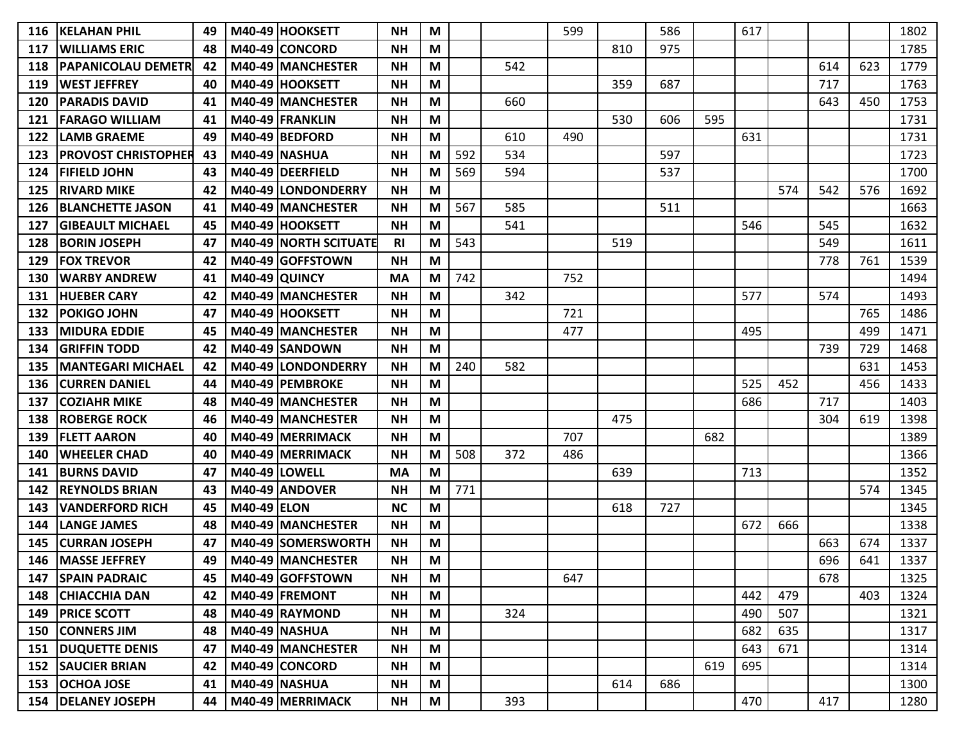| 116 | <b>KELAHAN PHIL</b>        | 49 |                    | M40-49 HOOKSETT              | <b>NH</b>      | M |     |     | 599 |     | 586 |     | 617 |     |     |     | 1802 |
|-----|----------------------------|----|--------------------|------------------------------|----------------|---|-----|-----|-----|-----|-----|-----|-----|-----|-----|-----|------|
| 117 | <b>WILLIAMS ERIC</b>       | 48 |                    | M40-49 CONCORD               | <b>NH</b>      | M |     |     |     | 810 | 975 |     |     |     |     |     | 1785 |
| 118 | <b>PAPANICOLAU DEMETR</b>  | 42 |                    | M40-49 MANCHESTER            | <b>NH</b>      | М |     | 542 |     |     |     |     |     |     | 614 | 623 | 1779 |
| 119 | <b>WEST JEFFREY</b>        | 40 |                    | M40-49 HOOKSETT              | <b>NH</b>      | M |     |     |     | 359 | 687 |     |     |     | 717 |     | 1763 |
| 120 | <b>PARADIS DAVID</b>       | 41 |                    | M40-49 MANCHESTER            | <b>NH</b>      | M |     | 660 |     |     |     |     |     |     | 643 | 450 | 1753 |
| 121 | <b>FARAGO WILLIAM</b>      | 41 |                    | M40-49 FRANKLIN              | <b>NH</b>      | M |     |     |     | 530 | 606 | 595 |     |     |     |     | 1731 |
| 122 | <b>LAMB GRAEME</b>         | 49 |                    | M40-49 BEDFORD               | <b>NH</b>      | M |     | 610 | 490 |     |     |     | 631 |     |     |     | 1731 |
| 123 | <b>PROVOST CHRISTOPHER</b> | 43 |                    | <b>M40-49 NASHUA</b>         | <b>NH</b>      | M | 592 | 534 |     |     | 597 |     |     |     |     |     | 1723 |
| 124 | <b>FIFIELD JOHN</b>        | 43 |                    | M40-49 DEERFIELD             | <b>NH</b>      | M | 569 | 594 |     |     | 537 |     |     |     |     |     | 1700 |
| 125 | <b>RIVARD MIKE</b>         | 42 |                    | M40-49 LONDONDERRY           | <b>NH</b>      | M |     |     |     |     |     |     |     | 574 | 542 | 576 | 1692 |
| 126 | <b>BLANCHETTE JASON</b>    | 41 |                    | M40-49 MANCHESTER            | <b>NH</b>      | M | 567 | 585 |     |     | 511 |     |     |     |     |     | 1663 |
| 127 | <b>GIBEAULT MICHAEL</b>    | 45 |                    | M40-49 HOOKSETT              | <b>NH</b>      | M |     | 541 |     |     |     |     | 546 |     | 545 |     | 1632 |
| 128 | <b>BORIN JOSEPH</b>        | 47 |                    | <b>M40-49 NORTH SCITUATE</b> | R <sub>l</sub> | М | 543 |     |     | 519 |     |     |     |     | 549 |     | 1611 |
| 129 | <b>FOX TREVOR</b>          | 42 |                    | M40-49 GOFFSTOWN             | <b>NH</b>      | M |     |     |     |     |     |     |     |     | 778 | 761 | 1539 |
| 130 | <b>WARBY ANDREW</b>        | 41 |                    | <b>M40-49 QUINCY</b>         | <b>MA</b>      | М | 742 |     | 752 |     |     |     |     |     |     |     | 1494 |
| 131 | <b>HUEBER CARY</b>         | 42 |                    | M40-49 MANCHESTER            | <b>NH</b>      | M |     | 342 |     |     |     |     | 577 |     | 574 |     | 1493 |
| 132 | <b>POKIGO JOHN</b>         | 47 |                    | M40-49 HOOKSETT              | <b>NH</b>      | M |     |     | 721 |     |     |     |     |     |     | 765 | 1486 |
| 133 | <b>MIDURA EDDIE</b>        | 45 |                    | M40-49 MANCHESTER            | <b>NH</b>      | M |     |     | 477 |     |     |     | 495 |     |     | 499 | 1471 |
| 134 | <b>GRIFFIN TODD</b>        | 42 |                    | M40-49 SANDOWN               | <b>NH</b>      | M |     |     |     |     |     |     |     |     | 739 | 729 | 1468 |
| 135 | <b>MANTEGARI MICHAEL</b>   | 42 |                    | M40-49 LONDONDERRY           | <b>NH</b>      | M | 240 | 582 |     |     |     |     |     |     |     | 631 | 1453 |
| 136 | <b>CURREN DANIEL</b>       | 44 |                    | M40-49 PEMBROKE              | <b>NH</b>      | M |     |     |     |     |     |     | 525 | 452 |     | 456 | 1433 |
| 137 | <b>COZIAHR MIKE</b>        | 48 |                    | M40-49 MANCHESTER            | <b>NH</b>      | М |     |     |     |     |     |     | 686 |     | 717 |     | 1403 |
| 138 | <b>ROBERGE ROCK</b>        | 46 |                    | M40-49 MANCHESTER            | <b>NH</b>      | M |     |     |     | 475 |     |     |     |     | 304 | 619 | 1398 |
| 139 | <b>FLETT AARON</b>         | 40 |                    | M40-49 MERRIMACK             | <b>NH</b>      | M |     |     | 707 |     |     | 682 |     |     |     |     | 1389 |
| 140 | <b>WHEELER CHAD</b>        | 40 |                    | M40-49 MERRIMACK             | <b>NH</b>      | M | 508 | 372 | 486 |     |     |     |     |     |     |     | 1366 |
| 141 | <b>BURNS DAVID</b>         | 47 |                    | M40-49 LOWELL                | <b>MA</b>      | M |     |     |     | 639 |     |     | 713 |     |     |     | 1352 |
| 142 | <b>REYNOLDS BRIAN</b>      | 43 |                    | M40-49 ANDOVER               | <b>NH</b>      | M | 771 |     |     |     |     |     |     |     |     | 574 | 1345 |
| 143 | <b>VANDERFORD RICH</b>     | 45 | <b>M40-49 ELON</b> |                              | <b>NC</b>      | M |     |     |     | 618 | 727 |     |     |     |     |     | 1345 |
| 144 | <b>LANGE JAMES</b>         | 48 |                    | M40-49 MANCHESTER            | <b>NH</b>      | М |     |     |     |     |     |     | 672 | 666 |     |     | 1338 |
| 145 | <b>CURRAN JOSEPH</b>       | 47 |                    | M40-49 SOMERSWORTH           | <b>NH</b>      | M |     |     |     |     |     |     |     |     | 663 | 674 | 1337 |
| 146 | <b>MASSE JEFFREY</b>       | 49 |                    | M40-49 MANCHESTER            | <b>NH</b>      | M |     |     |     |     |     |     |     |     | 696 | 641 | 1337 |
| 147 | <b>SPAIN PADRAIC</b>       | 45 |                    | M40-49 GOFFSTOWN             | <b>NH</b>      | M |     |     | 647 |     |     |     |     |     | 678 |     | 1325 |
| 148 | <b>CHIACCHIA DAN</b>       | 42 |                    | M40-49 FREMONT               | <b>NH</b>      | M |     |     |     |     |     |     | 442 | 479 |     | 403 | 1324 |
| 149 | <b>PRICE SCOTT</b>         | 48 |                    | M40-49 RAYMOND               | <b>NH</b>      | M |     | 324 |     |     |     |     | 490 | 507 |     |     | 1321 |
| 150 | <b>CONNERS JIM</b>         | 48 |                    | <b>M40-49 NASHUA</b>         | <b>NH</b>      | M |     |     |     |     |     |     | 682 | 635 |     |     | 1317 |
| 151 | <b>DUQUETTE DENIS</b>      | 47 |                    | M40-49 MANCHESTER            | <b>NH</b>      | M |     |     |     |     |     |     | 643 | 671 |     |     | 1314 |
| 152 | <b>SAUCIER BRIAN</b>       | 42 |                    | M40-49 CONCORD               | <b>NH</b>      | M |     |     |     |     |     | 619 | 695 |     |     |     | 1314 |
| 153 | <b>OCHOA JOSE</b>          | 41 |                    | <b>M40-49 NASHUA</b>         | <b>NH</b>      | M |     |     |     | 614 | 686 |     |     |     |     |     | 1300 |
|     | 154   DELANEY JOSEPH       | 44 |                    | M40-49 MERRIMACK             | <b>NH</b>      | M |     | 393 |     |     |     |     | 470 |     | 417 |     | 1280 |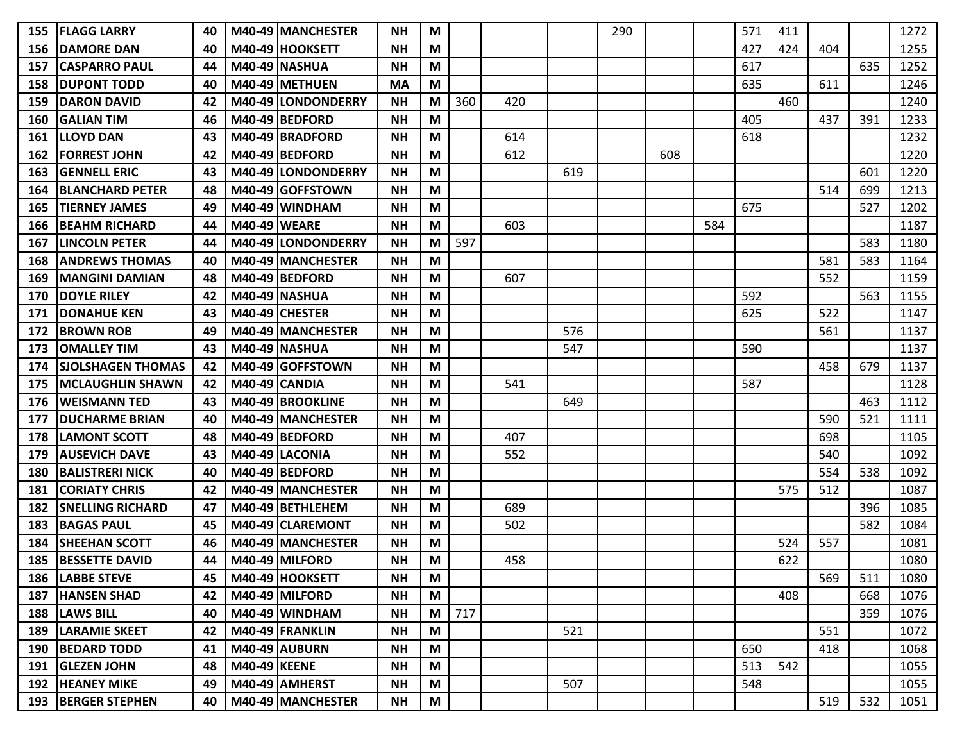| 155 | <b>IFLAGG LARRY</b>      | 40 |                     | M40-49 MANCHESTER       | <b>NH</b> | M |     |     |     | 290 |     |     | 571 | 411 |     |     | 1272 |
|-----|--------------------------|----|---------------------|-------------------------|-----------|---|-----|-----|-----|-----|-----|-----|-----|-----|-----|-----|------|
| 156 | <b>DAMORE DAN</b>        | 40 |                     | M40-49 HOOKSETT         | <b>NH</b> | M |     |     |     |     |     |     | 427 | 424 | 404 |     | 1255 |
| 157 | ICASPARRO PAUL           | 44 |                     | <b>M40-49 NASHUA</b>    | <b>NH</b> | M |     |     |     |     |     |     | 617 |     |     | 635 | 1252 |
| 158 | <b>DUPONT TODD</b>       | 40 |                     | M40-49 METHUEN          | <b>MA</b> | M |     |     |     |     |     |     | 635 |     | 611 |     | 1246 |
| 159 | <b>DARON DAVID</b>       | 42 |                     | M40-49 LONDONDERRY      | <b>NH</b> | M | 360 | 420 |     |     |     |     |     | 460 |     |     | 1240 |
| 160 | <b>GALIAN TIM</b>        | 46 |                     | M40-49 BEDFORD          | <b>NH</b> | M |     |     |     |     |     |     | 405 |     | 437 | 391 | 1233 |
| 161 | <b>LLOYD DAN</b>         | 43 |                     | M40-49 BRADFORD         | <b>NH</b> | M |     | 614 |     |     |     |     | 618 |     |     |     | 1232 |
| 162 | <b>FORREST JOHN</b>      | 42 |                     | M40-49 BEDFORD          | <b>NH</b> | M |     | 612 |     |     | 608 |     |     |     |     |     | 1220 |
| 163 | <b>GENNELL ERIC</b>      | 43 |                     | M40-49 LONDONDERRY      | <b>NH</b> | M |     |     | 619 |     |     |     |     |     |     | 601 | 1220 |
| 164 | <b>BLANCHARD PETER</b>   | 48 |                     | M40-49 GOFFSTOWN        | <b>NH</b> | M |     |     |     |     |     |     |     |     | 514 | 699 | 1213 |
| 165 | <b>TIERNEY JAMES</b>     | 49 |                     | M40-49 WINDHAM          | <b>NH</b> | M |     |     |     |     |     |     | 675 |     |     | 527 | 1202 |
| 166 | <b>BEAHM RICHARD</b>     | 44 | <b>M40-49 WEARE</b> |                         | <b>NH</b> | M |     | 603 |     |     |     | 584 |     |     |     |     | 1187 |
| 167 | <b>LINCOLN PETER</b>     | 44 |                     | M40-49 LONDONDERRY      | <b>NH</b> | M | 597 |     |     |     |     |     |     |     |     | 583 | 1180 |
| 168 | <b>ANDREWS THOMAS</b>    | 40 |                     | M40-49 MANCHESTER       | <b>NH</b> | M |     |     |     |     |     |     |     |     | 581 | 583 | 1164 |
| 169 | <b>IMANGINI DAMIAN</b>   | 48 |                     | M40-49 BEDFORD          | <b>NH</b> | M |     | 607 |     |     |     |     |     |     | 552 |     | 1159 |
| 170 | <b>DOYLE RILEY</b>       | 42 |                     | <b>M40-49 NASHUA</b>    | <b>NH</b> | M |     |     |     |     |     |     | 592 |     |     | 563 | 1155 |
| 171 | <b>DONAHUE KEN</b>       | 43 |                     | M40-49 CHESTER          | <b>NH</b> | M |     |     |     |     |     |     | 625 |     | 522 |     | 1147 |
| 172 | <b>BROWN ROB</b>         | 49 |                     | M40-49 MANCHESTER       | <b>NH</b> | M |     |     | 576 |     |     |     |     |     | 561 |     | 1137 |
| 173 | <b>OMALLEY TIM</b>       | 43 |                     | M40-49 NASHUA           | <b>NH</b> | M |     |     | 547 |     |     |     | 590 |     |     |     | 1137 |
| 174 | <b>SJOLSHAGEN THOMAS</b> | 42 |                     | M40-49 GOFFSTOWN        | <b>NH</b> | M |     |     |     |     |     |     |     |     | 458 | 679 | 1137 |
| 175 | <b>MCLAUGHLIN SHAWN</b>  | 42 |                     | <b>M40-49 CANDIA</b>    | <b>NH</b> | M |     | 541 |     |     |     |     | 587 |     |     |     | 1128 |
| 176 | lWEISMANN TED            | 43 |                     | <b>M40-49 BROOKLINE</b> | <b>NH</b> | M |     |     | 649 |     |     |     |     |     |     | 463 | 1112 |
| 177 | <b>DUCHARME BRIAN</b>    | 40 |                     | M40-49 MANCHESTER       | <b>NH</b> | M |     |     |     |     |     |     |     |     | 590 | 521 | 1111 |
| 178 | <b>LAMONT SCOTT</b>      | 48 |                     | M40-49 BEDFORD          | <b>NH</b> | M |     | 407 |     |     |     |     |     |     | 698 |     | 1105 |
| 179 | <b>AUSEVICH DAVE</b>     | 43 |                     | M40-49 LACONIA          | <b>NH</b> | M |     | 552 |     |     |     |     |     |     | 540 |     | 1092 |
| 180 | BALISTRERI NICK          | 40 |                     | M40-49 BEDFORD          | <b>NH</b> | M |     |     |     |     |     |     |     |     | 554 | 538 | 1092 |
| 181 | <b>CORIATY CHRIS</b>     | 42 |                     | M40-49 MANCHESTER       | <b>NH</b> | M |     |     |     |     |     |     |     | 575 | 512 |     | 1087 |
| 182 | <b>SNELLING RICHARD</b>  | 47 |                     | M40-49 BETHLEHEM        | <b>NH</b> | M |     | 689 |     |     |     |     |     |     |     | 396 | 1085 |
| 183 | <b>BAGAS PAUL</b>        | 45 |                     | M40-49 CLAREMONT        | <b>NH</b> | M |     | 502 |     |     |     |     |     |     |     | 582 | 1084 |
| 184 | <b>SHEEHAN SCOTT</b>     | 46 |                     | M40-49 MANCHESTER       | <b>NH</b> | M |     |     |     |     |     |     |     | 524 | 557 |     | 1081 |
| 185 | <b>BESSETTE DAVID</b>    | 44 |                     | M40-49 MILFORD          | <b>NH</b> | М |     | 458 |     |     |     |     |     | 622 |     |     | 1080 |
|     | 186   LABBE STEVE        | 45 |                     | M40-49 HOOKSETT         | <b>NH</b> | M |     |     |     |     |     |     |     |     | 569 | 511 | 1080 |
|     | 187 HANSEN SHAD          | 42 |                     | M40-49 MILFORD          | <b>NH</b> | M |     |     |     |     |     |     |     | 408 |     | 668 | 1076 |
|     | 188   LAWS BILL          | 40 |                     | M40-49 WINDHAM          | <b>NH</b> | M | 717 |     |     |     |     |     |     |     |     | 359 | 1076 |
|     | 189   LARAMIE SKEET      | 42 |                     | M40-49 FRANKLIN         | <b>NH</b> | M |     |     | 521 |     |     |     |     |     | 551 |     | 1072 |
| 190 | <b>BEDARD TODD</b>       | 41 |                     | M40-49 AUBURN           | <b>NH</b> | M |     |     |     |     |     |     | 650 |     | 418 |     | 1068 |
| 191 | <b>GLEZEN JOHN</b>       | 48 | <b>M40-49 KEENE</b> |                         | <b>NH</b> | M |     |     |     |     |     |     | 513 | 542 |     |     | 1055 |
|     | <b>192  HEANEY MIKE</b>  | 49 |                     | M40-49 AMHERST          | <b>NH</b> | M |     |     | 507 |     |     |     | 548 |     |     |     | 1055 |
|     | 193 BERGER STEPHEN       | 40 |                     | M40-49 MANCHESTER       | <b>NH</b> | M |     |     |     |     |     |     |     |     | 519 | 532 | 1051 |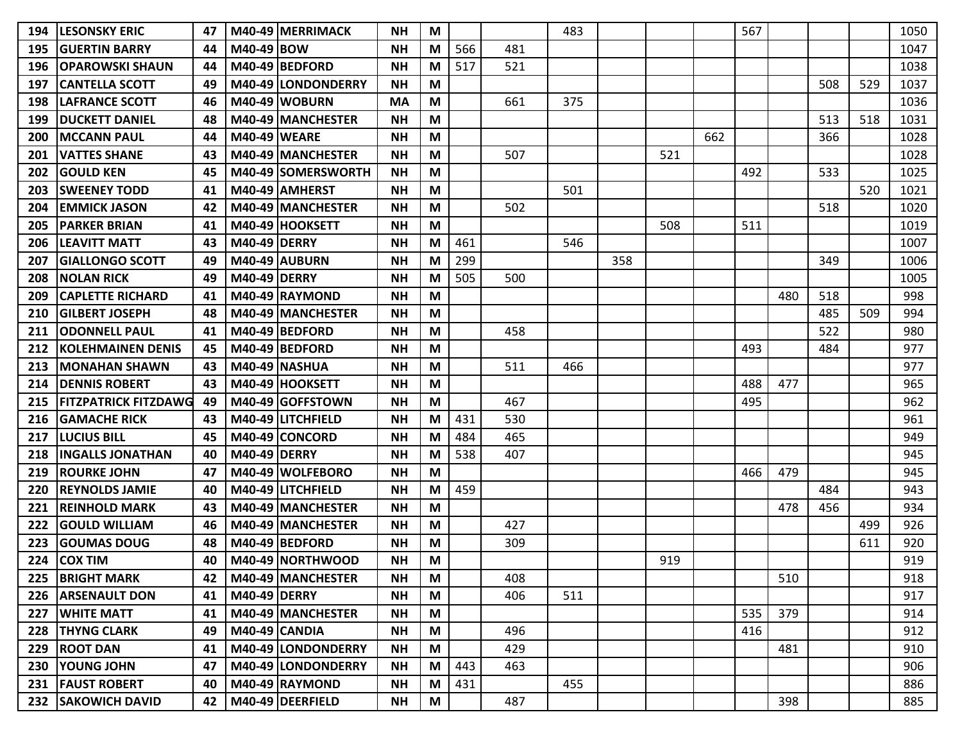| 194 | <b>LESONSKY ERIC</b>        | 47  |                     | M40-49 MERRIMACK          | <b>NH</b> | M |     |     | 483 |     |     |     | 567 |     |     |     | 1050 |
|-----|-----------------------------|-----|---------------------|---------------------------|-----------|---|-----|-----|-----|-----|-----|-----|-----|-----|-----|-----|------|
| 195 | <b>GUERTIN BARRY</b>        | 44  | M40-49 BOW          |                           | <b>NH</b> | M | 566 | 481 |     |     |     |     |     |     |     |     | 1047 |
| 196 | <b>OPAROWSKI SHAUN</b>      | 44  |                     | M40-49 BEDFORD            | <b>NH</b> | М | 517 | 521 |     |     |     |     |     |     |     |     | 1038 |
| 197 | <b>CANTELLA SCOTT</b>       | 49  |                     | M40-49 LONDONDERRY        | <b>NH</b> | M |     |     |     |     |     |     |     |     | 508 | 529 | 1037 |
| 198 | <b>LAFRANCE SCOTT</b>       | 46  |                     | M40-49 WOBURN             | <b>MA</b> | M |     | 661 | 375 |     |     |     |     |     |     |     | 1036 |
| 199 | <b>DUCKETT DANIEL</b>       | 48  |                     | M40-49 MANCHESTER         | <b>NH</b> | M |     |     |     |     |     |     |     |     | 513 | 518 | 1031 |
| 200 | <b>MCCANN PAUL</b>          | 44  | <b>M40-49 WEARE</b> |                           | <b>NH</b> | M |     |     |     |     |     | 662 |     |     | 366 |     | 1028 |
| 201 | <b>VATTES SHANE</b>         | 43  |                     | M40-49 MANCHESTER         | <b>NH</b> | М |     | 507 |     |     | 521 |     |     |     |     |     | 1028 |
| 202 | <b>GOULD KEN</b>            | 45  |                     | <b>M40-49 SOMERSWORTH</b> | <b>NH</b> | M |     |     |     |     |     |     | 492 |     | 533 |     | 1025 |
| 203 | <b>SWEENEY TODD</b>         | 41  |                     | M40-49 AMHERST            | <b>NH</b> | M |     |     | 501 |     |     |     |     |     |     | 520 | 1021 |
| 204 | <b>EMMICK JASON</b>         | 42  |                     | M40-49 MANCHESTER         | <b>NH</b> | M |     | 502 |     |     |     |     |     |     | 518 |     | 1020 |
| 205 | <b>PARKER BRIAN</b>         | 41  |                     | M40-49 HOOKSETT           | <b>NH</b> | M |     |     |     |     | 508 |     | 511 |     |     |     | 1019 |
| 206 | <b>LEAVITT MATT</b>         | 43  | <b>M40-49 DERRY</b> |                           | <b>NH</b> | M | 461 |     | 546 |     |     |     |     |     |     |     | 1007 |
| 207 | <b>GIALLONGO SCOTT</b>      | 49  |                     | M40-49 AUBURN             | <b>NH</b> | M | 299 |     |     | 358 |     |     |     |     | 349 |     | 1006 |
| 208 | <b>NOLAN RICK</b>           | 49  | M40-49 DERRY        |                           | <b>NH</b> | М | 505 | 500 |     |     |     |     |     |     |     |     | 1005 |
| 209 | <b>CAPLETTE RICHARD</b>     | 41  |                     | M40-49 RAYMOND            | <b>NH</b> | M |     |     |     |     |     |     |     | 480 | 518 |     | 998  |
| 210 | <b>GILBERT JOSEPH</b>       | 48  |                     | M40-49 MANCHESTER         | <b>NH</b> | M |     |     |     |     |     |     |     |     | 485 | 509 | 994  |
| 211 | <b>ODONNELL PAUL</b>        | 41  |                     | M40-49 BEDFORD            | <b>NH</b> | M |     | 458 |     |     |     |     |     |     | 522 |     | 980  |
| 212 | <b>KOLEHMAINEN DENIS</b>    | 45  |                     | M40-49 BEDFORD            | <b>NH</b> | M |     |     |     |     |     |     | 493 |     | 484 |     | 977  |
| 213 | <b>MONAHAN SHAWN</b>        | 43  |                     | <b>M40-49 NASHUA</b>      | <b>NH</b> | M |     | 511 | 466 |     |     |     |     |     |     |     | 977  |
| 214 | <b>DENNIS ROBERT</b>        | 43  |                     | M40-49 HOOKSETT           | <b>NH</b> | M |     |     |     |     |     |     | 488 | 477 |     |     | 965  |
| 215 | <b>FITZPATRICK FITZDAWG</b> | -49 |                     | M40-49 GOFFSTOWN          | <b>NH</b> | M |     | 467 |     |     |     |     | 495 |     |     |     | 962  |
| 216 | <b>GAMACHE RICK</b>         | 43  |                     | M40-49 LITCHFIELD         | <b>NH</b> | M | 431 | 530 |     |     |     |     |     |     |     |     | 961  |
| 217 | <b>LUCIUS BILL</b>          | 45  |                     | M40-49 CONCORD            | <b>NH</b> | M | 484 | 465 |     |     |     |     |     |     |     |     | 949  |
| 218 | <b>INGALLS JONATHAN</b>     | 40  | <b>M40-49 DERRY</b> |                           | <b>NH</b> | М | 538 | 407 |     |     |     |     |     |     |     |     | 945  |
| 219 | <b>ROURKE JOHN</b>          | 47  |                     | M40-49 WOLFEBORO          | <b>NH</b> | M |     |     |     |     |     |     | 466 | 479 |     |     | 945  |
| 220 | <b>REYNOLDS JAMIE</b>       | 40  |                     | M40-49 LITCHFIELD         | <b>NH</b> | M | 459 |     |     |     |     |     |     |     | 484 |     | 943  |
| 221 | <b>REINHOLD MARK</b>        | 43  |                     | M40-49 MANCHESTER         | <b>NH</b> | M |     |     |     |     |     |     |     | 478 | 456 |     | 934  |
| 222 | <b>GOULD WILLIAM</b>        | 46  |                     | M40-49 MANCHESTER         | <b>NH</b> | М |     | 427 |     |     |     |     |     |     |     | 499 | 926  |
| 223 | <b>GOUMAS DOUG</b>          | 48  |                     | M40-49 BEDFORD            | <b>NH</b> | M |     | 309 |     |     |     |     |     |     |     | 611 | 920  |
| 224 | <b>COX TIM</b>              | 40  |                     | M40-49 NORTHWOOD          | <b>NH</b> | М |     |     |     |     | 919 |     |     |     |     |     | 919  |
| 225 | <b>BRIGHT MARK</b>          | 42  |                     | M40-49 MANCHESTER         | <b>NH</b> | M |     | 408 |     |     |     |     |     | 510 |     |     | 918  |
| 226 | <b>ARSENAULT DON</b>        | 41  | <b>M40-49 DERRY</b> |                           | <b>NH</b> | M |     | 406 | 511 |     |     |     |     |     |     |     | 917  |
| 227 | <b>WHITE MATT</b>           | 41  |                     | M40-49 MANCHESTER         | <b>NH</b> | M |     |     |     |     |     |     | 535 | 379 |     |     | 914  |
| 228 | <b>THYNG CLARK</b>          | 49  |                     | <b>M40-49 CANDIA</b>      | <b>NH</b> | M |     | 496 |     |     |     |     | 416 |     |     |     | 912  |
| 229 | <b>ROOT DAN</b>             | 41  |                     | M40-49 LONDONDERRY        | <b>NH</b> | M |     | 429 |     |     |     |     |     | 481 |     |     | 910  |
| 230 | YOUNG JOHN                  | 47  |                     | M40-49 LONDONDERRY        | <b>NH</b> | M | 443 | 463 |     |     |     |     |     |     |     |     | 906  |
| 231 | <b>FAUST ROBERT</b>         | 40  |                     | M40-49 RAYMOND            | <b>NH</b> | M | 431 |     | 455 |     |     |     |     |     |     |     | 886  |
|     | 232 SAKOWICH DAVID          | 42  |                     | M40-49 DEERFIELD          | <b>NH</b> | M |     | 487 |     |     |     |     |     | 398 |     |     | 885  |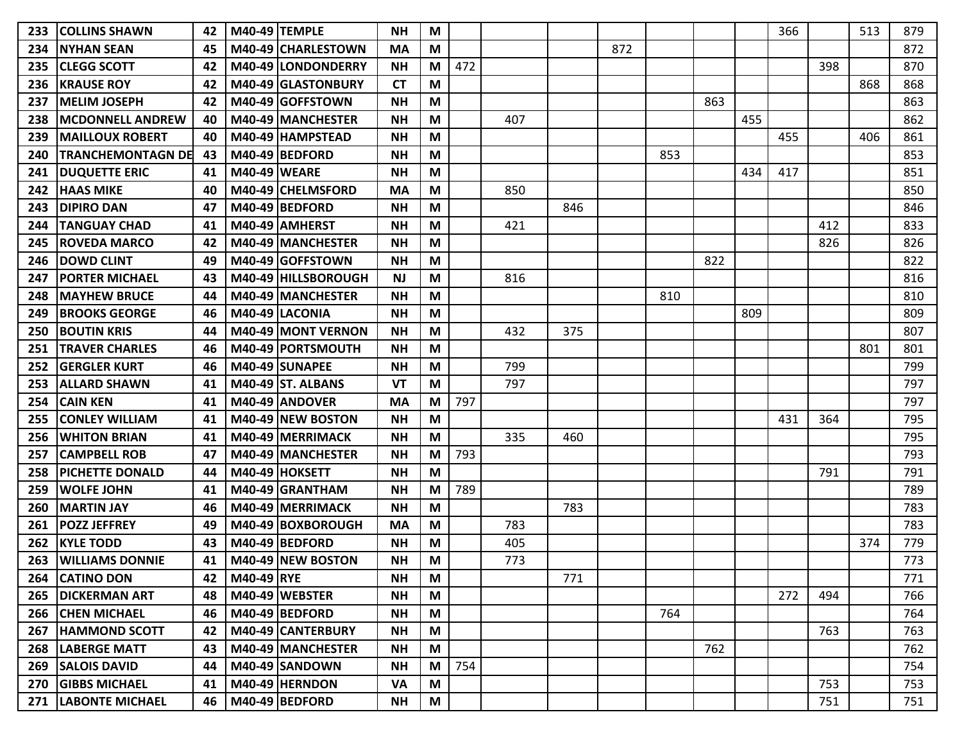| 233 | <b>COLLINS SHAWN</b>      | 42 |                     | <b>M40-49 TEMPLE</b>      | <b>NH</b> | M |     |     |     |     |     |     |     | 366 |     | 513 | 879 |
|-----|---------------------------|----|---------------------|---------------------------|-----------|---|-----|-----|-----|-----|-----|-----|-----|-----|-----|-----|-----|
| 234 | <b>INYHAN SEAN</b>        | 45 |                     | M40-49 CHARLESTOWN        | <b>MA</b> | M |     |     |     | 872 |     |     |     |     |     |     | 872 |
| 235 | <b>CLEGG SCOTT</b>        | 42 |                     | M40-49 LONDONDERRY        | <b>NH</b> | M | 472 |     |     |     |     |     |     |     | 398 |     | 870 |
| 236 | <b>KRAUSE ROY</b>         | 42 |                     | M40-49 GLASTONBURY        | <b>CT</b> | M |     |     |     |     |     |     |     |     |     | 868 | 868 |
| 237 | <b>MELIM JOSEPH</b>       | 42 |                     | M40-49 GOFFSTOWN          | <b>NH</b> | M |     |     |     |     |     | 863 |     |     |     |     | 863 |
| 238 | <b>MCDONNELL ANDREW</b>   | 40 |                     | M40-49 MANCHESTER         | <b>NH</b> | M |     | 407 |     |     |     |     | 455 |     |     |     | 862 |
| 239 | <b>MAILLOUX ROBERT</b>    | 40 |                     | M40-49 HAMPSTEAD          | <b>NH</b> | M |     |     |     |     |     |     |     | 455 |     | 406 | 861 |
| 240 | <b>ITRANCHEMONTAGN DE</b> | 43 |                     | M40-49 BEDFORD            | <b>NH</b> | M |     |     |     |     | 853 |     |     |     |     |     | 853 |
| 241 | <b>DUQUETTE ERIC</b>      | 41 | <b>M40-49 WEARE</b> |                           | <b>NH</b> | M |     |     |     |     |     |     | 434 | 417 |     |     | 851 |
| 242 | <b>HAAS MIKE</b>          | 40 |                     | M40-49 CHELMSFORD         | <b>MA</b> | M |     | 850 |     |     |     |     |     |     |     |     | 850 |
| 243 | <b>DIPIRO DAN</b>         | 47 |                     | M40-49 BEDFORD            | <b>NH</b> | M |     |     | 846 |     |     |     |     |     |     |     | 846 |
| 244 | <b>TANGUAY CHAD</b>       | 41 |                     | M40-49 AMHERST            | <b>NH</b> | M |     | 421 |     |     |     |     |     |     | 412 |     | 833 |
| 245 | <b>ROVEDA MARCO</b>       | 42 |                     | M40-49 MANCHESTER         | <b>NH</b> | M |     |     |     |     |     |     |     |     | 826 |     | 826 |
| 246 | <b>DOWD CLINT</b>         | 49 |                     | M40-49 GOFFSTOWN          | <b>NH</b> | M |     |     |     |     |     | 822 |     |     |     |     | 822 |
| 247 | IPORTER MICHAEL           | 43 |                     | M40-49   HILLSBOROUGH     | <b>NJ</b> | M |     | 816 |     |     |     |     |     |     |     |     | 816 |
| 248 | <b>MAYHEW BRUCE</b>       | 44 |                     | M40-49 MANCHESTER         | <b>NH</b> | M |     |     |     |     | 810 |     |     |     |     |     | 810 |
| 249 | <b>BROOKS GEORGE</b>      | 46 |                     | M40-49 LACONIA            | <b>NH</b> | M |     |     |     |     |     |     | 809 |     |     |     | 809 |
| 250 | <b>BOUTIN KRIS</b>        | 44 |                     | <b>M40-49 MONT VERNON</b> | <b>NH</b> | M |     | 432 | 375 |     |     |     |     |     |     |     | 807 |
| 251 | <b>TRAVER CHARLES</b>     | 46 |                     | M40-49 PORTSMOUTH         | <b>NH</b> | M |     |     |     |     |     |     |     |     |     | 801 | 801 |
| 252 | <b>GERGLER KURT</b>       | 46 |                     | M40-49 SUNAPEE            | <b>NH</b> | M |     | 799 |     |     |     |     |     |     |     |     | 799 |
| 253 | <b>ALLARD SHAWN</b>       | 41 |                     | <b>M40-49 ST. ALBANS</b>  | <b>VT</b> | M |     | 797 |     |     |     |     |     |     |     |     | 797 |
| 254 | <b>CAIN KEN</b>           | 41 |                     | M40-49 ANDOVER            | <b>MA</b> | M | 797 |     |     |     |     |     |     |     |     |     | 797 |
| 255 | <b>CONLEY WILLIAM</b>     | 41 |                     | M40-49 NEW BOSTON         | <b>NH</b> | M |     |     |     |     |     |     |     | 431 | 364 |     | 795 |
| 256 | <b>WHITON BRIAN</b>       | 41 |                     | M40-49 MERRIMACK          | <b>NH</b> | M |     | 335 | 460 |     |     |     |     |     |     |     | 795 |
| 257 | <b>CAMPBELL ROB</b>       | 47 |                     | M40-49 MANCHESTER         | <b>NH</b> | M | 793 |     |     |     |     |     |     |     |     |     | 793 |
| 258 | <b>PICHETTE DONALD</b>    | 44 |                     | M40-49 HOKSETT            | <b>NH</b> | M |     |     |     |     |     |     |     |     | 791 |     | 791 |
| 259 | <b>WOLFE JOHN</b>         | 41 |                     | M40-49 GRANTHAM           | <b>NH</b> | M | 789 |     |     |     |     |     |     |     |     |     | 789 |
| 260 | <b>MARTIN JAY</b>         | 46 |                     | M40-49 MERRIMACK          | <b>NH</b> | M |     |     | 783 |     |     |     |     |     |     |     | 783 |
| 261 | <b>POZZ JEFFREY</b>       | 49 |                     | M40-49 BOXBOROUGH         | <b>MA</b> | M |     | 783 |     |     |     |     |     |     |     |     | 783 |
| 262 | <b>KYLE TODD</b>          | 43 |                     | M40-49 BEDFORD            | <b>NH</b> | M |     | 405 |     |     |     |     |     |     |     | 374 | 779 |
| 263 | <b>WILLIAMS DONNIE</b>    | 41 |                     | M40-49 NEW BOSTON         | <b>NH</b> | M |     | 773 |     |     |     |     |     |     |     |     | 773 |
| 264 | <b>CATINO DON</b>         | 42 | M40-49 RYE          |                           | <b>NH</b> | M |     |     | 771 |     |     |     |     |     |     |     | 771 |
|     | 265   DICKERMAN ART       | 48 |                     | M40-49 WEBSTER            | <b>NH</b> | M |     |     |     |     |     |     |     | 272 | 494 |     | 766 |
|     | 266 CHEN MICHAEL          | 46 |                     | M40-49 BEDFORD            | <b>NH</b> | M |     |     |     |     | 764 |     |     |     |     |     | 764 |
| 267 | <b>HAMMOND SCOTT</b>      | 42 |                     | M40-49 CANTERBURY         | <b>NH</b> | M |     |     |     |     |     |     |     |     | 763 |     | 763 |
| 268 | <b>LABERGE MATT</b>       | 43 |                     | M40-49 MANCHESTER         | <b>NH</b> | M |     |     |     |     |     | 762 |     |     |     |     | 762 |
|     | 269 SALOIS DAVID          | 44 |                     | M40-49 SANDOWN            | <b>NH</b> | M | 754 |     |     |     |     |     |     |     |     |     | 754 |
|     | 270 GIBBS MICHAEL         | 41 |                     | M40-49 HERNDON            | <b>VA</b> | M |     |     |     |     |     |     |     |     | 753 |     | 753 |
|     | 271   LABONTE MICHAEL     | 46 |                     | M40-49 BEDFORD            | <b>NH</b> | M |     |     |     |     |     |     |     |     | 751 |     | 751 |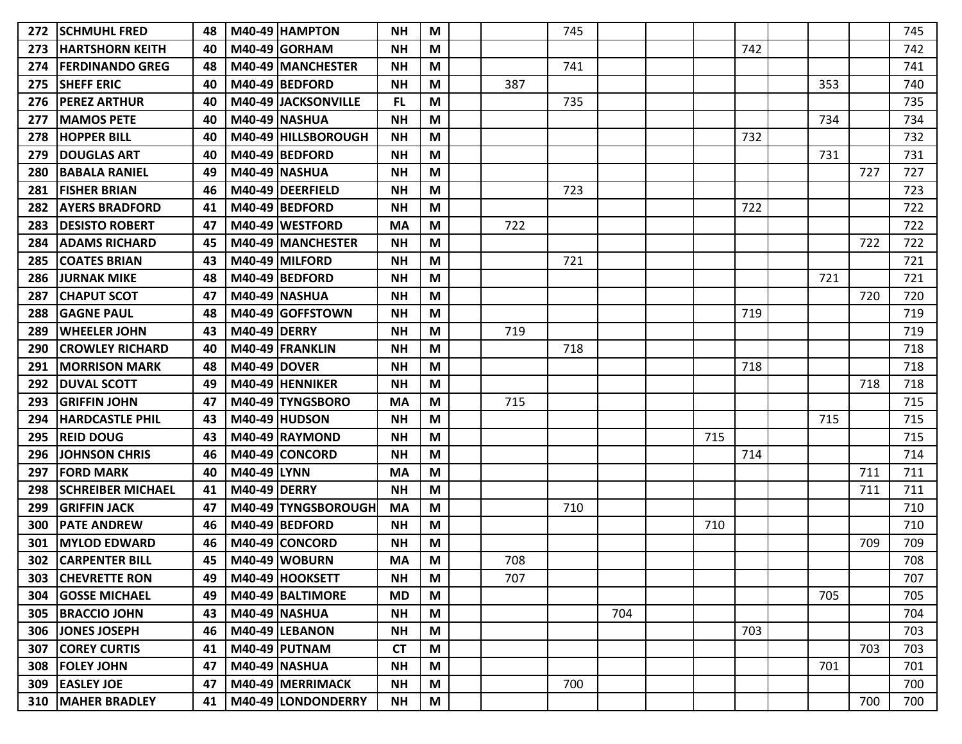| 272 | <b>SCHMUHL FRED</b>        | 48 |                        | M40-49 HAMPTON       | <b>NH</b> | M |     | 745 |     |     |     |     |     | 745 |
|-----|----------------------------|----|------------------------|----------------------|-----------|---|-----|-----|-----|-----|-----|-----|-----|-----|
| 273 | <b>HARTSHORN KEITH</b>     | 40 |                        | <b>M40-49 GORHAM</b> | <b>NH</b> | M |     |     |     |     | 742 |     |     | 742 |
| 274 | <b>IFERDINANDO GREG</b>    | 48 |                        | M40-49 MANCHESTER    | <b>NH</b> | M |     | 741 |     |     |     |     |     | 741 |
| 275 | <b>SHEFF ERIC</b>          | 40 |                        | M40-49 BEDFORD       | <b>NH</b> | M | 387 |     |     |     |     | 353 |     | 740 |
| 276 | <b>PEREZ ARTHUR</b>        | 40 |                        | M40-49 JACKSONVILLE  | <b>FL</b> | M |     | 735 |     |     |     |     |     | 735 |
| 277 | <b>MAMOS PETE</b>          | 40 | <b>M40-49 NASHUA</b>   |                      | <b>NH</b> | M |     |     |     |     |     | 734 |     | 734 |
| 278 | <b>HOPPER BILL</b>         | 40 |                        | M40-49 HILLSBOROUGH  | <b>NH</b> | M |     |     |     |     | 732 |     |     | 732 |
| 279 | <b>DOUGLAS ART</b>         | 40 |                        | M40-49 BEDFORD       | <b>NH</b> | M |     |     |     |     |     | 731 |     | 731 |
| 280 | <b>BABALA RANIEL</b>       | 49 | <b>M40-49 NASHUA</b>   |                      | <b>NH</b> | M |     |     |     |     |     |     | 727 | 727 |
| 281 | <b>FISHER BRIAN</b>        | 46 |                        | M40-49 DEERFIELD     | <b>NH</b> | M |     | 723 |     |     |     |     |     | 723 |
| 282 | <b>AYERS BRADFORD</b>      | 41 |                        | M40-49 BEDFORD       | <b>NH</b> | M |     |     |     |     | 722 |     |     | 722 |
| 283 | DESISTO ROBERT             | 47 |                        | M40-49 WESTFORD      | <b>MA</b> | M | 722 |     |     |     |     |     |     | 722 |
| 284 | <b>ADAMS RICHARD</b>       | 45 |                        | M40-49 MANCHESTER    | <b>NH</b> | M |     |     |     |     |     |     | 722 | 722 |
| 285 | <b>COATES BRIAN</b>        | 43 |                        | M40-49 MILFORD       | <b>NH</b> | M |     | 721 |     |     |     |     |     | 721 |
| 286 | <b>JURNAK MIKE</b>         | 48 |                        | M40-49 BEDFORD       | <b>NH</b> | M |     |     |     |     |     | 721 |     | 721 |
| 287 | <b>CHAPUT SCOT</b>         | 47 | <b>M40-49   NASHUA</b> |                      | <b>NH</b> | M |     |     |     |     |     |     | 720 | 720 |
| 288 | <b>GAGNE PAUL</b>          | 48 |                        | M40-49 GOFFSTOWN     | <b>NH</b> | M |     |     |     |     | 719 |     |     | 719 |
| 289 | <b>WHEELER JOHN</b>        | 43 | <b>M40-49 DERRY</b>    |                      | <b>NH</b> | M | 719 |     |     |     |     |     |     | 719 |
| 290 | <b>CROWLEY RICHARD</b>     | 40 |                        | M40-49 FRANKLIN      | <b>NH</b> | M |     | 718 |     |     |     |     |     | 718 |
| 291 | <b>MORRISON MARK</b>       | 48 | <b>M40-49 DOVER</b>    |                      | <b>NH</b> | M |     |     |     |     | 718 |     |     | 718 |
| 292 | <b>DUVAL SCOTT</b>         | 49 |                        | M40-49 HENNIKER      | <b>NH</b> | M |     |     |     |     |     |     | 718 | 718 |
| 293 | IGRIFFIN JOHN              | 47 |                        | M40-49 TYNGSBORO     | <b>MA</b> | M | 715 |     |     |     |     |     |     | 715 |
| 294 | <b>HARDCASTLE PHIL</b>     | 43 |                        | <b>M40-49 HUDSON</b> | <b>NH</b> | M |     |     |     |     |     | 715 |     | 715 |
| 295 | <b>REID DOUG</b>           | 43 |                        | M40-49 RAYMOND       | <b>NH</b> | M |     |     |     | 715 |     |     |     | 715 |
| 296 | <b>JOHNSON CHRIS</b>       | 46 |                        | M40-49 CONCORD       | <b>NH</b> | M |     |     |     |     | 714 |     |     | 714 |
| 297 | <b>FORD MARK</b>           | 40 | M40-49 LYNN            |                      | <b>MA</b> | M |     |     |     |     |     |     | 711 | 711 |
| 298 | <b>SCHREIBER MICHAEL</b>   | 41 | <b>M40-49 DERRY</b>    |                      | <b>NH</b> | M |     |     |     |     |     |     | 711 | 711 |
| 299 | <b>GRIFFIN JACK</b>        | 47 |                        | M40-49 TYNGSBOROUGH  | <b>MA</b> | M |     | 710 |     |     |     |     |     | 710 |
| 300 | <b>PATE ANDREW</b>         | 46 |                        | M40-49 BEDFORD       | <b>NH</b> | M |     |     |     | 710 |     |     |     | 710 |
| 301 | <b>MYLOD EDWARD</b>        | 46 |                        | M40-49 CONCORD       | <b>NH</b> | M |     |     |     |     |     |     | 709 | 709 |
| 302 | <b>CARPENTER BILL</b>      | 45 |                        | M40-49 WOBURN        | <b>MA</b> | M | 708 |     |     |     |     |     |     | 708 |
|     | 303 CHEVRETTE RON          | 49 |                        | M40-49 HOOKSETT      | <b>NH</b> | M | 707 |     |     |     |     |     |     | 707 |
|     | 304 GOSSE MICHAEL          | 49 |                        | M40-49 BALTIMORE     | <b>MD</b> | M |     |     |     |     |     | 705 |     | 705 |
| 305 | <b>BRACCIO JOHN</b>        | 43 |                        | <b>M40-49 NASHUA</b> | <b>NH</b> | M |     |     | 704 |     |     |     |     | 704 |
|     | 306 JONES JOSEPH           | 46 |                        | M40-49 LEBANON       | <b>NH</b> | M |     |     |     |     | 703 |     |     | 703 |
| 307 | <b>COREY CURTIS</b>        | 41 |                        | $M40-49$ PUTNAM      | <b>CT</b> | M |     |     |     |     |     |     | 703 | 703 |
| 308 | <b>FOLEY JOHN</b>          | 47 |                        | <b>M40-49 NASHUA</b> | <b>NH</b> | M |     |     |     |     |     | 701 |     | 701 |
|     | 309 EASLEY JOE             | 47 |                        | M40-49 MERRIMACK     | <b>NH</b> | M |     | 700 |     |     |     |     |     | 700 |
|     | <b>310   MAHER BRADLEY</b> | 41 |                        | M40-49 LONDONDERRY   | <b>NH</b> | M |     |     |     |     |     |     | 700 | 700 |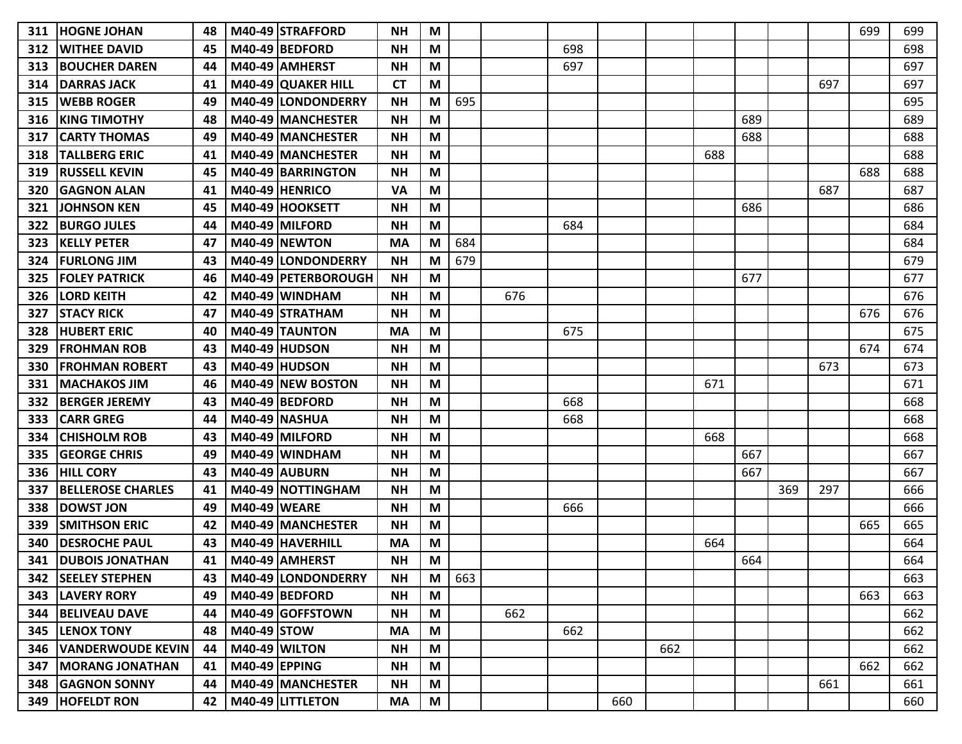| 311  | <b>HOGNE JOHAN</b>       | 48 |                 | M40-49 STRAFFORD      | <b>NH</b> | M |     |     |     |     |     |     |     |     |     | 699 | 699 |
|------|--------------------------|----|-----------------|-----------------------|-----------|---|-----|-----|-----|-----|-----|-----|-----|-----|-----|-----|-----|
| 312  | <b>WITHEE DAVID</b>      | 45 |                 | M40-49 BEDFORD        | <b>NH</b> | M |     |     | 698 |     |     |     |     |     |     |     | 698 |
| 313  | <b>BOUCHER DAREN</b>     | 44 |                 | M40-49 AMHERST        | <b>NH</b> | M |     |     | 697 |     |     |     |     |     |     |     | 697 |
| 314  | <b>DARRAS JACK</b>       | 41 |                 | M40-49 QUAKER HILL    | <b>CT</b> | M |     |     |     |     |     |     |     |     | 697 |     | 697 |
| 315  | <b>WEBB ROGER</b>        | 49 |                 | M40-49 LONDONDERRY    | <b>NH</b> | M | 695 |     |     |     |     |     |     |     |     |     | 695 |
| 316  | <b>KING TIMOTHY</b>      | 48 |                 | M40-49 MANCHESTER     | <b>NH</b> | M |     |     |     |     |     |     | 689 |     |     |     | 689 |
| 317  | <b>CARTY THOMAS</b>      | 49 |                 | M40-49 MANCHESTER     | <b>NH</b> | M |     |     |     |     |     |     | 688 |     |     |     | 688 |
| 318  | <b>TALLBERG ERIC</b>     | 41 |                 | M40-49   MANCHESTER   | <b>NH</b> | M |     |     |     |     |     | 688 |     |     |     |     | 688 |
| 319  | <b>RUSSELL KEVIN</b>     | 45 |                 | M40-49 BARRINGTON     | <b>NH</b> | M |     |     |     |     |     |     |     |     |     | 688 | 688 |
| 320  | <b>GAGNON ALAN</b>       | 41 |                 | M40-49 HENRICO        | <b>VA</b> | M |     |     |     |     |     |     |     |     | 687 |     | 687 |
| 321  | <b>JOHNSON KEN</b>       | 45 |                 | M40-49 HOOKSETT       | <b>NH</b> | M |     |     |     |     |     |     | 686 |     |     |     | 686 |
| 322  | <b>BURGO JULES</b>       | 44 |                 | M40-49 MILFORD        | <b>NH</b> | M |     |     | 684 |     |     |     |     |     |     |     | 684 |
| 323  | <b>KELLY PETER</b>       | 47 |                 | M40-49 NEWTON         | <b>MA</b> | M | 684 |     |     |     |     |     |     |     |     |     | 684 |
| 324  | <b>FURLONG JIM</b>       | 43 |                 | M40-49 LONDONDERRY    | <b>NH</b> | M | 679 |     |     |     |     |     |     |     |     |     | 679 |
| 325  | <b>FOLEY PATRICK</b>     | 46 |                 | M40-49 PETERBOROUGH   | <b>NH</b> | M |     |     |     |     |     |     | 677 |     |     |     | 677 |
| 326  | <b>LORD KEITH</b>        | 42 |                 | M40-49 WINDHAM        | <b>NH</b> | M |     | 676 |     |     |     |     |     |     |     |     | 676 |
| 327  | <b>STACY RICK</b>        | 47 |                 | M40-49 STRATHAM       | <b>NH</b> | M |     |     |     |     |     |     |     |     |     | 676 | 676 |
| 328  | <b>HUBERT ERIC</b>       | 40 |                 | <b>M40-49 TAUNTON</b> | <b>MA</b> | M |     |     | 675 |     |     |     |     |     |     |     | 675 |
| 329  | <b>FROHMAN ROB</b>       | 43 |                 | <b>M40-49 HUDSON</b>  | <b>NH</b> | M |     |     |     |     |     |     |     |     |     | 674 | 674 |
| 330  | <b>FROHMAN ROBERT</b>    | 43 |                 | M40-49 HUDSON         | <b>NH</b> | M |     |     |     |     |     |     |     |     | 673 |     | 673 |
| 331  | <b>MACHAKOS JIM</b>      | 46 |                 | M40-49 NEW BOSTON     | <b>NH</b> | M |     |     |     |     |     | 671 |     |     |     |     | 671 |
| 332  | <b>BERGER JEREMY</b>     | 43 |                 | M40-49 BEDFORD        | <b>NH</b> | M |     |     | 668 |     |     |     |     |     |     |     | 668 |
| 333  | <b>CARR GREG</b>         | 44 |                 | <b>M40-49 NASHUA</b>  | <b>NH</b> | M |     |     | 668 |     |     |     |     |     |     |     | 668 |
| 334  | <b>CHISHOLM ROB</b>      | 43 |                 | M40-49 MILFORD        | <b>NH</b> | M |     |     |     |     |     | 668 |     |     |     |     | 668 |
| 335  | <b>GEORGE CHRIS</b>      | 49 |                 | M40-49 WINDHAM        | <b>NH</b> | M |     |     |     |     |     |     | 667 |     |     |     | 667 |
| 336  | <b>HILL CORY</b>         | 43 |                 | M40-49 AUBURN         | <b>NH</b> | M |     |     |     |     |     |     | 667 |     |     |     | 667 |
| 337  | <b>BELLEROSE CHARLES</b> | 41 |                 | M40-49 NOTTINGHAM     | <b>NH</b> | M |     |     |     |     |     |     |     | 369 | 297 |     | 666 |
| 338  | <b>DOWST JON</b>         | 49 | M40-49 WEARE    |                       | <b>NH</b> | M |     |     | 666 |     |     |     |     |     |     |     | 666 |
| 339  | <b>SMITHSON ERIC</b>     | 42 |                 | M40-49 MANCHESTER     | <b>NH</b> | M |     |     |     |     |     |     |     |     |     | 665 | 665 |
| 340  | <b>DESROCHE PAUL</b>     | 43 |                 | M40-49 HAVERHILL      | <b>MA</b> | M |     |     |     |     |     | 664 |     |     |     |     | 664 |
| 341  | <b>DUBOIS JONATHAN</b>   | 41 |                 | M40-49 AMHERST        | <b>NH</b> | M |     |     |     |     |     |     | 664 |     |     |     | 664 |
| 342. | <b>SEELEY STEPHEN</b>    | 43 |                 | M40-49 LONDONDERRY    | <b>NH</b> | M | 663 |     |     |     |     |     |     |     |     |     | 663 |
| 343  | <b>LAVERY RORY</b>       | 49 |                 | M40-49 BEDFORD        | <b>NH</b> | M |     |     |     |     |     |     |     |     |     | 663 | 663 |
| 344  | <b>BELIVEAU DAVE</b>     | 44 |                 | M40-49 GOFFSTOWN      | <b>NH</b> | M |     | 662 |     |     |     |     |     |     |     |     | 662 |
| 345  | <b>LENOX TONY</b>        | 48 | M40-49 STOW     |                       | <b>MA</b> | M |     |     | 662 |     |     |     |     |     |     |     | 662 |
| 346  | <b>VANDERWOUDE KEVIN</b> | 44 |                 | <b>M40-49 WILTON</b>  | <b>NH</b> | M |     |     |     |     | 662 |     |     |     |     |     | 662 |
| 347  | <b>MORANG JONATHAN</b>   | 41 | $M40-49$ EPPING |                       | <b>NH</b> | M |     |     |     |     |     |     |     |     |     | 662 | 662 |
| 348  | <b>GAGNON SONNY</b>      | 44 |                 | M40-49 MANCHESTER     | <b>NH</b> | M |     |     |     |     |     |     |     |     | 661 |     | 661 |
| 349  | <b>HOFELDT RON</b>       | 42 |                 | M40-49 LITTLETON      | MA        | M |     |     |     | 660 |     |     |     |     |     |     | 660 |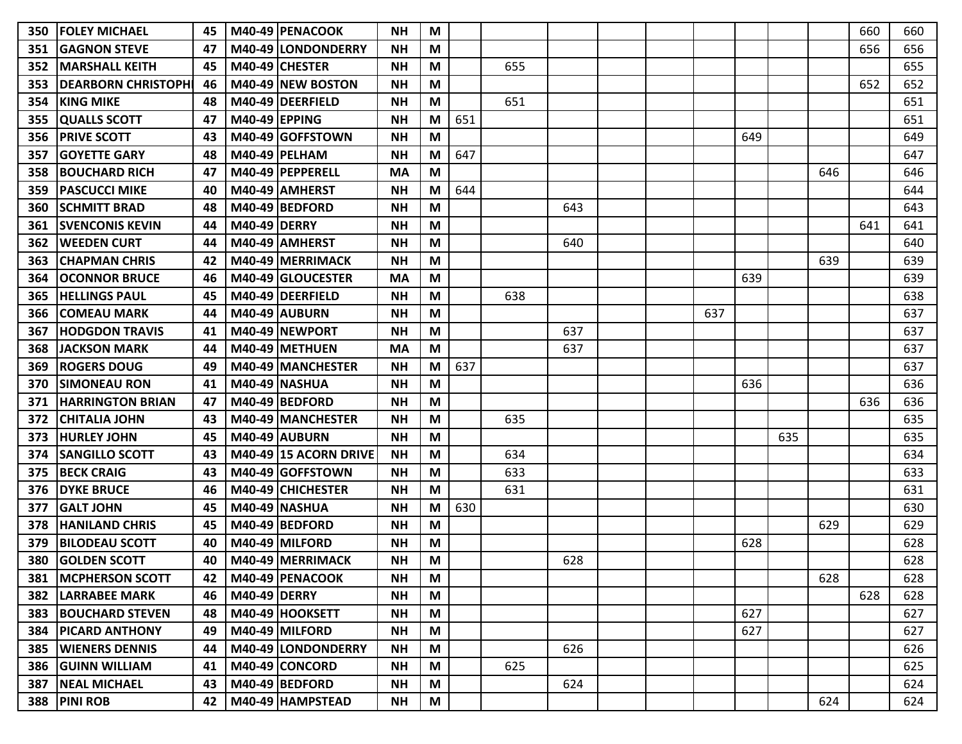| 350 | <b>IFOLEY MICHAEL</b>       | 45 |                      | M40-49 PENACOOK              | <b>NH</b> | M |     |     |     |  |     |     |     |     | 660 | 660 |
|-----|-----------------------------|----|----------------------|------------------------------|-----------|---|-----|-----|-----|--|-----|-----|-----|-----|-----|-----|
| 351 | <b>GAGNON STEVE</b>         | 47 |                      | M40-49 LONDONDERRY           | <b>NH</b> | M |     |     |     |  |     |     |     |     | 656 | 656 |
| 352 | <b>IMARSHALL KEITH</b>      | 45 |                      | M40-49 CHESTER               | <b>NH</b> | M |     | 655 |     |  |     |     |     |     |     | 655 |
| 353 | <b>DEARBORN CHRISTOPH</b>   | 46 |                      | M40-49 NEW BOSTON            | <b>NH</b> | M |     |     |     |  |     |     |     |     | 652 | 652 |
| 354 | <b>KING MIKE</b>            | 48 |                      | M40-49 DEERFIELD             | <b>NH</b> | M |     | 651 |     |  |     |     |     |     |     | 651 |
| 355 | <b>QUALLS SCOTT</b>         | 47 | <b>M40-49 EPPING</b> |                              | <b>NH</b> | M | 651 |     |     |  |     |     |     |     |     | 651 |
| 356 | <b>IPRIVE SCOTT</b>         | 43 |                      | M40-49 GOFFSTOWN             | <b>NH</b> | M |     |     |     |  |     | 649 |     |     |     | 649 |
| 357 | <b>GOYETTE GARY</b>         | 48 |                      | <b>M40-49   PELHAM</b>       | <b>NH</b> | M | 647 |     |     |  |     |     |     |     |     | 647 |
| 358 | <b>IBOUCHARD RICH</b>       | 47 |                      | M40-49   PEPPERELL           | <b>MA</b> | M |     |     |     |  |     |     |     | 646 |     | 646 |
| 359 | <b>PASCUCCI MIKE</b>        | 40 |                      | M40-49 AMHERST               | <b>NH</b> | M | 644 |     |     |  |     |     |     |     |     | 644 |
| 360 | <b>SCHMITT BRAD</b>         | 48 |                      | M40-49 BEDFORD               | <b>NH</b> | M |     |     | 643 |  |     |     |     |     |     | 643 |
| 361 | <b>ISVENCONIS KEVIN</b>     | 44 | <b>M40-49 DERRY</b>  |                              | <b>NH</b> | M |     |     |     |  |     |     |     |     | 641 | 641 |
| 362 | <b>WEEDEN CURT</b>          | 44 |                      | M40-49 AMHERST               | <b>NH</b> | M |     |     | 640 |  |     |     |     |     |     | 640 |
| 363 | <b>CHAPMAN CHRIS</b>        | 42 |                      | M40-49 MERRIMACK             | <b>NH</b> | M |     |     |     |  |     |     |     | 639 |     | 639 |
| 364 | <b>OCONNOR BRUCE</b>        | 46 |                      | M40-49 GLOUCESTER            | <b>MA</b> | M |     |     |     |  |     | 639 |     |     |     | 639 |
| 365 | <b>HELLINGS PAUL</b>        | 45 |                      | M40-49 DEERFIELD             | <b>NH</b> | M |     | 638 |     |  |     |     |     |     |     | 638 |
| 366 | <b>ICOMEAU MARK</b>         | 44 |                      | M40-49 AUBURN                | <b>NH</b> | M |     |     |     |  | 637 |     |     |     |     | 637 |
| 367 | <b>HODGDON TRAVIS</b>       | 41 |                      | M40-49 INEWPORT              | <b>NH</b> | M |     |     | 637 |  |     |     |     |     |     | 637 |
| 368 | <b>JACKSON MARK</b>         | 44 |                      | M40-49 METHUEN               | <b>MA</b> | M |     |     | 637 |  |     |     |     |     |     | 637 |
| 369 | <b>ROGERS DOUG</b>          | 49 |                      | M40-49 MANCHESTER            | <b>NH</b> | M | 637 |     |     |  |     |     |     |     |     | 637 |
| 370 | <b>ISIMONEAU RON</b>        | 41 |                      | <b>M40-49 NASHUA</b>         | <b>NH</b> | M |     |     |     |  |     | 636 |     |     |     | 636 |
| 371 | <b>IHARRINGTON BRIAN</b>    | 47 |                      | M40-49 BEDFORD               | <b>NH</b> | M |     |     |     |  |     |     |     |     | 636 | 636 |
| 372 | <b>CHITALIA JOHN</b>        | 43 |                      | M40-49 MANCHESTER            | <b>NH</b> | M |     | 635 |     |  |     |     |     |     |     | 635 |
| 373 | <b>HURLEY JOHN</b>          | 45 |                      | M40-49 AUBURN                | <b>NH</b> | M |     |     |     |  |     |     | 635 |     |     | 635 |
| 374 | <b>SANGILLO SCOTT</b>       | 43 |                      | <b>M40-49 15 ACORN DRIVE</b> | <b>NH</b> | M |     | 634 |     |  |     |     |     |     |     | 634 |
| 375 | <b>BECK CRAIG</b>           | 43 |                      | M40-49 GOFFSTOWN             | <b>NH</b> | M |     | 633 |     |  |     |     |     |     |     | 633 |
| 376 | <b>DYKE BRUCE</b>           | 46 |                      | M40-49 CHICHESTER            | <b>NH</b> | M |     | 631 |     |  |     |     |     |     |     | 631 |
| 377 | <b>GALT JOHN</b>            | 45 |                      | <b>M40-49 NASHUA</b>         | <b>NH</b> | M | 630 |     |     |  |     |     |     |     |     | 630 |
| 378 | <b>HANILAND CHRIS</b>       | 45 |                      | M40-49 BEDFORD               | <b>NH</b> | M |     |     |     |  |     |     |     | 629 |     | 629 |
| 379 | <b>BILODEAU SCOTT</b>       | 40 |                      | M40-49 MILFORD               | <b>NH</b> | M |     |     |     |  |     | 628 |     |     |     | 628 |
| 380 | <b>IGOLDEN SCOTT</b>        | 40 |                      | M40-49 MERRIMACK             | <b>NH</b> | M |     |     | 628 |  |     |     |     |     |     | 628 |
| 381 | <b>MCPHERSON SCOTT</b>      | 42 |                      | M40-49 PENACOOK              | <b>NH</b> | M |     |     |     |  |     |     |     | 628 |     | 628 |
|     | <b>382   LARRABEE MARK</b>  | 46 | <b>M40-49 DERRY</b>  |                              | <b>NH</b> | M |     |     |     |  |     |     |     |     | 628 | 628 |
|     | <b>383  BOUCHARD STEVEN</b> | 48 |                      | M40-49 HOOKSETT              | <b>NH</b> | M |     |     |     |  |     | 627 |     |     |     | 627 |
|     | <b>384   PICARD ANTHONY</b> | 49 |                      | M40-49 MILFORD               | <b>NH</b> | M |     |     |     |  |     | 627 |     |     |     | 627 |
|     | <b>385   WIENERS DENNIS</b> | 44 |                      | M40-49 LONDONDERRY           | <b>NH</b> | M |     |     | 626 |  |     |     |     |     |     | 626 |
|     | 386 GUINN WILLIAM           | 41 |                      | M40-49 CONCORD               | <b>NH</b> | M |     | 625 |     |  |     |     |     |     |     | 625 |
|     | 387   NEAL MICHAEL          | 43 |                      | M40-49 BEDFORD               | <b>NH</b> | M |     |     | 624 |  |     |     |     |     |     | 624 |
|     | 388 PINI ROB                | 42 |                      | M40-49 HAMPSTEAD             | <b>NH</b> | M |     |     |     |  |     |     |     | 624 |     | 624 |
|     |                             |    |                      |                              |           |   |     |     |     |  |     |     |     |     |     |     |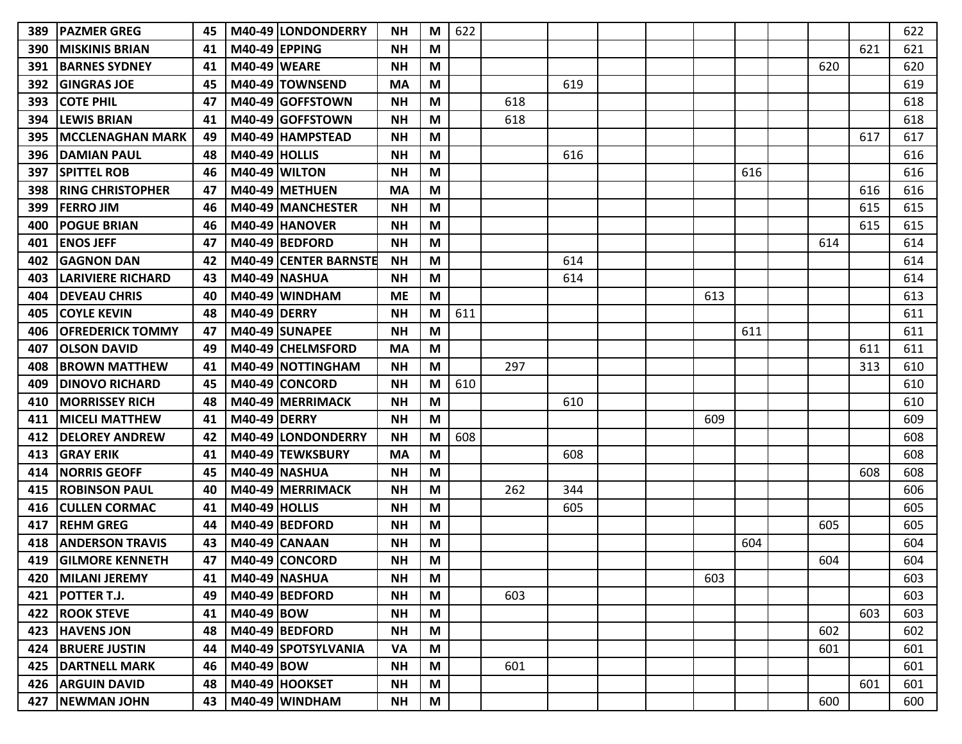| 389 | IPAZMER GREG             | 45 |                      | M40-49 LONDONDERRY           | <b>NH</b> | M | 622 |     |     |  |     |     |     |     | 622 |
|-----|--------------------------|----|----------------------|------------------------------|-----------|---|-----|-----|-----|--|-----|-----|-----|-----|-----|
| 390 | <b>MISKINIS BRIAN</b>    | 41 | <b>M40-49 EPPING</b> |                              | <b>NH</b> | M |     |     |     |  |     |     |     | 621 | 621 |
| 391 | <b>BARNES SYDNEY</b>     | 41 | <b>M40-49 WEARE</b>  |                              | <b>NH</b> | M |     |     |     |  |     |     | 620 |     | 620 |
| 392 | <b>GINGRAS JOE</b>       | 45 |                      | M40-49 TOWNSEND              | <b>MA</b> | M |     |     | 619 |  |     |     |     |     | 619 |
| 393 | <b>COTE PHIL</b>         | 47 |                      | M40-49 GOFFSTOWN             | <b>NH</b> | M |     | 618 |     |  |     |     |     |     | 618 |
| 394 | <b>LEWIS BRIAN</b>       | 41 |                      | M40-49 GOFFSTOWN             | <b>NH</b> | M |     | 618 |     |  |     |     |     |     | 618 |
| 395 | <b>MCCLENAGHAN MARK</b>  | 49 |                      | M40-49 HAMPSTEAD             | <b>NH</b> | M |     |     |     |  |     |     |     | 617 | 617 |
| 396 | <b>DAMIAN PAUL</b>       | 48 | <b>M40-49 HOLLIS</b> |                              | <b>NH</b> | М |     |     | 616 |  |     |     |     |     | 616 |
| 397 | <b>SPITTEL ROB</b>       | 46 |                      | M40-49 WILTON                | <b>NH</b> | M |     |     |     |  |     | 616 |     |     | 616 |
| 398 | <b>RING CHRISTOPHER</b>  | 47 |                      | M40-49 METHUEN               | <b>MA</b> | М |     |     |     |  |     |     |     | 616 | 616 |
| 399 | <b>FERRO JIM</b>         | 46 |                      | M40-49 MANCHESTER            | <b>NH</b> | M |     |     |     |  |     |     |     | 615 | 615 |
| 400 | <b>POGUE BRIAN</b>       | 46 |                      | M40-49 HANOVER               | <b>NH</b> | M |     |     |     |  |     |     |     | 615 | 615 |
| 401 | <b>ENOS JEFF</b>         | 47 |                      | M40-49 BEDFORD               | <b>NH</b> | M |     |     |     |  |     |     | 614 |     | 614 |
| 402 | <b>GAGNON DAN</b>        | 42 |                      | <b>M40-49 CENTER BARNSTE</b> | <b>NH</b> | M |     |     | 614 |  |     |     |     |     | 614 |
| 403 | <b>LARIVIERE RICHARD</b> | 43 |                      | <b>M40-49 NASHUA</b>         | <b>NH</b> | М |     |     | 614 |  |     |     |     |     | 614 |
| 404 | <b>DEVEAU CHRIS</b>      | 40 |                      | M40-49 WINDHAM               | <b>ME</b> | M |     |     |     |  | 613 |     |     |     | 613 |
| 405 | <b>COYLE KEVIN</b>       | 48 | M40-49 DERRY         |                              | <b>NH</b> | M | 611 |     |     |  |     |     |     |     | 611 |
| 406 | <b>OFREDERICK TOMMY</b>  | 47 |                      | M40-49 SUNAPEE               | <b>NH</b> | M |     |     |     |  |     | 611 |     |     | 611 |
| 407 | <b>OLSON DAVID</b>       | 49 |                      | M40-49 CHELMSFORD            | <b>MA</b> | M |     |     |     |  |     |     |     | 611 | 611 |
| 408 | <b>BROWN MATTHEW</b>     | 41 |                      | M40-49 NOTTINGHAM            | <b>NH</b> | M |     | 297 |     |  |     |     |     | 313 | 610 |
| 409 | <b>DINOVO RICHARD</b>    | 45 |                      | M40-49 CONCORD               | <b>NH</b> | M | 610 |     |     |  |     |     |     |     | 610 |
| 410 | <b>MORRISSEY RICH</b>    | 48 |                      | M40-49   MERRIMACK           | <b>NH</b> | М |     |     | 610 |  |     |     |     |     | 610 |
| 411 | <b>MICELI MATTHEW</b>    | 41 | <b>M40-49 DERRY</b>  |                              | <b>NH</b> | M |     |     |     |  | 609 |     |     |     | 609 |
| 412 | <b>DELOREY ANDREW</b>    | 42 |                      | M40-49 LONDONDERRY           | <b>NH</b> | M | 608 |     |     |  |     |     |     |     | 608 |
| 413 | <b>GRAY ERIK</b>         | 41 |                      | M40-49 TEWKSBURY             | <b>MA</b> | M |     |     | 608 |  |     |     |     |     | 608 |
| 414 | <b>NORRIS GEOFF</b>      | 45 |                      | M40-49 NASHUA                | <b>NH</b> | M |     |     |     |  |     |     |     | 608 | 608 |
| 415 | <b>ROBINSON PAUL</b>     | 40 |                      | M40-49 MERRIMACK             | <b>NH</b> | М |     | 262 | 344 |  |     |     |     |     | 606 |
| 416 | <b>CULLEN CORMAC</b>     | 41 | <b>M40-49 HOLLIS</b> |                              | <b>NH</b> | M |     |     | 605 |  |     |     |     |     | 605 |
| 417 | <b>REHM GREG</b>         | 44 |                      | M40-49 BEDFORD               | <b>NH</b> | М |     |     |     |  |     |     | 605 |     | 605 |
| 418 | <b>ANDERSON TRAVIS</b>   | 43 |                      | <b>M40-49 CANAAN</b>         | <b>NH</b> | М |     |     |     |  |     | 604 |     |     | 604 |
| 419 | <b>GILMORE KENNETH</b>   | 47 |                      | M40-49 CONCORD               | <b>NH</b> | М |     |     |     |  |     |     | 604 |     | 604 |
| 420 | <b>MILANI JEREMY</b>     | 41 |                      | <b>M40-49 NASHUA</b>         | <b>NH</b> | M |     |     |     |  | 603 |     |     |     | 603 |
| 421 | <b>POTTER T.J.</b>       | 49 |                      | $M40-49$ BEDFORD             | <b>NH</b> | M |     | 603 |     |  |     |     |     |     | 603 |
| 422 | <b>ROOK STEVE</b>        | 41 | M40-49 BOW           |                              | <b>NH</b> | M |     |     |     |  |     |     |     | 603 | 603 |
| 423 | <b>HAVENS JON</b>        | 48 |                      | M40-49 BEDFORD               | <b>NH</b> | M |     |     |     |  |     |     | 602 |     | 602 |
| 424 | <b>BRUERE JUSTIN</b>     | 44 |                      | M40-49 SPOTSYLVANIA          | <b>VA</b> | M |     |     |     |  |     |     | 601 |     | 601 |
| 425 | <b>DARTNELL MARK</b>     | 46 | M40-49 BOW           |                              | <b>NH</b> | M |     | 601 |     |  |     |     |     |     | 601 |
| 426 | <b>ARGUIN DAVID</b>      | 48 |                      | M40-49 HOOKSET               | <b>NH</b> | M |     |     |     |  |     |     |     | 601 | 601 |
| 427 | <b>NEWMAN JOHN</b>       | 43 |                      | M40-49 WINDHAM               | <b>NH</b> | M |     |     |     |  |     |     | 600 |     | 600 |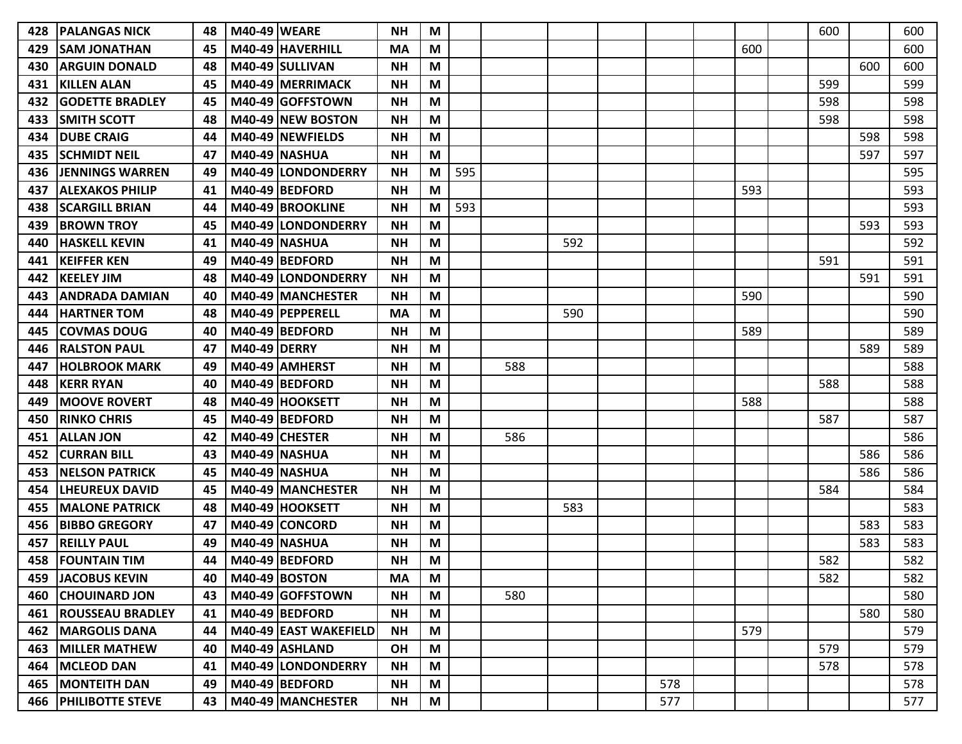| 428 | IPALANGAS NICK              | 48 | <b>M40-49 WEARE</b> |                       | NΗ        | M |     |     |     |     |     | 600 |     | 600 |
|-----|-----------------------------|----|---------------------|-----------------------|-----------|---|-----|-----|-----|-----|-----|-----|-----|-----|
| 429 | ISAM JONATHAN               | 45 |                     | M40-49 HAVERHILL      | MA        | M |     |     |     |     | 600 |     |     | 600 |
| 430 | <b>ARGUIN DONALD</b>        | 48 |                     | M40-49 SULLIVAN       | <b>NH</b> | M |     |     |     |     |     |     | 600 | 600 |
| 431 | <b>KILLEN ALAN</b>          | 45 |                     | M40-49 MERRIMACK      | <b>NH</b> | M |     |     |     |     |     | 599 |     | 599 |
| 432 | <b>IGODETTE BRADLEY</b>     | 45 |                     | M40-49 GOFFSTOWN      | <b>NH</b> | M |     |     |     |     |     | 598 |     | 598 |
| 433 | <b>SMITH SCOTT</b>          | 48 |                     | M40-49 NEW BOSTON     | <b>NH</b> | M |     |     |     |     |     | 598 |     | 598 |
| 434 | <b>DUBE CRAIG</b>           | 44 |                     | M40-49 NEWFIELDS      | <b>NH</b> | M |     |     |     |     |     |     | 598 | 598 |
| 435 | <b>ISCHMIDT NEIL</b>        | 47 |                     | <b>M40-49 NASHUA</b>  | <b>NH</b> | M |     |     |     |     |     |     | 597 | 597 |
| 436 | <b>JENNINGS WARREN</b>      | 49 |                     | M40-49 LONDONDERRY    | <b>NH</b> | M | 595 |     |     |     |     |     |     | 595 |
| 437 | <b>ALEXAKOS PHILIP</b>      | 41 |                     | M40-49 BEDFORD        | <b>NH</b> | M |     |     |     |     | 593 |     |     | 593 |
| 438 | <b>SCARGILL BRIAN</b>       | 44 |                     | M40-49 BROOKLINE      | <b>NH</b> | M | 593 |     |     |     |     |     |     | 593 |
| 439 | <b>BROWN TROY</b>           | 45 |                     | M40-49 LONDONDERRY    | <b>NH</b> | M |     |     |     |     |     |     | 593 | 593 |
| 440 | <b>HASKELL KEVIN</b>        | 41 |                     | <b>M40-49 NASHUA</b>  | <b>NH</b> | M |     |     | 592 |     |     |     |     | 592 |
| 441 | <b>KEIFFER KEN</b>          | 49 |                     | M40-49 BEDFORD        | <b>NH</b> | M |     |     |     |     |     | 591 |     | 591 |
| 442 | <b>KEELEY JIM</b>           | 48 |                     | M40-49 LONDONDERRY    | <b>NH</b> | M |     |     |     |     |     |     | 591 | 591 |
| 443 | <b>ANDRADA DAMIAN</b>       | 40 |                     | M40-49 MANCHESTER     | <b>NH</b> | M |     |     |     |     | 590 |     |     | 590 |
| 444 | <b>HARTNER TOM</b>          | 48 |                     | M40-49   PEPPERELL    | MA        | M |     |     | 590 |     |     |     |     | 590 |
| 445 | COVMAS DOUG                 | 40 |                     | M40-49 BEDFORD        | <b>NH</b> | M |     |     |     |     | 589 |     |     | 589 |
| 446 | <b>RALSTON PAUL</b>         | 47 | <b>M40-49 DERRY</b> |                       | <b>NH</b> | M |     |     |     |     |     |     | 589 | 589 |
| 447 | <b>HOLBROOK MARK</b>        | 49 |                     | M40-49 AMHERST        | <b>NH</b> | М |     | 588 |     |     |     |     |     | 588 |
| 448 | <b>KERR RYAN</b>            | 40 |                     | M40-49 BEDFORD        | <b>NH</b> | M |     |     |     |     |     | 588 |     | 588 |
| 449 | <b>MOOVE ROVERT</b>         | 48 |                     | M40-49 HOOKSETT       | <b>NH</b> | M |     |     |     |     | 588 |     |     | 588 |
| 450 | <b>RINKO CHRIS</b>          | 45 |                     | M40-49 BEDFORD        | <b>NH</b> | M |     |     |     |     |     | 587 |     | 587 |
| 451 | <b>ALLAN JON</b>            | 42 |                     | M40-49 CHESTER        | <b>NH</b> | M |     | 586 |     |     |     |     |     | 586 |
| 452 | ICURRAN BILL                | 43 |                     | <b>M40-49 NASHUA</b>  | <b>NH</b> | M |     |     |     |     |     |     | 586 | 586 |
| 453 | <b>NELSON PATRICK</b>       | 45 |                     | <b>M40-49 NASHUA</b>  | <b>NH</b> | M |     |     |     |     |     |     | 586 | 586 |
| 454 | <b>LHEUREUX DAVID</b>       | 45 |                     | M40-49 MANCHESTER     | <b>NH</b> | M |     |     |     |     |     | 584 |     | 584 |
| 455 | <b>MALONE PATRICK</b>       | 48 |                     | M40-49 HOOKSETT       | <b>NH</b> | M |     |     | 583 |     |     |     |     | 583 |
| 456 | <b>BIBBO GREGORY</b>        | 47 |                     | M40-49 CONCORD        | <b>NH</b> | M |     |     |     |     |     |     | 583 | 583 |
| 457 | <b>REILLY PAUL</b>          | 49 |                     | <b>M40-49 NASHUA</b>  | <b>NH</b> | M |     |     |     |     |     |     | 583 | 583 |
| 458 | <b>FOUNTAIN TIM</b>         | 44 |                     | M40-49 BEDFORD        | <b>NH</b> | M |     |     |     |     |     | 582 |     | 582 |
|     | <b>459 JACOBUS KEVIN</b>    | 40 |                     | <b>M40-49 BOSTON</b>  | <b>MA</b> | M |     |     |     |     |     | 582 |     | 582 |
|     | <b>460 CHOUINARD JON</b>    | 43 |                     | M40-49 GOFFSTOWN      | <b>NH</b> | M |     | 580 |     |     |     |     |     | 580 |
| 461 | <b>ROUSSEAU BRADLEY</b>     | 41 |                     | M40-49 BEDFORD        | <b>NH</b> | M |     |     |     |     |     |     | 580 | 580 |
| 462 | <b>MARGOLIS DANA</b>        | 44 |                     | M40-49 EAST WAKEFIELD | <b>NH</b> | M |     |     |     |     | 579 |     |     | 579 |
| 463 | <b>MILLER MATHEW</b>        | 40 |                     | $M40-49$ ASHLAND      | OH        | M |     |     |     |     |     | 579 |     | 579 |
| 464 | <b>MCLEOD DAN</b>           | 41 |                     | M40-49 LONDONDERRY    | <b>NH</b> | M |     |     |     |     |     | 578 |     | 578 |
|     | 465   MONTEITH DAN          | 49 |                     | M40-49 BEDFORD        | <b>NH</b> | M |     |     |     | 578 |     |     |     | 578 |
|     | <b>466 PHILIBOTTE STEVE</b> | 43 |                     | M40-49 MANCHESTER     | <b>NH</b> | M |     |     |     | 577 |     |     |     | 577 |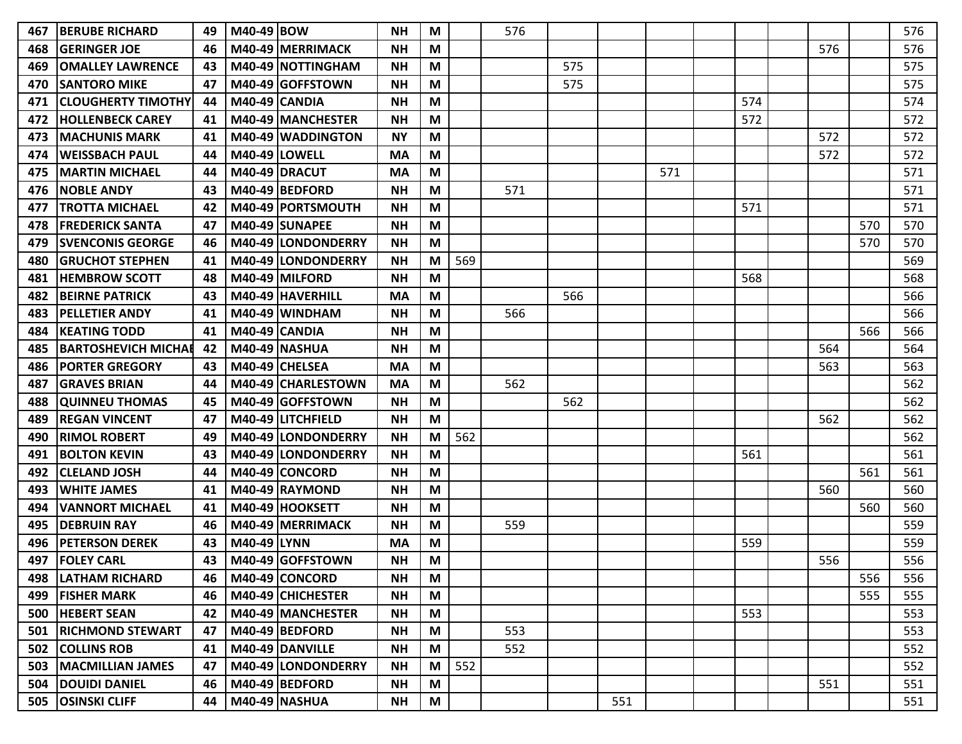| 467 | <b>BERUBE RICHARD</b>      | 49 | M40-49 BOW  |                      | <b>NH</b> | M |     | 576 |     |     |     |     |     |     | 576 |
|-----|----------------------------|----|-------------|----------------------|-----------|---|-----|-----|-----|-----|-----|-----|-----|-----|-----|
| 468 | <b>GERINGER JOE</b>        | 46 |             | M40-49 MERRIMACK     | <b>NH</b> | M |     |     |     |     |     |     | 576 |     | 576 |
| 469 | <b>OMALLEY LAWRENCE</b>    | 43 |             | M40-49 NOTTINGHAM    | <b>NH</b> | М |     |     | 575 |     |     |     |     |     | 575 |
| 470 | <b>SANTORO MIKE</b>        | 47 |             | M40-49 GOFFSTOWN     | <b>NH</b> | M |     |     | 575 |     |     |     |     |     | 575 |
| 471 | <b>CLOUGHERTY TIMOTHY</b>  | 44 |             | M40-49 CANDIA        | <b>NH</b> | M |     |     |     |     |     | 574 |     |     | 574 |
| 472 | <b>HOLLENBECK CAREY</b>    | 41 |             | M40-49 MANCHESTER    | <b>NH</b> | M |     |     |     |     |     | 572 |     |     | 572 |
| 473 | <b>MACHUNIS MARK</b>       | 41 |             | M40-49 WADDINGTON    | <b>NY</b> | M |     |     |     |     |     |     | 572 |     | 572 |
| 474 | <b>WEISSBACH PAUL</b>      | 44 |             | <b>M40-49 LOWELL</b> | <b>MA</b> | М |     |     |     |     |     |     | 572 |     | 572 |
| 475 | <b>MARTIN MICHAEL</b>      | 44 |             | M40-49 DRACUT        | МA        | M |     |     |     |     | 571 |     |     |     | 571 |
| 476 | <b>NOBLE ANDY</b>          | 43 |             | M40-49 BEDFORD       | <b>NH</b> | M |     | 571 |     |     |     |     |     |     | 571 |
| 477 | <b>TROTTA MICHAEL</b>      | 42 |             | M40-49 PORTSMOUTH    | <b>NH</b> | M |     |     |     |     |     | 571 |     |     | 571 |
| 478 | <b>FREDERICK SANTA</b>     | 47 |             | M40-49 SUNAPEE       | <b>NH</b> | M |     |     |     |     |     |     |     | 570 | 570 |
| 479 | <b>SVENCONIS GEORGE</b>    | 46 |             | M40-49 LONDONDERRY   | <b>NH</b> | M |     |     |     |     |     |     |     | 570 | 570 |
| 480 | <b>GRUCHOT STEPHEN</b>     | 41 |             | M40-49 LONDONDERRY   | <b>NH</b> | M | 569 |     |     |     |     |     |     |     | 569 |
| 481 | <b>HEMBROW SCOTT</b>       | 48 |             | M40-49 MILFORD       | <b>NH</b> | M |     |     |     |     |     | 568 |     |     | 568 |
| 482 | <b>BEIRNE PATRICK</b>      | 43 |             | M40-49 HAVERHILL     | <b>MA</b> | M |     |     | 566 |     |     |     |     |     | 566 |
| 483 | <b>PELLETIER ANDY</b>      | 41 |             | M40-49 WINDHAM       | <b>NH</b> | M |     | 566 |     |     |     |     |     |     | 566 |
| 484 | <b>KEATING TODD</b>        | 41 |             | <b>M40-49 CANDIA</b> | <b>NH</b> | M |     |     |     |     |     |     |     | 566 | 566 |
| 485 | <b>BARTOSHEVICH MICHAE</b> | 42 |             | <b>M40-49 NASHUA</b> | <b>NH</b> | M |     |     |     |     |     |     | 564 |     | 564 |
| 486 | <b>PORTER GREGORY</b>      | 43 |             | M40-49 CHELSEA       | <b>MA</b> | M |     |     |     |     |     |     | 563 |     | 563 |
| 487 | <b>GRAVES BRIAN</b>        | 44 |             | M40-49 CHARLESTOWN   | <b>MA</b> | M |     | 562 |     |     |     |     |     |     | 562 |
| 488 | <b>QUINNEU THOMAS</b>      | 45 |             | M40-49 GOFFSTOWN     | <b>NH</b> | М |     |     | 562 |     |     |     |     |     | 562 |
| 489 | <b>REGAN VINCENT</b>       | 47 |             | M40-49 LITCHFIELD    | <b>NH</b> | M |     |     |     |     |     |     | 562 |     | 562 |
| 490 | <b>RIMOL ROBERT</b>        | 49 |             | M40-49 LONDONDERRY   | <b>NH</b> | M | 562 |     |     |     |     |     |     |     | 562 |
| 491 | <b>BOLTON KEVIN</b>        | 43 |             | M40-49 LONDONDERRY   | <b>NH</b> | M |     |     |     |     |     | 561 |     |     | 561 |
| 492 | <b>CLELAND JOSH</b>        | 44 |             | M40-49 CONCORD       | <b>NH</b> | M |     |     |     |     |     |     |     | 561 | 561 |
| 493 | <b>WHITE JAMES</b>         | 41 |             | M40-49 RAYMOND       | <b>NH</b> | M |     |     |     |     |     |     | 560 |     | 560 |
| 494 | <b>VANNORT MICHAEL</b>     | 41 |             | M40-49 HOOKSETT      | <b>NH</b> | M |     |     |     |     |     |     |     | 560 | 560 |
| 495 | <b>DEBRUIN RAY</b>         | 46 |             | M40-49 MERRIMACK     | <b>NH</b> | М |     | 559 |     |     |     |     |     |     | 559 |
| 496 | <b>PETERSON DEREK</b>      | 43 | M40-49 LYNN |                      | <b>MA</b> | M |     |     |     |     |     | 559 |     |     | 559 |
| 497 | <b>FOLEY CARL</b>          | 43 |             | M40-49 GOFFSTOWN     | <b>NH</b> | M |     |     |     |     |     |     | 556 |     | 556 |
| 498 | <b>LATHAM RICHARD</b>      | 46 |             | M40-49 CONCORD       | <b>NH</b> | M |     |     |     |     |     |     |     | 556 | 556 |
| 499 | <b>FISHER MARK</b>         | 46 |             | M40-49 CHICHESTER    | <b>NH</b> | M |     |     |     |     |     |     |     | 555 | 555 |
| 500 | <b>HEBERT SEAN</b>         | 42 |             | M40-49 MANCHESTER    | <b>NH</b> | M |     |     |     |     |     | 553 |     |     | 553 |
| 501 | <b>RICHMOND STEWART</b>    | 47 |             | M40-49 BEDFORD       | <b>NH</b> | M |     | 553 |     |     |     |     |     |     | 553 |
| 502 | <b>COLLINS ROB</b>         | 41 |             | M40-49 DANVILLE      | <b>NH</b> | M |     | 552 |     |     |     |     |     |     | 552 |
| 503 | <b>MACMILLIAN JAMES</b>    | 47 |             | M40-49 LONDONDERRY   | <b>NH</b> | M | 552 |     |     |     |     |     |     |     | 552 |
| 504 | <b>DOUIDI DANIEL</b>       | 46 |             | M40-49 BEDFORD       | <b>NH</b> | M |     |     |     |     |     |     | 551 |     | 551 |
| 505 | <b>OSINSKI CLIFF</b>       | 44 |             | <b>M40-49 NASHUA</b> | <b>NH</b> | M |     |     |     | 551 |     |     |     |     | 551 |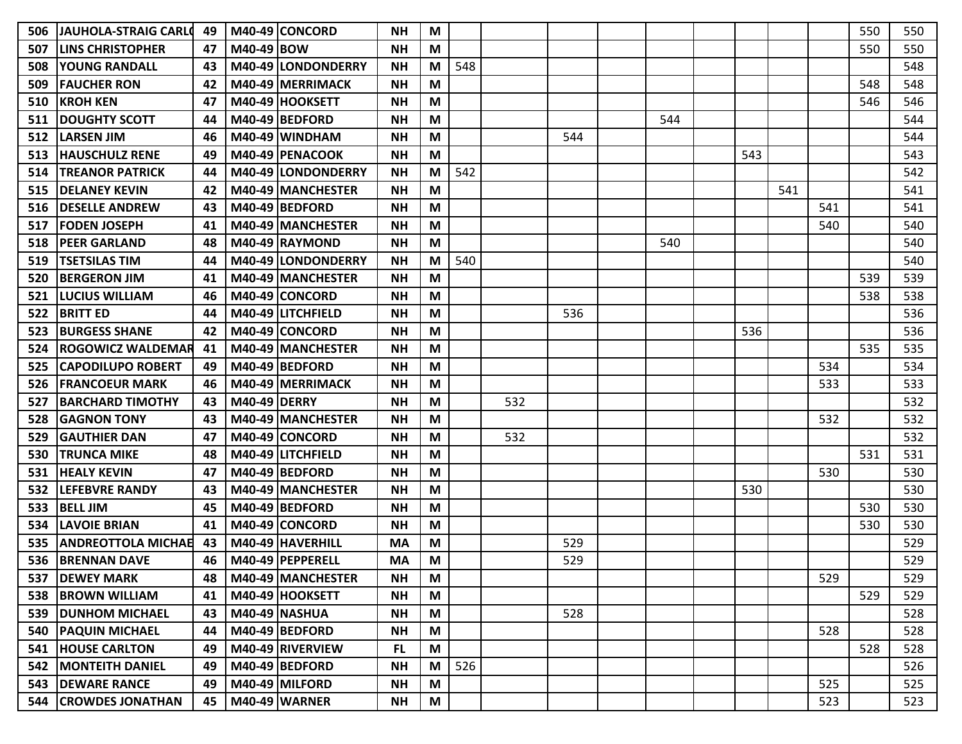| 506<br>507 | <b>JAUHOLA-STRAIG CARLO</b><br><b>LINS CHRISTOPHER</b> | 49<br>47 | M40-49 BOW          | M40-49 CONCORD       | <b>NH</b><br><b>NH</b> | M<br>M |     |     |     |     |     |     |     | 550<br>550 | 550<br>550 |
|------------|--------------------------------------------------------|----------|---------------------|----------------------|------------------------|--------|-----|-----|-----|-----|-----|-----|-----|------------|------------|
| 508        | <b>YOUNG RANDALL</b>                                   | 43       |                     | M40-49 LONDONDERRY   | <b>NH</b>              | M      | 548 |     |     |     |     |     |     |            | 548        |
| 509        | <b>FAUCHER RON</b>                                     | 42       |                     | M40-49 MERRIMACK     | <b>NH</b>              | M      |     |     |     |     |     |     |     | 548        | 548        |
| 510        | <b>KROH KEN</b>                                        | 47       |                     | M40-49 HOOKSETT      | <b>NH</b>              | M      |     |     |     |     |     |     |     | 546        | 546        |
| 511        | <b>DOUGHTY SCOTT</b>                                   | 44       |                     | M40-49 BEDFORD       | <b>NH</b>              | M      |     |     |     | 544 |     |     |     |            | 544        |
| 512        | <b>LARSEN JIM</b>                                      | 46       |                     | M40-49 WINDHAM       | <b>NH</b>              | M      |     |     | 544 |     |     |     |     |            | 544        |
| 513        | <b>HAUSCHULZ RENE</b>                                  | 49       |                     | M40-49 PENACOOK      | <b>NH</b>              | M      |     |     |     |     | 543 |     |     |            | 543        |
| 514        | <b>TREANOR PATRICK</b>                                 | 44       |                     | M40-49 LONDONDERRY   | <b>NH</b>              | M      | 542 |     |     |     |     |     |     |            | 542        |
| 515        | <b>DELANEY KEVIN</b>                                   | 42       |                     | M40-49 IMANCHESTER   | <b>NH</b>              | М      |     |     |     |     |     | 541 |     |            | 541        |
| 516        | <b>DESELLE ANDREW</b>                                  | 43       |                     | M40-49 BEDFORD       | <b>NH</b>              | M      |     |     |     |     |     |     | 541 |            | 541        |
| 517        | <b>FODEN JOSEPH</b>                                    | 41       |                     | M40-49 MANCHESTER    | <b>NH</b>              | M      |     |     |     |     |     |     | 540 |            | 540        |
| 518        | <b>PEER GARLAND</b>                                    | 48       |                     | M40-49 RAYMOND       | <b>NH</b>              | M      |     |     |     | 540 |     |     |     |            | 540        |
| 519        | <b>TSETSILAS TIM</b>                                   | 44       |                     | M40-49 LONDONDERRY   | <b>NH</b>              | M      | 540 |     |     |     |     |     |     |            | 540        |
| 520        | <b>BERGERON JIM</b>                                    | 41       |                     | M40-49 MANCHESTER    | <b>NH</b>              | M      |     |     |     |     |     |     |     | 539        | 539        |
| 521        | <b>LUCIUS WILLIAM</b>                                  | 46       |                     | M40-49 CONCORD       | <b>NH</b>              | M      |     |     |     |     |     |     |     | 538        | 538        |
| 522        | <b>BRITT ED</b>                                        | 44       |                     | M40-49 LITCHFIELD    | <b>NH</b>              | M      |     |     | 536 |     |     |     |     |            | 536        |
| 523        | <b>BURGESS SHANE</b>                                   | 42       |                     | M40-49 CONCORD       | <b>NH</b>              | M      |     |     |     |     | 536 |     |     |            | 536        |
| 524        | <b>ROGOWICZ WALDEMAR</b>                               | 41       |                     | M40-49 MANCHESTER    | <b>NH</b>              | M      |     |     |     |     |     |     |     | 535        | 535        |
| 525        | <b>CAPODILUPO ROBERT</b>                               | 49       |                     | M40-49 BEDFORD       | <b>NH</b>              | M      |     |     |     |     |     |     | 534 |            | 534        |
| 526        | <b>FRANCOEUR MARK</b>                                  | 46       |                     | M40-49 MERRIMACK     | <b>NH</b>              | M      |     |     |     |     |     |     | 533 |            | 533        |
| 527        | <b>BARCHARD TIMOTHY</b>                                | 43       | <b>M40-49 DERRY</b> |                      | <b>NH</b>              | M      |     | 532 |     |     |     |     |     |            | 532        |
| 528        | <b>GAGNON TONY</b>                                     | 43       |                     | M40-49 MANCHESTER    | <b>NH</b>              | M      |     |     |     |     |     |     | 532 |            | 532        |
| 529        | <b>GAUTHIER DAN</b>                                    | 47       |                     | M40-49 CONCORD       | <b>NH</b>              | M      |     | 532 |     |     |     |     |     |            | 532        |
| 530        | <b>TRUNCA MIKE</b>                                     | 48       |                     | M40-49 LITCHFIELD    | <b>NH</b>              | M      |     |     |     |     |     |     |     | 531        | 531        |
| 531        | <b>HEALY KEVIN</b>                                     | 47       |                     | M40-49 BEDFORD       | <b>NH</b>              | M      |     |     |     |     |     |     | 530 |            | 530        |
| 532        | <b>LEFEBVRE RANDY</b>                                  | 43       |                     | M40-49 MANCHESTER    | <b>NH</b>              | M      |     |     |     |     | 530 |     |     |            | 530        |
| 533        | <b>BELL JIM</b>                                        | 45       |                     | M40-49 BEDFORD       | <b>NH</b>              | M      |     |     |     |     |     |     |     | 530        | 530        |
| 534        | <b>LAVOIE BRIAN</b>                                    | 41       |                     | M40-49 CONCORD       | <b>NH</b>              | M      |     |     |     |     |     |     |     | 530        | 530        |
| 535        | <b>ANDREOTTOLA MICHAE</b>                              | 43       |                     | M40-49 HAVERHILL     | <b>MA</b>              | M      |     |     | 529 |     |     |     |     |            | 529        |
| 536        | <b>BRENNAN DAVE</b>                                    | 46       |                     | M40-49 PEPPERELL     | <b>MA</b>              | M      |     |     | 529 |     |     |     |     |            | 529        |
| 537        | <b>DEWEY MARK</b>                                      | 48       |                     | M40-49 MANCHESTER    | <b>NH</b>              | M      |     |     |     |     |     |     | 529 |            | 529        |
| 538        | <b>BROWN WILLIAM</b>                                   | 41       |                     | M40-49 HOOKSETT      | <b>NH</b>              | M      |     |     |     |     |     |     |     | 529        | 529        |
| 539        | <b>DUNHOM MICHAEL</b>                                  | 43       |                     | <b>M40-49 NASHUA</b> | <b>NH</b>              | M      |     |     | 528 |     |     |     |     |            | 528        |
| 540        | <b>PAQUIN MICHAEL</b>                                  | 44       |                     | $M40-49$ BEDFORD     | <b>NH</b>              | M      |     |     |     |     |     |     | 528 |            | 528        |
| 541        | <b>HOUSE CARLTON</b>                                   | 49       |                     | M40-49 RIVERVIEW     | <b>FL</b>              | M      |     |     |     |     |     |     |     | 528        | 528        |
| 542        | <b>MONTEITH DANIEL</b>                                 | 49       |                     | $M40-49$ BEDFORD     | <b>NH</b>              | M      | 526 |     |     |     |     |     |     |            | 526        |
| 543        | <b>DEWARE RANCE</b>                                    | 49       |                     | M40-49 MILFORD       | <b>NH</b>              | M      |     |     |     |     |     |     | 525 |            | 525        |
| 544        | <b>CROWDES JONATHAN</b>                                | 45       |                     | <b>M40-49 WARNER</b> | <b>NH</b>              | M      |     |     |     |     |     |     | 523 |            | 523        |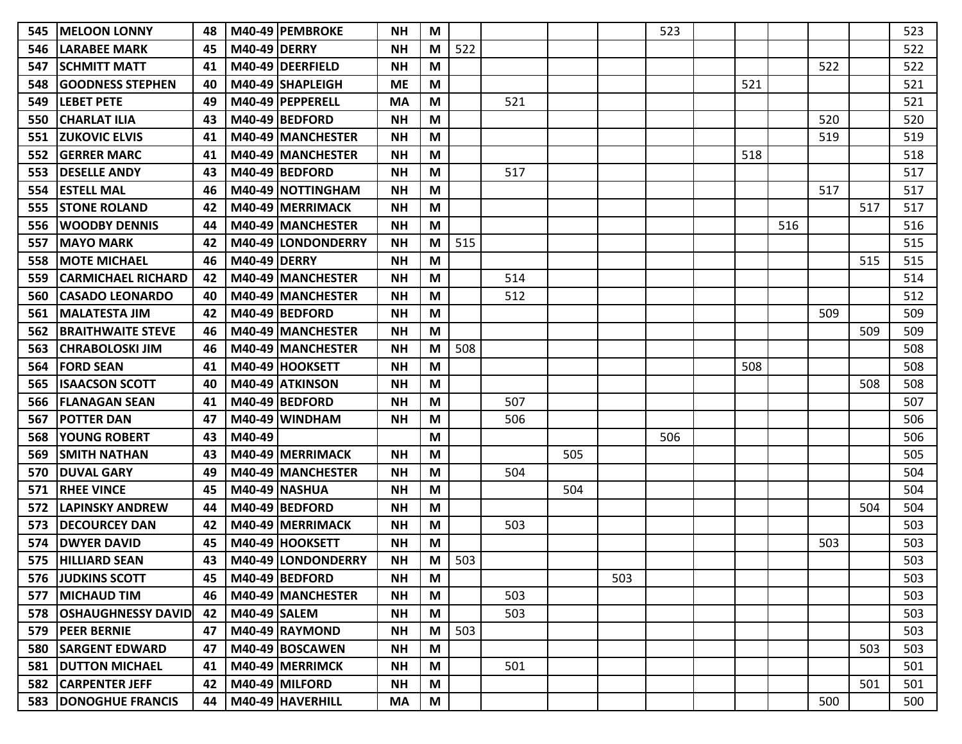| IMELOON LONNY                | 48 |        | <b>NH</b>                                                                                                                                                                                                                                                                                                                                                                                                                                                                                                                                                                                                                                                                                                                                                                            | M |     |     |     |     | 523 |     |     |     |     | 523 |
|------------------------------|----|--------|--------------------------------------------------------------------------------------------------------------------------------------------------------------------------------------------------------------------------------------------------------------------------------------------------------------------------------------------------------------------------------------------------------------------------------------------------------------------------------------------------------------------------------------------------------------------------------------------------------------------------------------------------------------------------------------------------------------------------------------------------------------------------------------|---|-----|-----|-----|-----|-----|-----|-----|-----|-----|-----|
| lLARABEE MARK                | 45 |        | <b>NH</b>                                                                                                                                                                                                                                                                                                                                                                                                                                                                                                                                                                                                                                                                                                                                                                            | M | 522 |     |     |     |     |     |     |     |     | 522 |
| <b>ISCHMITT MATT</b>         | 41 |        | <b>NH</b>                                                                                                                                                                                                                                                                                                                                                                                                                                                                                                                                                                                                                                                                                                                                                                            | M |     |     |     |     |     |     |     | 522 |     | 522 |
| <b>GOODNESS STEPHEN</b>      | 40 |        | <b>ME</b>                                                                                                                                                                                                                                                                                                                                                                                                                                                                                                                                                                                                                                                                                                                                                                            | M |     |     |     |     |     | 521 |     |     |     | 521 |
| <b>LEBET PETE</b>            | 49 |        | <b>MA</b>                                                                                                                                                                                                                                                                                                                                                                                                                                                                                                                                                                                                                                                                                                                                                                            | M |     | 521 |     |     |     |     |     |     |     | 521 |
| <b>CHARLAT ILIA</b>          | 43 |        | <b>NH</b>                                                                                                                                                                                                                                                                                                                                                                                                                                                                                                                                                                                                                                                                                                                                                                            | M |     |     |     |     |     |     |     | 520 |     | 520 |
| <b>IZUKOVIC ELVIS</b>        | 41 |        | <b>NH</b>                                                                                                                                                                                                                                                                                                                                                                                                                                                                                                                                                                                                                                                                                                                                                                            | M |     |     |     |     |     |     |     | 519 |     | 519 |
| <b>GERRER MARC</b>           | 41 |        | <b>NH</b>                                                                                                                                                                                                                                                                                                                                                                                                                                                                                                                                                                                                                                                                                                                                                                            | M |     |     |     |     |     | 518 |     |     |     | 518 |
| <b>DESELLE ANDY</b>          | 43 |        | <b>NH</b>                                                                                                                                                                                                                                                                                                                                                                                                                                                                                                                                                                                                                                                                                                                                                                            | M |     | 517 |     |     |     |     |     |     |     | 517 |
| <b>IESTELL MAL</b>           | 46 |        | <b>NH</b>                                                                                                                                                                                                                                                                                                                                                                                                                                                                                                                                                                                                                                                                                                                                                                            | M |     |     |     |     |     |     |     | 517 |     | 517 |
| <b>STONE ROLAND</b>          | 42 |        | <b>NH</b>                                                                                                                                                                                                                                                                                                                                                                                                                                                                                                                                                                                                                                                                                                                                                                            | M |     |     |     |     |     |     |     |     | 517 | 517 |
| <b>WOODBY DENNIS</b>         | 44 |        | <b>NH</b>                                                                                                                                                                                                                                                                                                                                                                                                                                                                                                                                                                                                                                                                                                                                                                            | M |     |     |     |     |     |     | 516 |     |     | 516 |
| <b>MAYO MARK</b>             | 42 |        | <b>NH</b>                                                                                                                                                                                                                                                                                                                                                                                                                                                                                                                                                                                                                                                                                                                                                                            | M | 515 |     |     |     |     |     |     |     |     | 515 |
| <b>MOTE MICHAEL</b>          | 46 |        | <b>NH</b>                                                                                                                                                                                                                                                                                                                                                                                                                                                                                                                                                                                                                                                                                                                                                                            | M |     |     |     |     |     |     |     |     | 515 | 515 |
| CARMICHAEL RICHARD           | 42 |        | <b>NH</b>                                                                                                                                                                                                                                                                                                                                                                                                                                                                                                                                                                                                                                                                                                                                                                            | M |     | 514 |     |     |     |     |     |     |     | 514 |
| <b>CASADO LEONARDO</b>       | 40 |        | <b>NH</b>                                                                                                                                                                                                                                                                                                                                                                                                                                                                                                                                                                                                                                                                                                                                                                            | M |     | 512 |     |     |     |     |     |     |     | 512 |
| <b>MALATESTA JIM</b>         | 42 |        | <b>NH</b>                                                                                                                                                                                                                                                                                                                                                                                                                                                                                                                                                                                                                                                                                                                                                                            | M |     |     |     |     |     |     |     | 509 |     | 509 |
| <b>BRAITHWAITE STEVE</b>     | 46 |        | <b>NH</b>                                                                                                                                                                                                                                                                                                                                                                                                                                                                                                                                                                                                                                                                                                                                                                            | M |     |     |     |     |     |     |     |     | 509 | 509 |
| <b>ICHRABOLOSKI JIM</b>      | 46 |        | <b>NH</b>                                                                                                                                                                                                                                                                                                                                                                                                                                                                                                                                                                                                                                                                                                                                                                            | M | 508 |     |     |     |     |     |     |     |     | 508 |
| <b>FORD SEAN</b>             | 41 |        | <b>NH</b>                                                                                                                                                                                                                                                                                                                                                                                                                                                                                                                                                                                                                                                                                                                                                                            | M |     |     |     |     |     | 508 |     |     |     | 508 |
| <b>ISAACSON SCOTT</b>        | 40 |        | <b>NH</b>                                                                                                                                                                                                                                                                                                                                                                                                                                                                                                                                                                                                                                                                                                                                                                            | M |     |     |     |     |     |     |     |     | 508 | 508 |
| IFLANAGAN SEAN               | 41 |        | <b>NH</b>                                                                                                                                                                                                                                                                                                                                                                                                                                                                                                                                                                                                                                                                                                                                                                            | M |     | 507 |     |     |     |     |     |     |     | 507 |
| <b>POTTER DAN</b>            | 47 |        | <b>NH</b>                                                                                                                                                                                                                                                                                                                                                                                                                                                                                                                                                                                                                                                                                                                                                                            | M |     | 506 |     |     |     |     |     |     |     | 506 |
| YOUNG ROBERT                 | 43 | M40-49 |                                                                                                                                                                                                                                                                                                                                                                                                                                                                                                                                                                                                                                                                                                                                                                                      | M |     |     |     |     | 506 |     |     |     |     | 506 |
| <b>SMITH NATHAN</b>          | 43 |        | <b>NH</b>                                                                                                                                                                                                                                                                                                                                                                                                                                                                                                                                                                                                                                                                                                                                                                            | M |     |     | 505 |     |     |     |     |     |     | 505 |
| <b>DUVAL GARY</b>            | 49 |        | <b>NH</b>                                                                                                                                                                                                                                                                                                                                                                                                                                                                                                                                                                                                                                                                                                                                                                            | M |     | 504 |     |     |     |     |     |     |     | 504 |
| <b>RHEE VINCE</b>            | 45 |        | <b>NH</b>                                                                                                                                                                                                                                                                                                                                                                                                                                                                                                                                                                                                                                                                                                                                                                            | M |     |     | 504 |     |     |     |     |     |     | 504 |
| <b>LAPINSKY ANDREW</b>       | 44 |        | <b>NH</b>                                                                                                                                                                                                                                                                                                                                                                                                                                                                                                                                                                                                                                                                                                                                                                            | M |     |     |     |     |     |     |     |     | 504 | 504 |
| <b>IDECOURCEY DAN</b>        | 42 |        | <b>NH</b>                                                                                                                                                                                                                                                                                                                                                                                                                                                                                                                                                                                                                                                                                                                                                                            | M |     | 503 |     |     |     |     |     |     |     | 503 |
| <b>DWYER DAVID</b>           | 45 |        | <b>NH</b>                                                                                                                                                                                                                                                                                                                                                                                                                                                                                                                                                                                                                                                                                                                                                                            | M |     |     |     |     |     |     |     | 503 |     | 503 |
| <b>HILLIARD SEAN</b>         | 43 |        | <b>NH</b>                                                                                                                                                                                                                                                                                                                                                                                                                                                                                                                                                                                                                                                                                                                                                                            | M | 503 |     |     |     |     |     |     |     |     | 503 |
| <b>576 JUDKINS SCOTT</b>     | 45 |        | <b>NH</b>                                                                                                                                                                                                                                                                                                                                                                                                                                                                                                                                                                                                                                                                                                                                                                            | M |     |     |     | 503 |     |     |     |     |     | 503 |
| <b>MICHAUD TIM</b>           | 46 |        | <b>NH</b>                                                                                                                                                                                                                                                                                                                                                                                                                                                                                                                                                                                                                                                                                                                                                                            | M |     | 503 |     |     |     |     |     |     |     | 503 |
| <b>OSHAUGHNESSY DAVID</b>    | 42 |        | <b>NH</b>                                                                                                                                                                                                                                                                                                                                                                                                                                                                                                                                                                                                                                                                                                                                                                            | M |     | 503 |     |     |     |     |     |     |     | 503 |
| 579 PEER BERNIE              | 47 |        | <b>NH</b>                                                                                                                                                                                                                                                                                                                                                                                                                                                                                                                                                                                                                                                                                                                                                                            | M | 503 |     |     |     |     |     |     |     |     | 503 |
| <b>SARGENT EDWARD</b>        | 47 |        | <b>NH</b>                                                                                                                                                                                                                                                                                                                                                                                                                                                                                                                                                                                                                                                                                                                                                                            | M |     |     |     |     |     |     |     |     | 503 | 503 |
| <b>DUTTON MICHAEL</b>        | 41 |        | <b>NH</b>                                                                                                                                                                                                                                                                                                                                                                                                                                                                                                                                                                                                                                                                                                                                                                            | M |     | 501 |     |     |     |     |     |     |     | 501 |
| <b>CARPENTER JEFF</b>        | 42 |        | <b>NH</b>                                                                                                                                                                                                                                                                                                                                                                                                                                                                                                                                                                                                                                                                                                                                                                            | M |     |     |     |     |     |     |     |     | 501 | 501 |
| <b>583  DONOGHUE FRANCIS</b> | 44 |        | MA                                                                                                                                                                                                                                                                                                                                                                                                                                                                                                                                                                                                                                                                                                                                                                                   | M |     |     |     |     |     |     |     | 500 |     | 500 |
|                              |    |        | M40-49 PEMBROKE<br><b>M40-49 DERRY</b><br>M40-49 DEERFIELD<br>M40-49 SHAPLEIGH<br>M40-49 PEPPERELL<br>M40-49 BEDFORD<br>M40-49 MANCHESTER<br>M40-49 MANCHESTER<br>M40-49 BEDFORD<br>M40-49 NOTTINGHAM<br>M40-49 MERRIMACK<br>M40-49 MANCHESTER<br>M40-49 LONDONDERRY<br><b>M40-49 DERRY</b><br>M40-49 MANCHESTER<br>M40-49 MANCHESTER<br>M40-49 BEDFORD<br>M40-49 MANCHESTER<br>M40-49 MANCHESTER<br>M40-49 HOOKSETT<br>M40-49 ATKINSON<br>M40-49 BEDFORD<br>$M40-49$ WINDHAM<br>M40-49 MERRIMACK<br>M40-49 MANCHESTER<br><b>M40-49 NASHUA</b><br>M40-49 BEDFORD<br>M40-49 MERRIMACK<br>M40-49 HOOKSETT<br>M40-49 LONDONDERRY<br>M40-49 BEDFORD<br>M40-49 MANCHESTER<br>M40-49 SALEM<br>$M40-49$ RAYMOND<br>M40-49 BOSCAWEN<br>M40-49 MERRIMCK<br>M40-49 MILFORD<br>M40-49 HAVERHILL |   |     |     |     |     |     |     |     |     |     |     |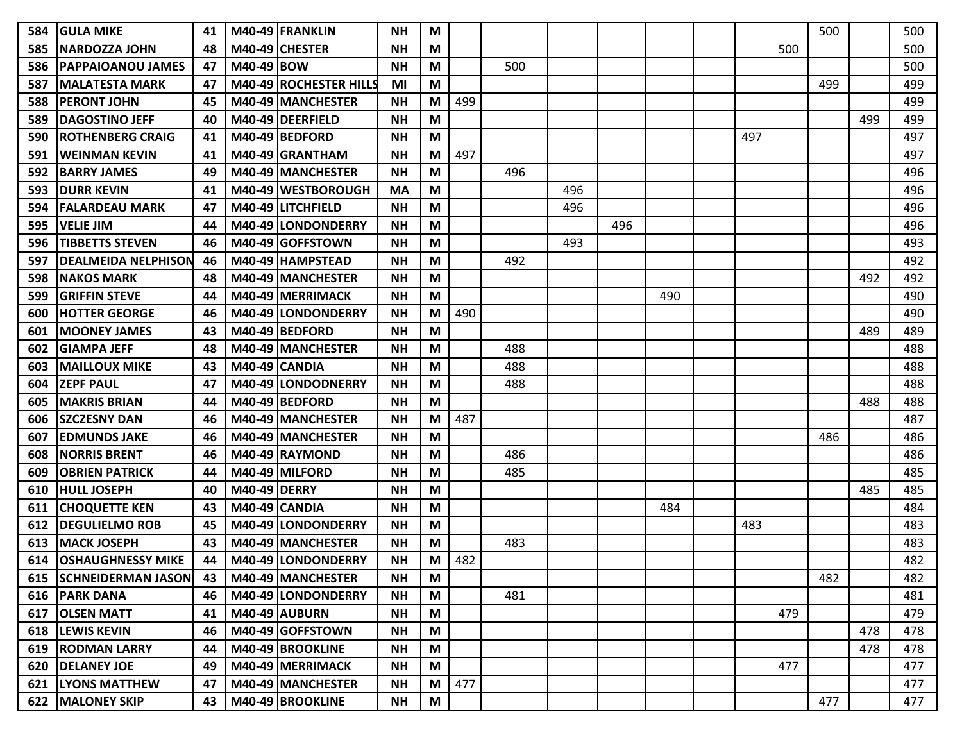| 584 | <b>GULA MIKE</b>           | 41 |                     | M40-49 FRANKLIN           | <b>NH</b> | M |     |     |     |     |     |     |     | 500 |     | 500 |
|-----|----------------------------|----|---------------------|---------------------------|-----------|---|-----|-----|-----|-----|-----|-----|-----|-----|-----|-----|
| 585 | INARDOZZA JOHN             | 48 |                     | M40-49 CHESTER            | <b>NH</b> | M |     |     |     |     |     |     | 500 |     |     | 500 |
| 586 | <b>PAPPAIOANOU JAMES</b>   | 47 | M40-49 BOW          |                           | <b>NH</b> | M |     | 500 |     |     |     |     |     |     |     | 500 |
| 587 | <b>MALATESTA MARK</b>      | 47 |                     | M40-49 ROCHESTER HILLS    | MI        | M |     |     |     |     |     |     |     | 499 |     | 499 |
| 588 | <b>PERONT JOHN</b>         | 45 |                     | M40-49 MANCHESTER         | <b>NH</b> | M | 499 |     |     |     |     |     |     |     |     | 499 |
| 589 | <b>DAGOSTINO JEFF</b>      | 40 |                     | M40-49 DEERFIELD          | <b>NH</b> | M |     |     |     |     |     |     |     |     | 499 | 499 |
| 590 | <b>ROTHENBERG CRAIG</b>    | 41 |                     | M40-49 BEDFORD            | <b>NH</b> | M |     |     |     |     |     | 497 |     |     |     | 497 |
| 591 | WEINMAN KEVIN              | 41 |                     | M40-49 GRANTHAM           | <b>NH</b> | M | 497 |     |     |     |     |     |     |     |     | 497 |
| 592 | <b>BARRY JAMES</b>         | 49 |                     | M40-49 MANCHESTER         | <b>NH</b> | M |     | 496 |     |     |     |     |     |     |     | 496 |
| 593 | <b>DURR KEVIN</b>          | 41 |                     | M40-49 WESTBOROUGH        | <b>MA</b> | M |     |     | 496 |     |     |     |     |     |     | 496 |
| 594 | <b>FALARDEAU MARK</b>      | 47 |                     | M40-49 LITCHFIELD         | <b>NH</b> | M |     |     | 496 |     |     |     |     |     |     | 496 |
| 595 | <b>VELIE JIM</b>           | 44 |                     | M40-49 LONDONDERRY        | <b>NH</b> | M |     |     |     | 496 |     |     |     |     |     | 496 |
| 596 | <b>TIBBETTS STEVEN</b>     | 46 |                     | M40-49 GOFFSTOWN          | <b>NH</b> | M |     |     | 493 |     |     |     |     |     |     | 493 |
| 597 | <b>DEALMEIDA NELPHISON</b> | 46 |                     | M40-49 HAMPSTEAD          | <b>NH</b> | M |     | 492 |     |     |     |     |     |     |     | 492 |
| 598 | <b>NAKOS MARK</b>          | 48 |                     | <b>M40-49 IMANCHESTER</b> | <b>NH</b> | M |     |     |     |     |     |     |     |     | 492 | 492 |
| 599 | <b>GRIFFIN STEVE</b>       | 44 |                     | M40-49 MERRIMACK          | <b>NH</b> | M |     |     |     |     | 490 |     |     |     |     | 490 |
| 600 | <b>HOTTER GEORGE</b>       | 46 |                     | M40-49 LONDONDERRY        | <b>NH</b> | M | 490 |     |     |     |     |     |     |     |     | 490 |
| 601 | <b>MOONEY JAMES</b>        | 43 |                     | M40-49 BEDFORD            | <b>NH</b> | M |     |     |     |     |     |     |     |     | 489 | 489 |
| 602 | <b>GIAMPA JEFF</b>         | 48 |                     | M40-49 MANCHESTER         | <b>NH</b> | M |     | 488 |     |     |     |     |     |     |     | 488 |
| 603 | <b>MAILLOUX MIKE</b>       | 43 |                     | M40-49 CANDIA             | <b>NH</b> | M |     | 488 |     |     |     |     |     |     |     | 488 |
| 604 | <b>ZEPF PAUL</b>           | 47 |                     | M40-49 LONDODNERRY        | <b>NH</b> | M |     | 488 |     |     |     |     |     |     |     | 488 |
| 605 | <b>MAKRIS BRIAN</b>        | 44 |                     | M40-49 BEDFORD            | <b>NH</b> | M |     |     |     |     |     |     |     |     | 488 | 488 |
| 606 | <b>SZCZESNY DAN</b>        | 46 |                     | M40-49 MANCHESTER         | <b>NH</b> | M | 487 |     |     |     |     |     |     |     |     | 487 |
| 607 | <b>EDMUNDS JAKE</b>        | 46 |                     | M40-49 MANCHESTER         | <b>NH</b> | M |     |     |     |     |     |     |     | 486 |     | 486 |
| 608 | <b>NORRIS BRENT</b>        | 46 |                     | M40-49 RAYMOND            | <b>NH</b> | M |     | 486 |     |     |     |     |     |     |     | 486 |
| 609 | <b>OBRIEN PATRICK</b>      | 44 |                     | M40-49 MILFORD            | <b>NH</b> | M |     | 485 |     |     |     |     |     |     |     | 485 |
| 610 | <b>HULL JOSEPH</b>         | 40 | <b>M40-49 DERRY</b> |                           | <b>NH</b> | M |     |     |     |     |     |     |     |     | 485 | 485 |
| 611 | <b>CHOQUETTE KEN</b>       | 43 |                     | M40-49 CANDIA             | <b>NH</b> | M |     |     |     |     | 484 |     |     |     |     | 484 |
| 612 | <b>DEGULIELMO ROB</b>      | 45 |                     | M40-49 LONDONDERRY        | <b>NH</b> | M |     |     |     |     |     | 483 |     |     |     | 483 |
| 613 | <b>MACK JOSEPH</b>         | 43 |                     | M40-49 MANCHESTER         | <b>NH</b> | M |     | 483 |     |     |     |     |     |     |     | 483 |
| 614 | <b>OSHAUGHNESSY MIKE</b>   | 44 |                     | M40-49 LONDONDERRY        | <b>NH</b> | M | 482 |     |     |     |     |     |     |     |     | 482 |
|     | 615   SCHNEIDERMAN JASON   | 43 |                     | M40-49 MANCHESTER         | <b>NH</b> | M |     |     |     |     |     |     |     | 482 |     | 482 |
|     | 616 PARK DANA              | 46 |                     | M40-49 LONDONDERRY        | <b>NH</b> | M |     | 481 |     |     |     |     |     |     |     | 481 |
| 617 | <b>OLSEN MATT</b>          | 41 |                     | M40-49 AUBURN             | <b>NH</b> | M |     |     |     |     |     |     | 479 |     |     | 479 |
|     | 618 LEWIS KEVIN            | 46 |                     | M40-49 GOFFSTOWN          | <b>NH</b> | M |     |     |     |     |     |     |     |     | 478 | 478 |
|     | 619   RODMAN LARRY         | 44 |                     | M40-49 BROOKLINE          | <b>NH</b> | M |     |     |     |     |     |     |     |     | 478 | 478 |
| 620 | <b>DELANEY JOE</b>         | 49 |                     | M40-49 MERRIMACK          | <b>NH</b> | M |     |     |     |     |     |     | 477 |     |     | 477 |
|     | <b>621  LYONS MATTHEW</b>  | 47 |                     | M40-49 MANCHESTER         | <b>NH</b> | M | 477 |     |     |     |     |     |     |     |     | 477 |
|     | 622   MALONEY SKIP         | 43 |                     | M40-49 BROOKLINE          | <b>NH</b> | M |     |     |     |     |     |     |     | 477 |     | 477 |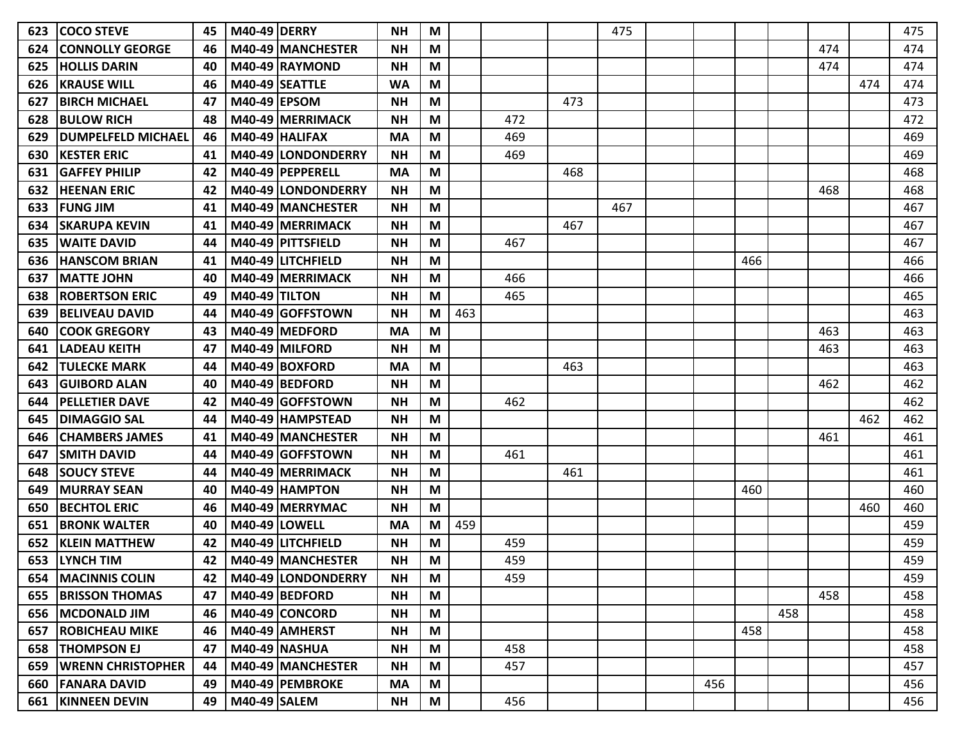| <b>COCO STEVE</b>         | 45 |  | <b>NH</b>                                                                                                                                                                                                                                                                                                                                                                                                                                                                                                                                                                                                                                                                                                                                                                                                              | M                                                                                     |     |     |     | 475 |     |     |     |     |     | 475 |
|---------------------------|----|--|------------------------------------------------------------------------------------------------------------------------------------------------------------------------------------------------------------------------------------------------------------------------------------------------------------------------------------------------------------------------------------------------------------------------------------------------------------------------------------------------------------------------------------------------------------------------------------------------------------------------------------------------------------------------------------------------------------------------------------------------------------------------------------------------------------------------|---------------------------------------------------------------------------------------|-----|-----|-----|-----|-----|-----|-----|-----|-----|-----|
| <b>CONNOLLY GEORGE</b>    | 46 |  | <b>NH</b>                                                                                                                                                                                                                                                                                                                                                                                                                                                                                                                                                                                                                                                                                                                                                                                                              | M                                                                                     |     |     |     |     |     |     |     | 474 |     | 474 |
| <b>HOLLIS DARIN</b>       | 40 |  | <b>NH</b>                                                                                                                                                                                                                                                                                                                                                                                                                                                                                                                                                                                                                                                                                                                                                                                                              | M                                                                                     |     |     |     |     |     |     |     | 474 |     | 474 |
| <b>KRAUSE WILL</b>        | 46 |  | <b>WA</b>                                                                                                                                                                                                                                                                                                                                                                                                                                                                                                                                                                                                                                                                                                                                                                                                              | M                                                                                     |     |     |     |     |     |     |     |     | 474 | 474 |
| <b>BIRCH MICHAEL</b>      | 47 |  | <b>NH</b>                                                                                                                                                                                                                                                                                                                                                                                                                                                                                                                                                                                                                                                                                                                                                                                                              | M                                                                                     |     |     | 473 |     |     |     |     |     |     | 473 |
| <b>BULOW RICH</b>         | 48 |  | <b>NH</b>                                                                                                                                                                                                                                                                                                                                                                                                                                                                                                                                                                                                                                                                                                                                                                                                              | M                                                                                     |     | 472 |     |     |     |     |     |     |     | 472 |
| <b>DUMPELFELD MICHAEL</b> | 46 |  | <b>MA</b>                                                                                                                                                                                                                                                                                                                                                                                                                                                                                                                                                                                                                                                                                                                                                                                                              | M                                                                                     |     | 469 |     |     |     |     |     |     |     | 469 |
| <b>KESTER ERIC</b>        | 41 |  | <b>NH</b>                                                                                                                                                                                                                                                                                                                                                                                                                                                                                                                                                                                                                                                                                                                                                                                                              | M                                                                                     |     | 469 |     |     |     |     |     |     |     | 469 |
| <b>GAFFEY PHILIP</b>      | 42 |  | <b>MA</b>                                                                                                                                                                                                                                                                                                                                                                                                                                                                                                                                                                                                                                                                                                                                                                                                              | M                                                                                     |     |     | 468 |     |     |     |     |     |     | 468 |
| <b>HEENAN ERIC</b>        | 42 |  | <b>NH</b>                                                                                                                                                                                                                                                                                                                                                                                                                                                                                                                                                                                                                                                                                                                                                                                                              | M                                                                                     |     |     |     |     |     |     |     | 468 |     | 468 |
| <b>FUNG JIM</b>           | 41 |  | <b>NH</b>                                                                                                                                                                                                                                                                                                                                                                                                                                                                                                                                                                                                                                                                                                                                                                                                              | M                                                                                     |     |     |     | 467 |     |     |     |     |     | 467 |
| <b>SKARUPA KEVIN</b>      | 41 |  | <b>NH</b>                                                                                                                                                                                                                                                                                                                                                                                                                                                                                                                                                                                                                                                                                                                                                                                                              | M                                                                                     |     |     | 467 |     |     |     |     |     |     | 467 |
| <b>WAITE DAVID</b>        | 44 |  | <b>NH</b>                                                                                                                                                                                                                                                                                                                                                                                                                                                                                                                                                                                                                                                                                                                                                                                                              | M                                                                                     |     | 467 |     |     |     |     |     |     |     | 467 |
| <b>HANSCOM BRIAN</b>      | 41 |  | <b>NH</b>                                                                                                                                                                                                                                                                                                                                                                                                                                                                                                                                                                                                                                                                                                                                                                                                              | M                                                                                     |     |     |     |     |     | 466 |     |     |     | 466 |
| <b>MATTE JOHN</b>         | 40 |  | <b>NH</b>                                                                                                                                                                                                                                                                                                                                                                                                                                                                                                                                                                                                                                                                                                                                                                                                              | M                                                                                     |     | 466 |     |     |     |     |     |     |     | 466 |
| <b>IROBERTSON ERIC</b>    | 49 |  | <b>NH</b>                                                                                                                                                                                                                                                                                                                                                                                                                                                                                                                                                                                                                                                                                                                                                                                                              | M                                                                                     |     | 465 |     |     |     |     |     |     |     | 465 |
| <b>IBELIVEAU DAVID</b>    | 44 |  | <b>NH</b>                                                                                                                                                                                                                                                                                                                                                                                                                                                                                                                                                                                                                                                                                                                                                                                                              | M                                                                                     | 463 |     |     |     |     |     |     |     |     | 463 |
| <b>COOK GREGORY</b>       | 43 |  | <b>MA</b>                                                                                                                                                                                                                                                                                                                                                                                                                                                                                                                                                                                                                                                                                                                                                                                                              | M                                                                                     |     |     |     |     |     |     |     | 463 |     | 463 |
| <b>LADEAU KEITH</b>       | 47 |  | <b>NH</b>                                                                                                                                                                                                                                                                                                                                                                                                                                                                                                                                                                                                                                                                                                                                                                                                              | M                                                                                     |     |     |     |     |     |     |     | 463 |     | 463 |
| <b>TULECKE MARK</b>       | 44 |  | <b>MA</b>                                                                                                                                                                                                                                                                                                                                                                                                                                                                                                                                                                                                                                                                                                                                                                                                              | M                                                                                     |     |     | 463 |     |     |     |     |     |     | 463 |
| <b>IGUIBORD ALAN</b>      | 40 |  | <b>NH</b>                                                                                                                                                                                                                                                                                                                                                                                                                                                                                                                                                                                                                                                                                                                                                                                                              | M                                                                                     |     |     |     |     |     |     |     | 462 |     | 462 |
| <b>PELLETIER DAVE</b>     | 42 |  | <b>NH</b>                                                                                                                                                                                                                                                                                                                                                                                                                                                                                                                                                                                                                                                                                                                                                                                                              | M                                                                                     |     | 462 |     |     |     |     |     |     |     | 462 |
| <b>DIMAGGIO SAL</b>       | 44 |  | <b>NH</b>                                                                                                                                                                                                                                                                                                                                                                                                                                                                                                                                                                                                                                                                                                                                                                                                              | M                                                                                     |     |     |     |     |     |     |     |     | 462 | 462 |
| <b>CHAMBERS JAMES</b>     | 41 |  | <b>NH</b>                                                                                                                                                                                                                                                                                                                                                                                                                                                                                                                                                                                                                                                                                                                                                                                                              | M                                                                                     |     |     |     |     |     |     |     | 461 |     | 461 |
| <b>SMITH DAVID</b>        | 44 |  | <b>NH</b>                                                                                                                                                                                                                                                                                                                                                                                                                                                                                                                                                                                                                                                                                                                                                                                                              | M                                                                                     |     | 461 |     |     |     |     |     |     |     | 461 |
| <b>SOUCY STEVE</b>        | 44 |  | <b>NH</b>                                                                                                                                                                                                                                                                                                                                                                                                                                                                                                                                                                                                                                                                                                                                                                                                              | M                                                                                     |     |     | 461 |     |     |     |     |     |     | 461 |
| <b>MURRAY SEAN</b>        | 40 |  | <b>NH</b>                                                                                                                                                                                                                                                                                                                                                                                                                                                                                                                                                                                                                                                                                                                                                                                                              | M                                                                                     |     |     |     |     |     | 460 |     |     |     | 460 |
| <b>BECHTOL ERIC</b>       | 46 |  | <b>NH</b>                                                                                                                                                                                                                                                                                                                                                                                                                                                                                                                                                                                                                                                                                                                                                                                                              | M                                                                                     |     |     |     |     |     |     |     |     | 460 | 460 |
| <b>BRONK WALTER</b>       | 40 |  | <b>MA</b>                                                                                                                                                                                                                                                                                                                                                                                                                                                                                                                                                                                                                                                                                                                                                                                                              | M                                                                                     | 459 |     |     |     |     |     |     |     |     | 459 |
| <b>KLEIN MATTHEW</b>      | 42 |  | <b>NH</b>                                                                                                                                                                                                                                                                                                                                                                                                                                                                                                                                                                                                                                                                                                                                                                                                              | M                                                                                     |     | 459 |     |     |     |     |     |     |     | 459 |
| <b>LYNCH TIM</b>          | 42 |  | <b>NH</b>                                                                                                                                                                                                                                                                                                                                                                                                                                                                                                                                                                                                                                                                                                                                                                                                              | M                                                                                     |     | 459 |     |     |     |     |     |     |     | 459 |
| 654   MACINNIS COLIN      | 42 |  | <b>NH</b>                                                                                                                                                                                                                                                                                                                                                                                                                                                                                                                                                                                                                                                                                                                                                                                                              | M                                                                                     |     | 459 |     |     |     |     |     |     |     | 459 |
| <b>655 BRISSON THOMAS</b> | 47 |  | <b>NH</b>                                                                                                                                                                                                                                                                                                                                                                                                                                                                                                                                                                                                                                                                                                                                                                                                              | $\mathsf{M}% _{T}=\mathsf{M}_{T}\!\left( a,b\right) ,\ \mathsf{M}_{T}=\mathsf{M}_{T}$ |     |     |     |     |     |     |     | 458 |     | 458 |
| 656   MCDONALD JIM        | 46 |  | <b>NH</b>                                                                                                                                                                                                                                                                                                                                                                                                                                                                                                                                                                                                                                                                                                                                                                                                              | M                                                                                     |     |     |     |     |     |     | 458 |     |     | 458 |
| <b>ROBICHEAU MIKE</b>     | 46 |  | <b>NH</b>                                                                                                                                                                                                                                                                                                                                                                                                                                                                                                                                                                                                                                                                                                                                                                                                              | M                                                                                     |     |     |     |     |     | 458 |     |     |     | 458 |
| 658   THOMPSON EJ         | 47 |  | <b>NH</b>                                                                                                                                                                                                                                                                                                                                                                                                                                                                                                                                                                                                                                                                                                                                                                                                              | M                                                                                     |     | 458 |     |     |     |     |     |     |     | 458 |
| 659   WRENN CHRISTOPHER   | 44 |  | <b>NH</b>                                                                                                                                                                                                                                                                                                                                                                                                                                                                                                                                                                                                                                                                                                                                                                                                              | M                                                                                     |     | 457 |     |     |     |     |     |     |     | 457 |
| 660 FANARA DAVID          | 49 |  | <b>MA</b>                                                                                                                                                                                                                                                                                                                                                                                                                                                                                                                                                                                                                                                                                                                                                                                                              | M                                                                                     |     |     |     |     | 456 |     |     |     |     | 456 |
| 661 KINNEEN DEVIN         | 49 |  | <b>NH</b>                                                                                                                                                                                                                                                                                                                                                                                                                                                                                                                                                                                                                                                                                                                                                                                                              | M                                                                                     |     | 456 |     |     |     |     |     |     |     | 456 |
|                           |    |  | <b>M40-49 DERRY</b><br>M40-49 MANCHESTER<br>M40-49 RAYMOND<br>M40-49 SEATTLE<br>M40-49 EPSOM<br>M40-49 MERRIMACK<br>M40-49 HALIFAX<br><b>M40-49 LONDONDERRY</b><br>M40-49   PEPPERELL<br><b>M40-49 ILONDONDERRY</b><br>M40-49 MANCHESTER<br>M40-49 MERRIMACK<br>M40-49 PITTSFIELD<br>M40-49 LITCHFIELD<br>M40-49 MERRIMACK<br><b>M40-49 TILTON</b><br>M40-49 GOFFSTOWN<br>M40-49 MEDFORD<br>M40-49 MILFORD<br>M40-49 BOXFORD<br>M40-49 BEDFORD<br>M40-49 GOFFSTOWN<br>M40-49 HAMPSTEAD<br>M40-49 MANCHESTER<br>M40-49 GOFFSTOWN<br>M40-49 MERRIMACK<br>M40-49 HAMPTON<br>M40-49 MERRYMAC<br><b>M40-49 LOWELL</b><br>M40-49 LITCHFIELD<br>M40-49 MANCHESTER<br>M40-49 LONDONDERRY<br>M40-49 BEDFORD<br>M40-49 CONCORD<br>M40-49 AMHERST<br><b>M40-49 NASHUA</b><br>M40-49 MANCHESTER<br>M40-49 PEMBROKE<br>M40-49 SALEM |                                                                                       |     |     |     |     |     |     |     |     |     |     |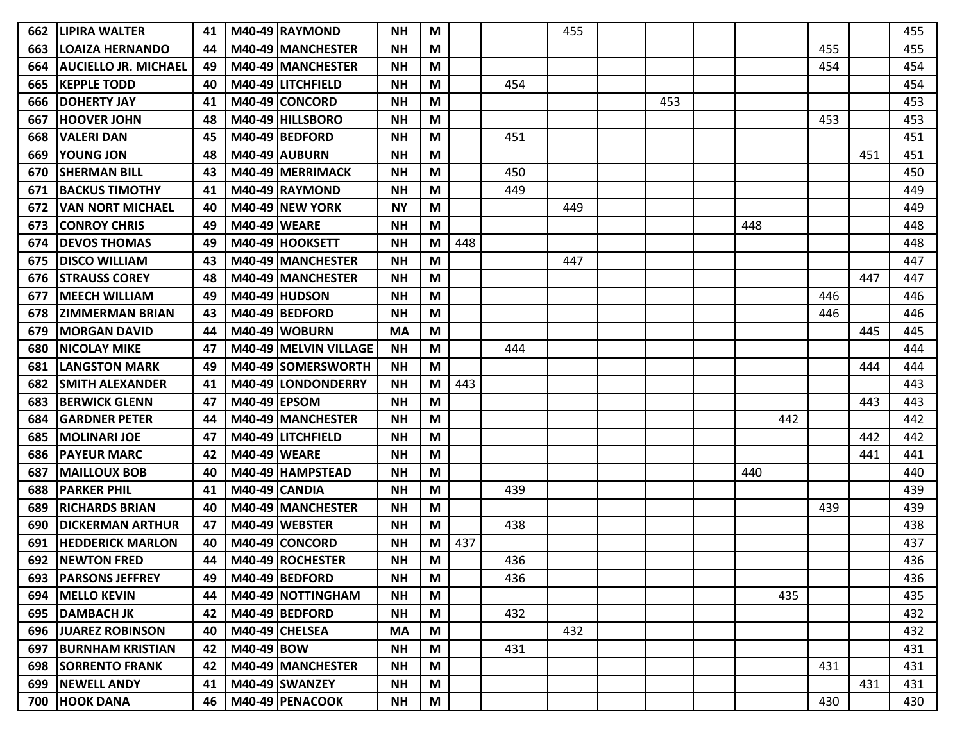| 662. | <b>LIPIRA WALTER</b>        | 41 |                     | M40-49 RAYMOND        | <b>NH</b> | M |     |     | 455 |     |     |     |     |     | 455 |
|------|-----------------------------|----|---------------------|-----------------------|-----------|---|-----|-----|-----|-----|-----|-----|-----|-----|-----|
| 663  | <b>LOAIZA HERNANDO</b>      | 44 |                     | M40-49 MANCHESTER     | <b>NH</b> | M |     |     |     |     |     |     | 455 |     | 455 |
| 664  | <b>AUCIELLO JR. MICHAEL</b> | 49 |                     | M40-49 MANCHESTER     | <b>NH</b> | М |     |     |     |     |     |     | 454 |     | 454 |
| 665  | <b>KEPPLE TODD</b>          | 40 |                     | M40-49 LITCHFIELD     | <b>NH</b> | M |     | 454 |     |     |     |     |     |     | 454 |
| 666  | <b>DOHERTY JAY</b>          | 41 |                     | M40-49 CONCORD        | <b>NH</b> | M |     |     |     | 453 |     |     |     |     | 453 |
| 667  | <b>HOOVER JOHN</b>          | 48 |                     | M40-49 HILLSBORO      | <b>NH</b> | M |     |     |     |     |     |     | 453 |     | 453 |
| 668  | <b>VALERI DAN</b>           | 45 |                     | M40-49 BEDFORD        | <b>NH</b> | M |     | 451 |     |     |     |     |     |     | 451 |
| 669  | <b>YOUNG JON</b>            | 48 |                     | M40-49 AUBURN         | <b>NH</b> | M |     |     |     |     |     |     |     | 451 | 451 |
| 670  | <b>SHERMAN BILL</b>         | 43 |                     | M40-49 MERRIMACK      | <b>NH</b> | M |     | 450 |     |     |     |     |     |     | 450 |
| 671  | <b>BACKUS TIMOTHY</b>       | 41 |                     | M40-49 RAYMOND        | <b>NH</b> | М |     | 449 |     |     |     |     |     |     | 449 |
| 672  | <b>VAN NORT MICHAEL</b>     | 40 |                     | M40-49 NEW YORK       | <b>NY</b> | M |     |     | 449 |     |     |     |     |     | 449 |
| 673  | <b>CONROY CHRIS</b>         | 49 | <b>M40-49 WEARE</b> |                       | <b>NH</b> | M |     |     |     |     | 448 |     |     |     | 448 |
| 674  | <b>DEVOS THOMAS</b>         | 49 |                     | M40-49 HOOKSETT       | <b>NH</b> | M | 448 |     |     |     |     |     |     |     | 448 |
| 675  | <b>DISCO WILLIAM</b>        | 43 |                     | M40-49 MANCHESTER     | <b>NH</b> | М |     |     | 447 |     |     |     |     |     | 447 |
| 676  | <b>STRAUSS COREY</b>        | 48 |                     | M40-49 MANCHESTER     | <b>NH</b> | М |     |     |     |     |     |     |     | 447 | 447 |
| 677  | <b>MEECH WILLIAM</b>        | 49 |                     | M40-49 HUDSON         | <b>NH</b> | M |     |     |     |     |     |     | 446 |     | 446 |
| 678  | <b>ZIMMERMAN BRIAN</b>      | 43 |                     | M40-49 BEDFORD        | <b>NH</b> | M |     |     |     |     |     |     | 446 |     | 446 |
| 679  | <b>MORGAN DAVID</b>         | 44 |                     | M40-49 WOBURN         | <b>MA</b> | M |     |     |     |     |     |     |     | 445 | 445 |
| 680  | <b>NICOLAY MIKE</b>         | 47 |                     | M40-49 MELVIN VILLAGE | <b>NH</b> | M |     | 444 |     |     |     |     |     |     | 444 |
| 681  | <b>LANGSTON MARK</b>        | 49 |                     | M40-49 SOMERSWORTH    | <b>NH</b> | M |     |     |     |     |     |     |     | 444 | 444 |
| 682  | <b>SMITH ALEXANDER</b>      | 41 |                     | M40-49 LONDONDERRY    | <b>NH</b> | M | 443 |     |     |     |     |     |     |     | 443 |
| 683  | <b>BERWICK GLENN</b>        | 47 | <b>M40-49 EPSOM</b> |                       | <b>NH</b> | M |     |     |     |     |     |     |     | 443 | 443 |
| 684  | <b>GARDNER PETER</b>        | 44 |                     | M40-49 MANCHESTER     | <b>NH</b> | M |     |     |     |     |     | 442 |     |     | 442 |
| 685  | <b>MOLINARI JOE</b>         | 47 |                     | M40-49 LITCHFIELD     | <b>NH</b> | M |     |     |     |     |     |     |     | 442 | 442 |
| 686  | <b>PAYEUR MARC</b>          | 42 | <b>M40-49 WEARE</b> |                       | <b>NH</b> | M |     |     |     |     |     |     |     | 441 | 441 |
| 687  | <b>MAILLOUX BOB</b>         | 40 |                     | M40-49 HAMPSTEAD      | <b>NH</b> | M |     |     |     |     | 440 |     |     |     | 440 |
| 688  | <b>PARKER PHIL</b>          | 41 |                     | M40-49 CANDIA         | <b>NH</b> | M |     | 439 |     |     |     |     |     |     | 439 |
| 689  | <b>RICHARDS BRIAN</b>       | 40 |                     | M40-49 MANCHESTER     | <b>NH</b> | M |     |     |     |     |     |     | 439 |     | 439 |
| 690  | <b>DICKERMAN ARTHUR</b>     | 47 |                     | M40-49 WEBSTER        | <b>NH</b> | М |     | 438 |     |     |     |     |     |     | 438 |
| 691  | <b>HEDDERICK MARLON</b>     | 40 |                     | M40-49 CONCORD        | <b>NH</b> | M | 437 |     |     |     |     |     |     |     | 437 |
| 692  | <b>NEWTON FRED</b>          | 44 |                     | M40-49 ROCHESTER      | <b>NH</b> | M |     | 436 |     |     |     |     |     |     | 436 |
| 693  | <b>PARSONS JEFFREY</b>      | 49 |                     | M40-49 BEDFORD        | <b>NH</b> | M |     | 436 |     |     |     |     |     |     | 436 |
| 694  | <b>MELLO KEVIN</b>          | 44 |                     | M40-49 NOTTINGHAM     | <b>NH</b> | M |     |     |     |     |     | 435 |     |     | 435 |
| 695  | <b>DAMBACH JK</b>           | 42 |                     | M40-49 BEDFORD        | <b>NH</b> | M |     | 432 |     |     |     |     |     |     | 432 |
|      | 696 JUAREZ ROBINSON         | 40 |                     | M40-49 CHELSEA        | <b>MA</b> | M |     |     | 432 |     |     |     |     |     | 432 |
| 697  | <b>BURNHAM KRISTIAN</b>     | 42 | M40-49 BOW          |                       | <b>NH</b> | M |     | 431 |     |     |     |     |     |     | 431 |
| 698  | <b>SORRENTO FRANK</b>       | 42 |                     | M40-49 MANCHESTER     | <b>NH</b> | M |     |     |     |     |     |     | 431 |     | 431 |
| 699  | <b>NEWELL ANDY</b>          | 41 |                     | M40-49 SWANZEY        | <b>NH</b> | M |     |     |     |     |     |     |     | 431 | 431 |
| 700  | <b>HOOK DANA</b>            | 46 |                     | M40-49 PENACOOK       | <b>NH</b> | M |     |     |     |     |     |     | 430 |     | 430 |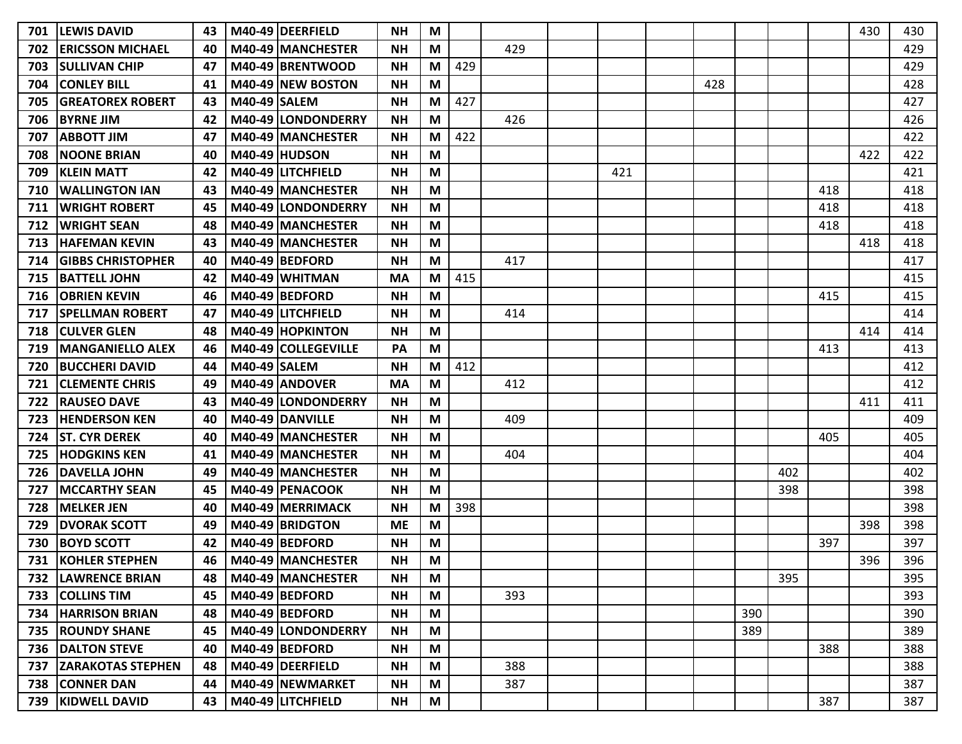| 701 | <b>LEWIS DAVID</b>        | 43 |                     | M40-49 DEERFIELD           | <b>NH</b> | M |     |     |     |     |     |     |     | 430 | 430 |
|-----|---------------------------|----|---------------------|----------------------------|-----------|---|-----|-----|-----|-----|-----|-----|-----|-----|-----|
| 702 | <b>ERICSSON MICHAEL</b>   | 40 |                     | M40-49 MANCHESTER          | <b>NH</b> | M |     | 429 |     |     |     |     |     |     | 429 |
| 703 | <b>SULLIVAN CHIP</b>      | 47 |                     | M40-49 BRENTWOOD           | <b>NH</b> | M | 429 |     |     |     |     |     |     |     | 429 |
| 704 | <b>CONLEY BILL</b>        | 41 |                     | M40-49 NEW BOSTON          | <b>NH</b> | M |     |     |     | 428 |     |     |     |     | 428 |
| 705 | <b>GREATOREX ROBERT</b>   | 43 | <b>M40-49 SALEM</b> |                            | <b>NH</b> | M | 427 |     |     |     |     |     |     |     | 427 |
| 706 | <b>BYRNE JIM</b>          | 42 |                     | M40-49 LONDONDERRY         | <b>NH</b> | M |     | 426 |     |     |     |     |     |     | 426 |
| 707 | IABBOTT JIM               | 47 |                     | M40-49 MANCHESTER          | <b>NH</b> | M | 422 |     |     |     |     |     |     |     | 422 |
| 708 | <b>NOONE BRIAN</b>        | 40 |                     | M40-49 HUDSON              | <b>NH</b> | M |     |     |     |     |     |     |     | 422 | 422 |
| 709 | <b>KLEIN MATT</b>         | 42 |                     | M40-49 LITCHFIELD          | <b>NH</b> | M |     |     | 421 |     |     |     |     |     | 421 |
| 710 | <b>WALLINGTON IAN</b>     | 43 |                     | M40-49 MANCHESTER          | <b>NH</b> | M |     |     |     |     |     |     | 418 |     | 418 |
| 711 | <b>WRIGHT ROBERT</b>      | 45 |                     | M40-49 LONDONDERRY         | <b>NH</b> | M |     |     |     |     |     |     | 418 |     | 418 |
| 712 | <b>WRIGHT SEAN</b>        | 48 |                     | M40-49 MANCHESTER          | <b>NH</b> | M |     |     |     |     |     |     | 418 |     | 418 |
| 713 | <b>HAFEMAN KEVIN</b>      | 43 |                     | M40-49 MANCHESTER          | <b>NH</b> | M |     |     |     |     |     |     |     | 418 | 418 |
| 714 | <b>GIBBS CHRISTOPHER</b>  | 40 |                     | M40-49 BEDFORD             | <b>NH</b> | M |     | 417 |     |     |     |     |     |     | 417 |
| 715 | BATTELL JOHN              | 42 |                     | M40-49 WHITMAN             | <b>MA</b> | M | 415 |     |     |     |     |     |     |     | 415 |
| 716 | <b>OBRIEN KEVIN</b>       | 46 |                     | M40-49 BEDFORD             | <b>NH</b> | M |     |     |     |     |     |     | 415 |     | 415 |
| 717 | <b>SPELLMAN ROBERT</b>    | 47 |                     | M40-49 LITCHFIELD          | <b>NH</b> | M |     | 414 |     |     |     |     |     |     | 414 |
| 718 | <b>CULVER GLEN</b>        | 48 |                     | M40-49 HOPKINTON           | <b>NH</b> | M |     |     |     |     |     |     |     | 414 | 414 |
| 719 | <b>IMANGANIELLO ALEX</b>  | 46 |                     | M40-49 COLLEGEVILLE        | PA        | M |     |     |     |     |     |     | 413 |     | 413 |
| 720 | <b>BUCCHERI DAVID</b>     | 44 | <b>M40-49 SALEM</b> |                            | <b>NH</b> | M | 412 |     |     |     |     |     |     |     | 412 |
| 721 | <b>CLEMENTE CHRIS</b>     | 49 |                     | M40-49 ANDOVER             | <b>MA</b> | M |     | 412 |     |     |     |     |     |     | 412 |
| 722 | <b>IRAUSEO DAVE</b>       | 43 |                     | <b>M40-49 ILONDONDERRY</b> | <b>NH</b> | M |     |     |     |     |     |     |     | 411 | 411 |
| 723 | <b>HENDERSON KEN</b>      | 40 |                     | M40-49 DANVILLE            | <b>NH</b> | M |     | 409 |     |     |     |     |     |     | 409 |
| 724 | <b>ST. CYR DEREK</b>      | 40 |                     | M40-49 MANCHESTER          | <b>NH</b> | M |     |     |     |     |     |     | 405 |     | 405 |
| 725 | <b>HODGKINS KEN</b>       | 41 |                     | M40-49 MANCHESTER          | <b>NH</b> | M |     | 404 |     |     |     |     |     |     | 404 |
| 726 | <b>DAVELLA JOHN</b>       | 49 |                     | M40-49 MANCHESTER          | <b>NH</b> | M |     |     |     |     |     | 402 |     |     | 402 |
| 727 | <b>MCCARTHY SEAN</b>      | 45 |                     | M40-49 PENACOOK            | <b>NH</b> | M |     |     |     |     |     | 398 |     |     | 398 |
| 728 | <b>MELKER JEN</b>         | 40 |                     | M40-49 MERRIMACK           | <b>NH</b> | M | 398 |     |     |     |     |     |     |     | 398 |
| 729 | <b>DVORAK SCOTT</b>       | 49 |                     | M40-49 BRIDGTON            | <b>ME</b> | M |     |     |     |     |     |     |     | 398 | 398 |
| 730 | <b>BOYD SCOTT</b>         | 42 |                     | M40-49 BEDFORD             | <b>NH</b> | M |     |     |     |     |     |     | 397 |     | 397 |
| 731 | <b>KOHLER STEPHEN</b>     | 46 |                     | M40-49 MANCHESTER          | <b>NH</b> | M |     |     |     |     |     |     |     | 396 | 396 |
|     | 732   LAWRENCE BRIAN      | 48 |                     | M40-49 MANCHESTER          | <b>NH</b> | M |     |     |     |     |     | 395 |     |     | 395 |
|     | 733 COLLINS TIM           | 45 |                     | M40-49 BEDFORD             | <b>NH</b> | M |     | 393 |     |     |     |     |     |     | 393 |
|     | 734   HARRISON BRIAN      | 48 |                     | M40-49 BEDFORD             | <b>NH</b> | M |     |     |     |     | 390 |     |     |     | 390 |
|     | 735   ROUNDY SHANE        | 45 |                     | M40-49 LONDONDERRY         | <b>NH</b> | M |     |     |     |     | 389 |     |     |     | 389 |
|     | <b>736   DALTON STEVE</b> | 40 |                     | M40-49 BEDFORD             | <b>NH</b> | M |     |     |     |     |     |     | 388 |     | 388 |
|     | 737 ZARAKOTAS STEPHEN     | 48 |                     | M40-49 DEERFIELD           | <b>NH</b> | M |     | 388 |     |     |     |     |     |     | 388 |
|     | 738 CONNER DAN            | 44 |                     | M40-49 NEWMARKET           | <b>NH</b> | M |     | 387 |     |     |     |     |     |     | 387 |
|     | 739   KIDWELL DAVID       | 43 |                     | M40-49 LITCHFIELD          | <b>NH</b> | M |     |     |     |     |     |     | 387 |     | 387 |
|     |                           |    |                     |                            |           |   |     |     |     |     |     |     |     |     |     |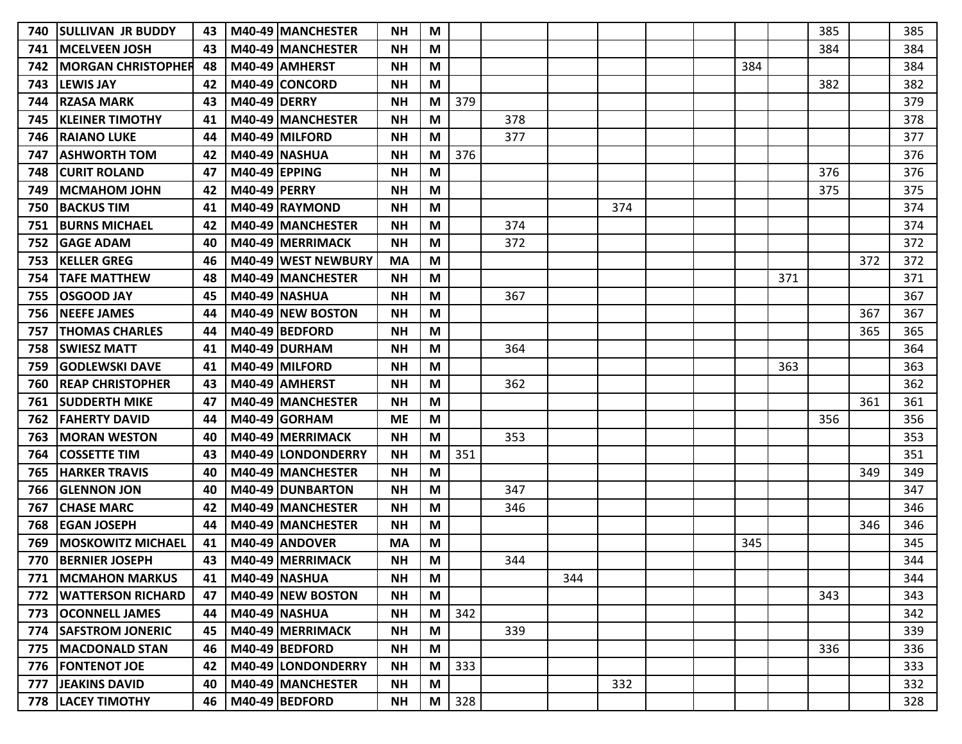| 740 | <b>ISULLIVAN JR BUDDY</b>  | 43 |                     | M40-49 MANCHESTER         | <b>NH</b> | M |     |     |     |     |  |     |     | 385 |     | 385 |
|-----|----------------------------|----|---------------------|---------------------------|-----------|---|-----|-----|-----|-----|--|-----|-----|-----|-----|-----|
| 741 | <b>IMCELVEEN JOSH</b>      | 43 |                     | M40-49 MANCHESTER         | <b>NH</b> | M |     |     |     |     |  |     |     | 384 |     | 384 |
| 742 | <b>IMORGAN CHRISTOPHER</b> | 48 |                     | M40-49 AMHERST            | <b>NH</b> | M |     |     |     |     |  | 384 |     |     |     | 384 |
| 743 | <b>LEWIS JAY</b>           |    |                     | M40-49 CONCORD            | <b>NH</b> | M |     |     |     |     |  |     |     | 382 |     | 382 |
| 744 | <b>RZASA MARK</b>          | 43 | <b>M40-49 DERRY</b> |                           | <b>NH</b> | M | 379 |     |     |     |  |     |     |     |     | 379 |
| 745 | <b>KLEINER TIMOTHY</b>     | 41 |                     | M40-49 MANCHESTER         | <b>NH</b> | M |     | 378 |     |     |  |     |     |     |     | 378 |
| 746 | IRAIANO LUKE               | 44 |                     | M40-49 MILFORD            | <b>NH</b> | M |     | 377 |     |     |  |     |     |     |     | 377 |
| 747 | <b>ASHWORTH TOM</b>        | 42 |                     | <b>M40-49 NASHUA</b>      | <b>NH</b> | M | 376 |     |     |     |  |     |     |     |     | 376 |
| 748 | <b>CURIT ROLAND</b>        | 47 | M40-49 EPPING       |                           | <b>NH</b> | M |     |     |     |     |  |     |     | 376 |     | 376 |
| 749 | <b>MCMAHOM JOHN</b>        | 42 | M40-49 PERRY        |                           | <b>NH</b> | M |     |     |     |     |  |     |     | 375 |     | 375 |
| 750 | <b>BACKUS TIM</b>          | 41 |                     | M40-49 RAYMOND            | <b>NH</b> | M |     |     |     | 374 |  |     |     |     |     | 374 |
| 751 | <b>BURNS MICHAEL</b>       | 42 |                     | M40-49 MANCHESTER         | <b>NH</b> | M |     | 374 |     |     |  |     |     |     |     | 374 |
| 752 | <b>GAGE ADAM</b>           | 40 |                     | M40-49 MERRIMACK          | <b>NH</b> | M |     | 372 |     |     |  |     |     |     |     | 372 |
| 753 | <b>KELLER GREG</b>         | 46 |                     | M40-49 WEST NEWBURY       | <b>MA</b> | M |     |     |     |     |  |     |     |     | 372 | 372 |
| 754 | <b>ITAFE MATTHEW</b>       | 48 |                     | <b>M40-49 IMANCHESTER</b> | <b>NH</b> | M |     |     |     |     |  |     | 371 |     |     | 371 |
| 755 | <b>OSGOOD JAY</b>          | 45 |                     | <b>M40-49 NASHUA</b>      | <b>NH</b> | M |     | 367 |     |     |  |     |     |     |     | 367 |
| 756 | <b>NEEFE JAMES</b>         | 44 |                     | M40-49 NEW BOSTON         | <b>NH</b> | M |     |     |     |     |  |     |     |     | 367 | 367 |
| 757 | <b>THOMAS CHARLES</b>      | 44 |                     | M40-49 BEDFORD            | <b>NH</b> | M |     |     |     |     |  |     |     |     | 365 | 365 |
| 758 | <b>SWIESZ MATT</b>         | 41 |                     | <b>M40-49 DURHAM</b>      | <b>NH</b> | M |     | 364 |     |     |  |     |     |     |     | 364 |
| 759 | <b>GODLEWSKI DAVE</b>      | 41 |                     | M40-49 MILFORD            | <b>NH</b> | M |     |     |     |     |  |     | 363 |     |     | 363 |
| 760 | <b>REAP CHRISTOPHER</b>    | 43 |                     | M40-49 AMHERST            | <b>NH</b> | M |     | 362 |     |     |  |     |     |     |     | 362 |
| 761 | <b>ISUDDERTH MIKE</b>      | 47 |                     | M40-49 MANCHESTER         | <b>NH</b> | M |     |     |     |     |  |     |     |     | 361 | 361 |
| 762 | <b>FAHERTY DAVID</b>       | 44 |                     | M40-49 GORHAM             | <b>ME</b> | M |     |     |     |     |  |     |     | 356 |     | 356 |
| 763 | <b>MORAN WESTON</b>        | 40 |                     | M40-49 MERRIMACK          | <b>NH</b> | M |     | 353 |     |     |  |     |     |     |     | 353 |
| 764 | <b>COSSETTE TIM</b>        | 43 |                     | M40-49 LONDONDERRY        | <b>NH</b> | M | 351 |     |     |     |  |     |     |     |     | 351 |
| 765 | <b>HARKER TRAVIS</b>       | 40 |                     | <b>M40-49 IMANCHESTER</b> | <b>NH</b> | M |     |     |     |     |  |     |     |     | 349 | 349 |
| 766 | IGLENNON JON               | 40 |                     | M40-49 DUNBARTON          | <b>NH</b> | M |     | 347 |     |     |  |     |     |     |     | 347 |
| 767 | <b>CHASE MARC</b>          | 42 |                     | M40-49 MANCHESTER         | <b>NH</b> | M |     | 346 |     |     |  |     |     |     |     | 346 |
| 768 | <b>EGAN JOSEPH</b>         | 44 |                     | M40-49 MANCHESTER         | <b>NH</b> | M |     |     |     |     |  |     |     |     | 346 | 346 |
| 769 | <b>MOSKOWITZ MICHAEL</b>   | 41 |                     | M40-49 ANDOVER            | <b>MA</b> | M |     |     |     |     |  | 345 |     |     |     | 345 |
| 770 | <b>BERNIER JOSEPH</b>      | 43 |                     | M40-49 MERRIMACK          | <b>NH</b> | M |     | 344 |     |     |  |     |     |     |     | 344 |
| 771 | <b>MCMAHON MARKUS</b>      | 41 |                     | <b>M40-49 NASHUA</b>      | <b>NH</b> | M |     |     | 344 |     |  |     |     |     |     | 344 |
| 772 | <b>WATTERSON RICHARD</b>   | 47 |                     | M40-49 NEW BOSTON         | <b>NH</b> | M |     |     |     |     |  |     |     | 343 |     | 343 |
| 773 | <b>OCONNELL JAMES</b>      | 44 |                     | <b>M40-49 NASHUA</b>      | <b>NH</b> | M | 342 |     |     |     |  |     |     |     |     | 342 |
| 774 | <b>SAFSTROM JONERIC</b>    | 45 |                     | M40-49 MERRIMACK          | <b>NH</b> | M |     | 339 |     |     |  |     |     |     |     | 339 |
|     | 775   MACDONALD STAN       | 46 |                     | M40-49 BEDFORD            | <b>NH</b> | M |     |     |     |     |  |     |     | 336 |     | 336 |
|     | 776   FONTENOT JOE         | 42 |                     | M40-49 LONDONDERRY        | <b>NH</b> | M | 333 |     |     |     |  |     |     |     |     | 333 |
|     | 777 JEAKINS DAVID          | 40 |                     | M40-49 MANCHESTER         | <b>NH</b> | M |     |     |     | 332 |  |     |     |     |     | 332 |
|     | 778   LACEY TIMOTHY        | 46 |                     | M40-49 BEDFORD            | <b>NH</b> | M | 328 |     |     |     |  |     |     |     |     | 328 |